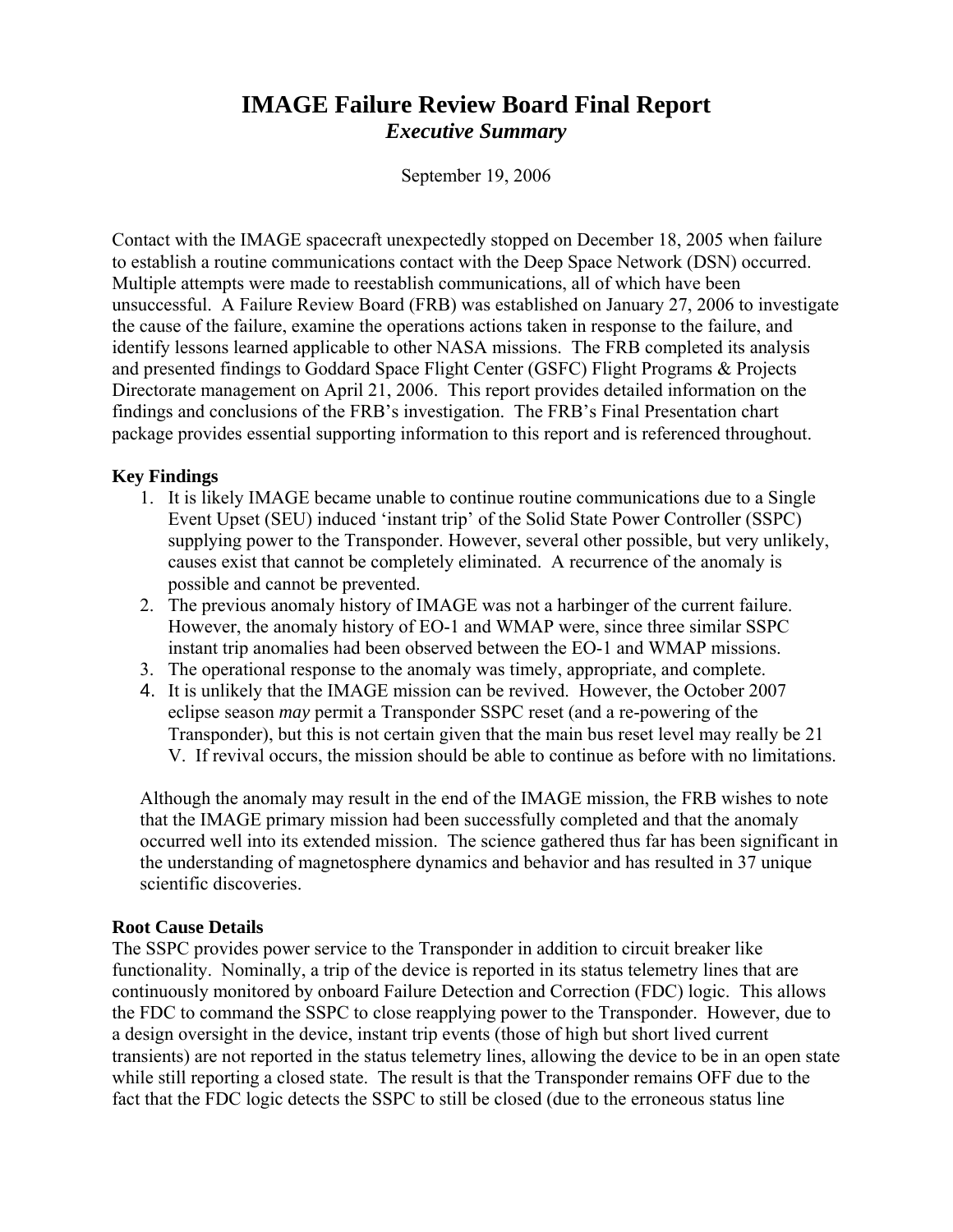# **IMAGE Failure Review Board Final Report**  *Executive Summary*

September 19, 2006

Contact with the IMAGE spacecraft unexpectedly stopped on December 18, 2005 when failure to establish a routine communications contact with the Deep Space Network (DSN) occurred. Multiple attempts were made to reestablish communications, all of which have been unsuccessful. A Failure Review Board (FRB) was established on January 27, 2006 to investigate the cause of the failure, examine the operations actions taken in response to the failure, and identify lessons learned applicable to other NASA missions. The FRB completed its analysis and presented findings to Goddard Space Flight Center (GSFC) Flight Programs & Projects Directorate management on April 21, 2006. This report provides detailed information on the findings and conclusions of the FRB's investigation. The FRB's Final Presentation chart package provides essential supporting information to this report and is referenced throughout.

#### **Key Findings**

- 1. It is likely IMAGE became unable to continue routine communications due to a Single Event Upset (SEU) induced 'instant trip' of the Solid State Power Controller (SSPC) supplying power to the Transponder. However, several other possible, but very unlikely, causes exist that cannot be completely eliminated. A recurrence of the anomaly is possible and cannot be prevented.
- 2. The previous anomaly history of IMAGE was not a harbinger of the current failure. However, the anomaly history of EO-1 and WMAP were, since three similar SSPC instant trip anomalies had been observed between the EO-1 and WMAP missions.
- 3. The operational response to the anomaly was timely, appropriate, and complete.
- 4. It is unlikely that the IMAGE mission can be revived. However, the October 2007 eclipse season *may* permit a Transponder SSPC reset (and a re-powering of the Transponder), but this is not certain given that the main bus reset level may really be 21 V. If revival occurs, the mission should be able to continue as before with no limitations.

Although the anomaly may result in the end of the IMAGE mission, the FRB wishes to note that the IMAGE primary mission had been successfully completed and that the anomaly occurred well into its extended mission. The science gathered thus far has been significant in the understanding of magnetosphere dynamics and behavior and has resulted in 37 unique scientific discoveries.

#### **Root Cause Details**

The SSPC provides power service to the Transponder in addition to circuit breaker like functionality. Nominally, a trip of the device is reported in its status telemetry lines that are continuously monitored by onboard Failure Detection and Correction (FDC) logic. This allows the FDC to command the SSPC to close reapplying power to the Transponder. However, due to a design oversight in the device, instant trip events (those of high but short lived current transients) are not reported in the status telemetry lines, allowing the device to be in an open state while still reporting a closed state. The result is that the Transponder remains OFF due to the fact that the FDC logic detects the SSPC to still be closed (due to the erroneous status line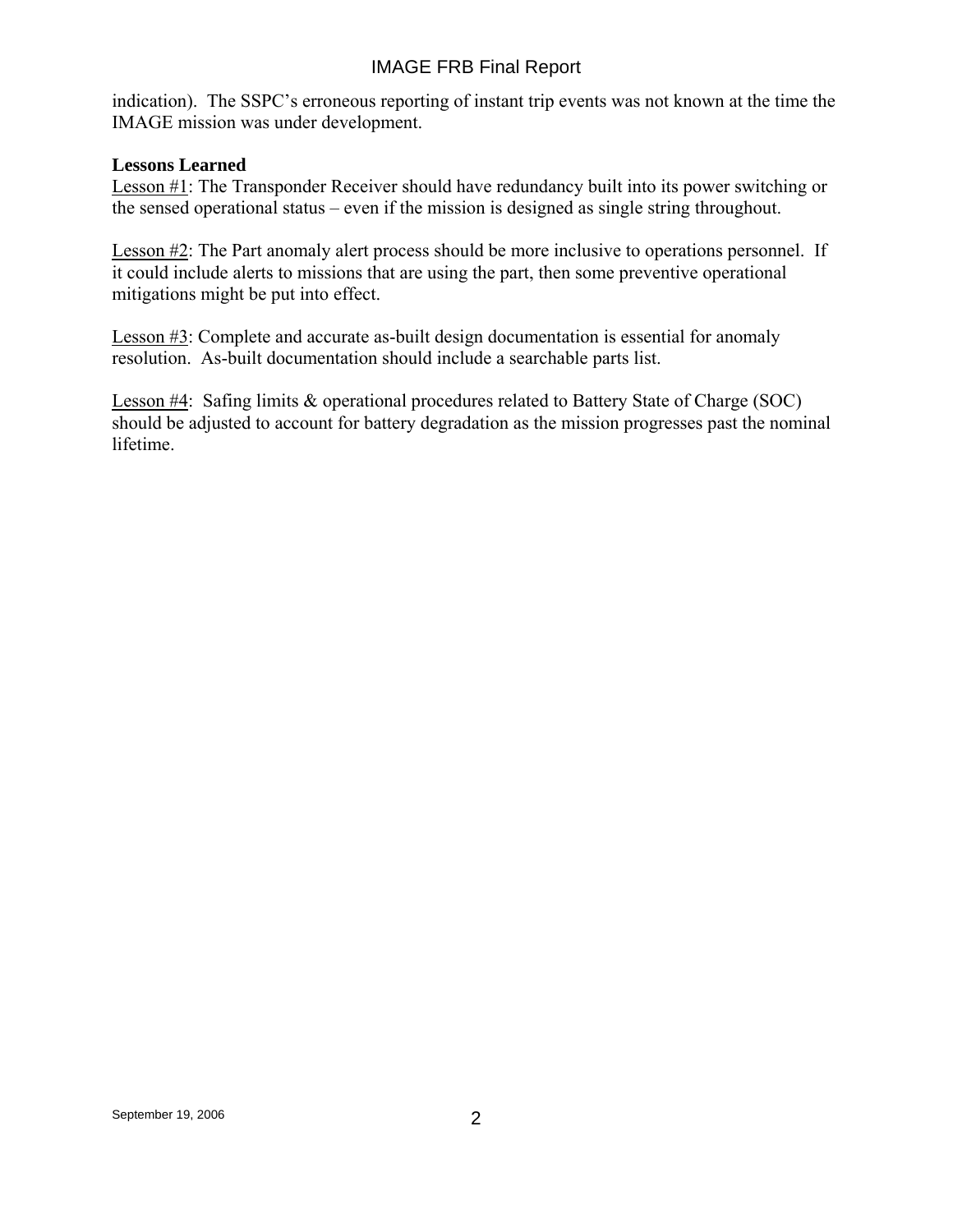## IMAGE FRB Final Report

indication). The SSPC's erroneous reporting of instant trip events was not known at the time the IMAGE mission was under development.

#### **Lessons Learned**

Lesson #1: The Transponder Receiver should have redundancy built into its power switching or the sensed operational status – even if the mission is designed as single string throughout.

Lesson #2: The Part anomaly alert process should be more inclusive to operations personnel. If it could include alerts to missions that are using the part, then some preventive operational mitigations might be put into effect.

Lesson #3: Complete and accurate as-built design documentation is essential for anomaly resolution. As-built documentation should include a searchable parts list.

Lesson #4: Safing limits & operational procedures related to Battery State of Charge (SOC) should be adjusted to account for battery degradation as the mission progresses past the nominal lifetime.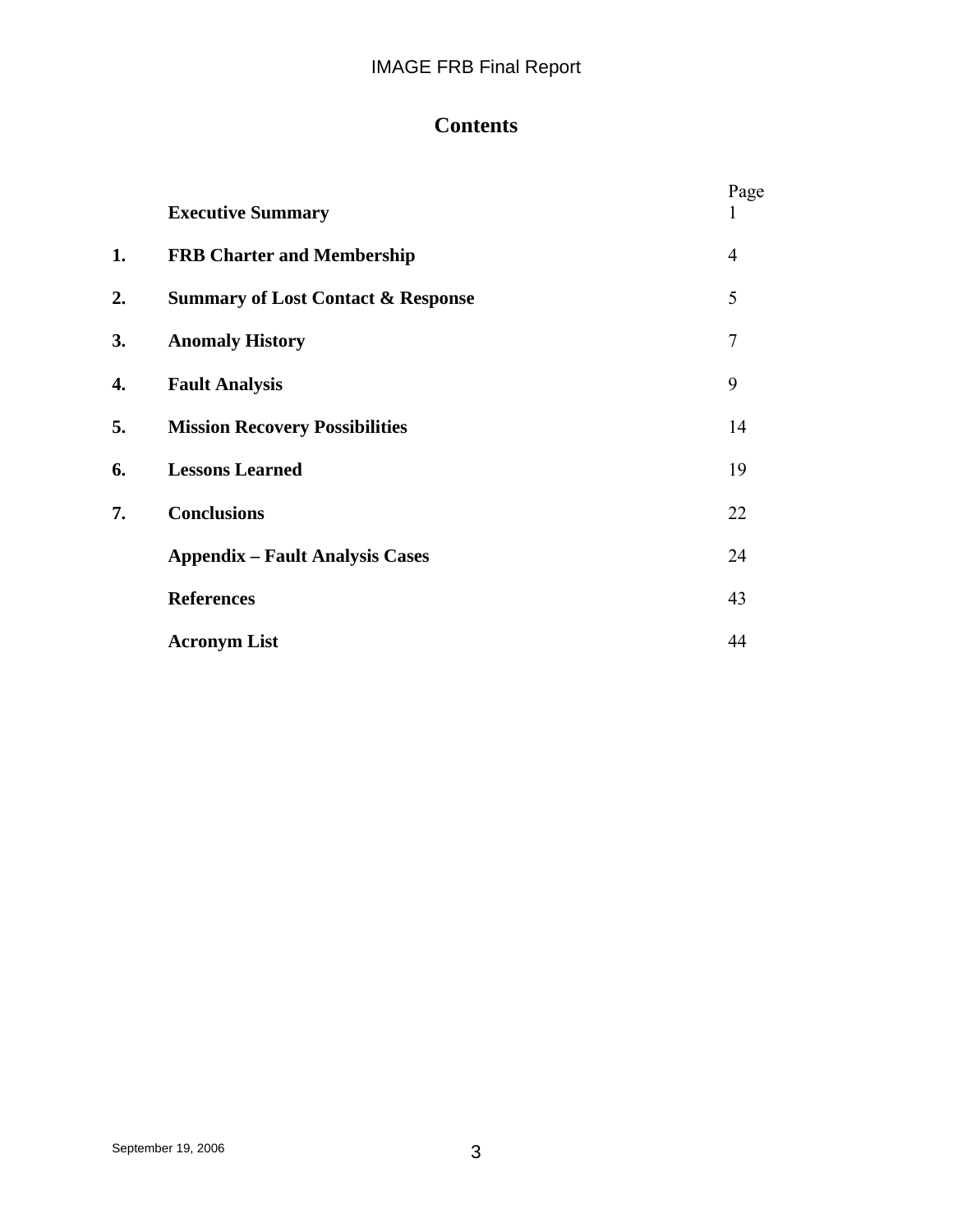# **Contents**

|    | <b>Executive Summary</b>                      | Page<br>$\mathbf{I}$ |
|----|-----------------------------------------------|----------------------|
| 1. | <b>FRB Charter and Membership</b>             | $\overline{4}$       |
| 2. | <b>Summary of Lost Contact &amp; Response</b> | 5                    |
| 3. | <b>Anomaly History</b>                        | $\overline{7}$       |
| 4. | <b>Fault Analysis</b>                         | 9                    |
| 5. | <b>Mission Recovery Possibilities</b>         | 14                   |
| 6. | <b>Lessons Learned</b>                        | 19                   |
| 7. | <b>Conclusions</b>                            | 22                   |
|    | <b>Appendix – Fault Analysis Cases</b>        | 24                   |
|    | <b>References</b>                             | 43                   |
|    | <b>Acronym List</b>                           | 44                   |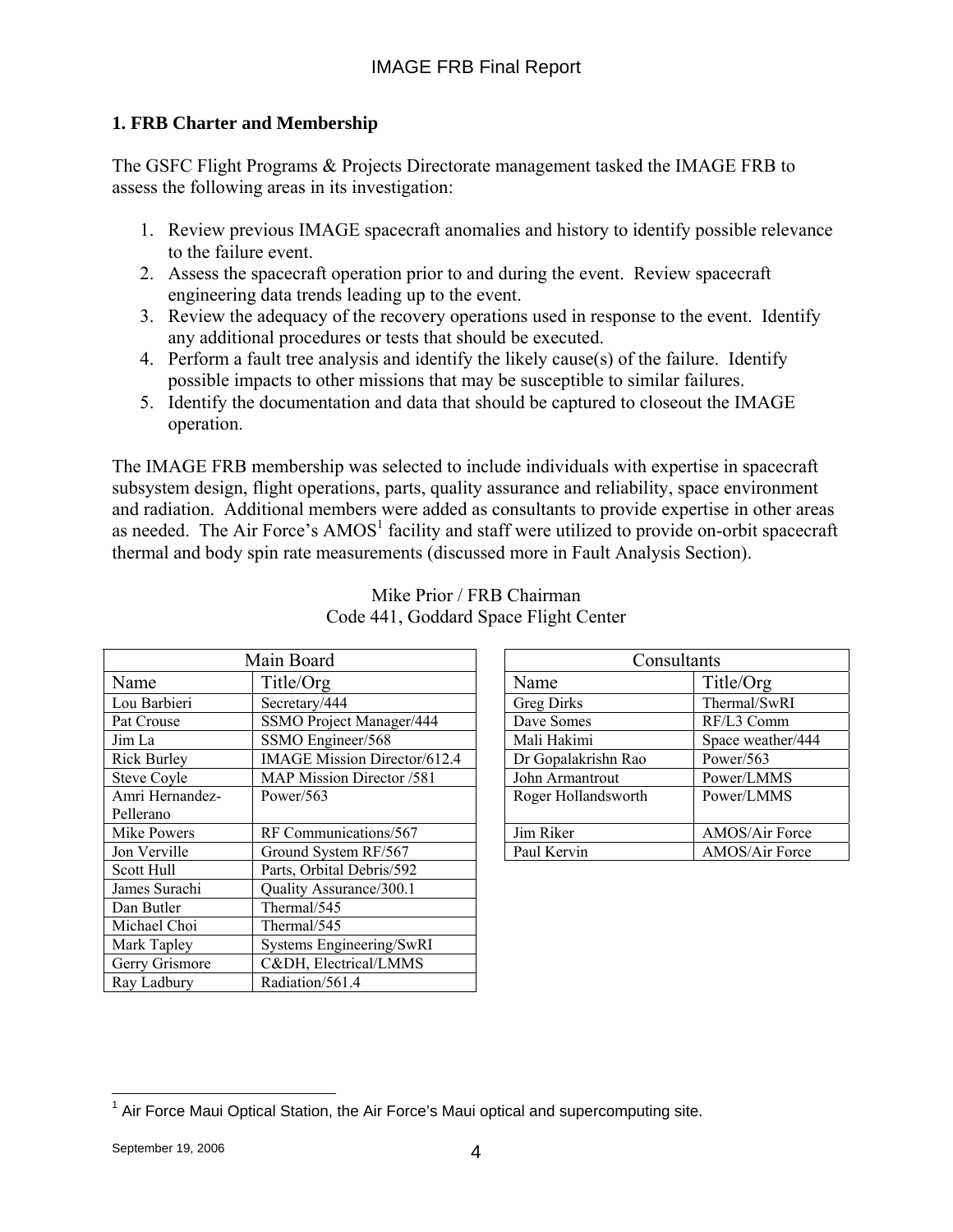## **1. FRB Charter and Membership**

The GSFC Flight Programs & Projects Directorate management tasked the IMAGE FRB to assess the following areas in its investigation:

- 1. Review previous IMAGE spacecraft anomalies and history to identify possible relevance to the failure event.
- 2. Assess the spacecraft operation prior to and during the event. Review spacecraft engineering data trends leading up to the event.
- 3. Review the adequacy of the recovery operations used in response to the event. Identify any additional procedures or tests that should be executed.
- 4. Perform a fault tree analysis and identify the likely cause(s) of the failure. Identify possible impacts to other missions that may be susceptible to similar failures.
- 5. Identify the documentation and data that should be captured to closeout the IMAGE operation.

The IMAGE FRB membership was selected to include individuals with expertise in spacecraft subsystem design, flight operations, parts, quality assurance and reliability, space environment and radiation. Additional members were added as consultants to provide expertise in other areas as needed. The Air Force's  $AMOS<sup>1</sup>$  facility and staff were utilized to provide on-orbit spacecraft thermal and body spin rate measurements (discussed more in Fault Analysis Section).

| Main Board         |                                     | Consultants         |                   |
|--------------------|-------------------------------------|---------------------|-------------------|
| Name               | Title/Org                           | Name                | Title/Org         |
| Lou Barbieri       | Secretary/444                       | <b>Greg Dirks</b>   | Thermal/SwRI      |
| Pat Crouse         | SSMO Project Manager/444            | Dave Somes          | RF/L3 Comm        |
| Jim La             | SSMO Engineer/568                   | Mali Hakimi         | Space weather/444 |
| <b>Rick Burley</b> | <b>IMAGE Mission Director/612.4</b> | Dr Gopalakrishn Rao | Power/563         |
| <b>Steve Coyle</b> | MAP Mission Director /581           | John Armantrout     | Power/LMMS        |
| Amri Hernandez-    | Power/ $563$                        | Roger Hollandsworth | Power/LMMS        |
| Pellerano          |                                     |                     |                   |
| Mike Powers        | RF Communications/567               | Jim Riker           | AMOS/Air Force    |
| Jon Verville       | Ground System RF/567                | Paul Kervin         | AMOS/Air Force    |
| Scott Hull         | Parts, Orbital Debris/592           |                     |                   |
| James Surachi      | Quality Assurance/300.1             |                     |                   |
| Dan Butler         | Thermal/545                         |                     |                   |
| Michael Choi       | Thermal/545                         |                     |                   |
| Mark Tapley        | Systems Engineering/SwRI            |                     |                   |
| Gerry Grismore     | C&DH, Electrical/LMMS               |                     |                   |
| Ray Ladbury        | Radiation/561.4                     |                     |                   |

| Main Board                          | Consultants         |                   |
|-------------------------------------|---------------------|-------------------|
| Title/Org                           | Name                | Title/Org         |
| Secretary/444                       | <b>Greg Dirks</b>   | Thermal/SwRI      |
| SSMO Project Manager/444            | Dave Somes          | RF/L3 Comm        |
| SSMO Engineer/568                   | Mali Hakimi         | Space weather/444 |
| <b>IMAGE Mission Director/612.4</b> | Dr Gopalakrishn Rao | Power/563         |
| MAP Mission Director /581           | John Armantrout     | Power/LMMS        |
| Power/563                           | Roger Hollandsworth | Power/LMMS        |
| RF Communications/567               | Jim Riker           | AMOS/Air Force    |
| Ground System RF/567                | Paul Kervin         | AMOS/Air Force    |
|                                     |                     |                   |

#### Mike Prior / FRB Chairman Code 441, Goddard Space Flight Center

 $\overline{a}$ 

Г

 $1$  Air Force Maui Optical Station, the Air Force's Maui optical and supercomputing site.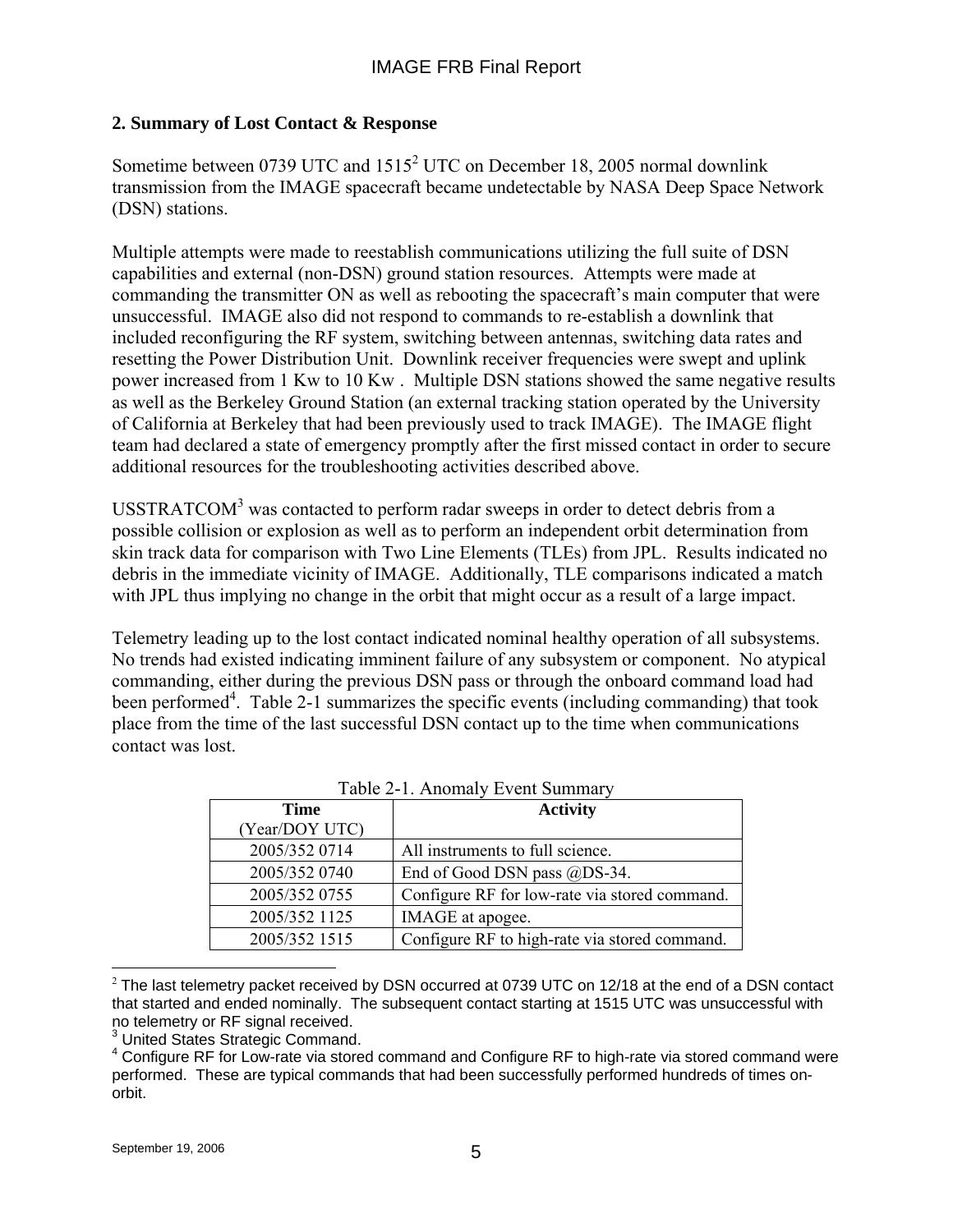## **2. Summary of Lost Contact & Response**

Sometime between 0739 UTC and  $1515^2$  UTC on December 18, 2005 normal downlink transmission from the IMAGE spacecraft became undetectable by NASA Deep Space Network (DSN) stations.

Multiple attempts were made to reestablish communications utilizing the full suite of DSN capabilities and external (non-DSN) ground station resources. Attempts were made at commanding the transmitter ON as well as rebooting the spacecraft's main computer that were unsuccessful. IMAGE also did not respond to commands to re-establish a downlink that included reconfiguring the RF system, switching between antennas, switching data rates and resetting the Power Distribution Unit. Downlink receiver frequencies were swept and uplink power increased from 1 Kw to 10 Kw . Multiple DSN stations showed the same negative results as well as the Berkeley Ground Station (an external tracking station operated by the University of California at Berkeley that had been previously used to track IMAGE). The IMAGE flight team had declared a state of emergency promptly after the first missed contact in order to secure additional resources for the troubleshooting activities described above.

USSTRATCOM $3$  was contacted to perform radar sweeps in order to detect debris from a possible collision or explosion as well as to perform an independent orbit determination from skin track data for comparison with Two Line Elements (TLEs) from JPL. Results indicated no debris in the immediate vicinity of IMAGE. Additionally, TLE comparisons indicated a match with JPL thus implying no change in the orbit that might occur as a result of a large impact.

Telemetry leading up to the lost contact indicated nominal healthy operation of all subsystems. No trends had existed indicating imminent failure of any subsystem or component. No atypical commanding, either during the previous DSN pass or through the onboard command load had been performed<sup>4</sup>. Table 2-1 summarizes the specific events (including commanding) that took place from the time of the last successful DSN contact up to the time when communications contact was lost.

| $14010 \pm 1.1$ momary Event building |                                               |  |
|---------------------------------------|-----------------------------------------------|--|
| <b>Time</b>                           | <b>Activity</b>                               |  |
| (Year/DOY UTC)                        |                                               |  |
| 2005/352 0714                         | All instruments to full science.              |  |
| 2005/352 0740                         | End of Good DSN pass @DS-34.                  |  |
| 2005/352 0755                         | Configure RF for low-rate via stored command. |  |
| 2005/352 1125                         | IMAGE at apogee.                              |  |
| 2005/352 1515                         | Configure RF to high-rate via stored command. |  |

 $\overline{a}$  $2$  The last telemetry packet received by DSN occurred at 0739 UTC on 12/18 at the end of a DSN contact that started and ended nominally. The subsequent contact starting at 1515 UTC was unsuccessful with no telemetry or RF signal received.

<sup>3</sup> United States Strategic Command.

<sup>&</sup>lt;sup>4</sup> Configure RF for Low-rate via stored command and Configure RF to high-rate via stored command were performed. These are typical commands that had been successfully performed hundreds of times onorbit.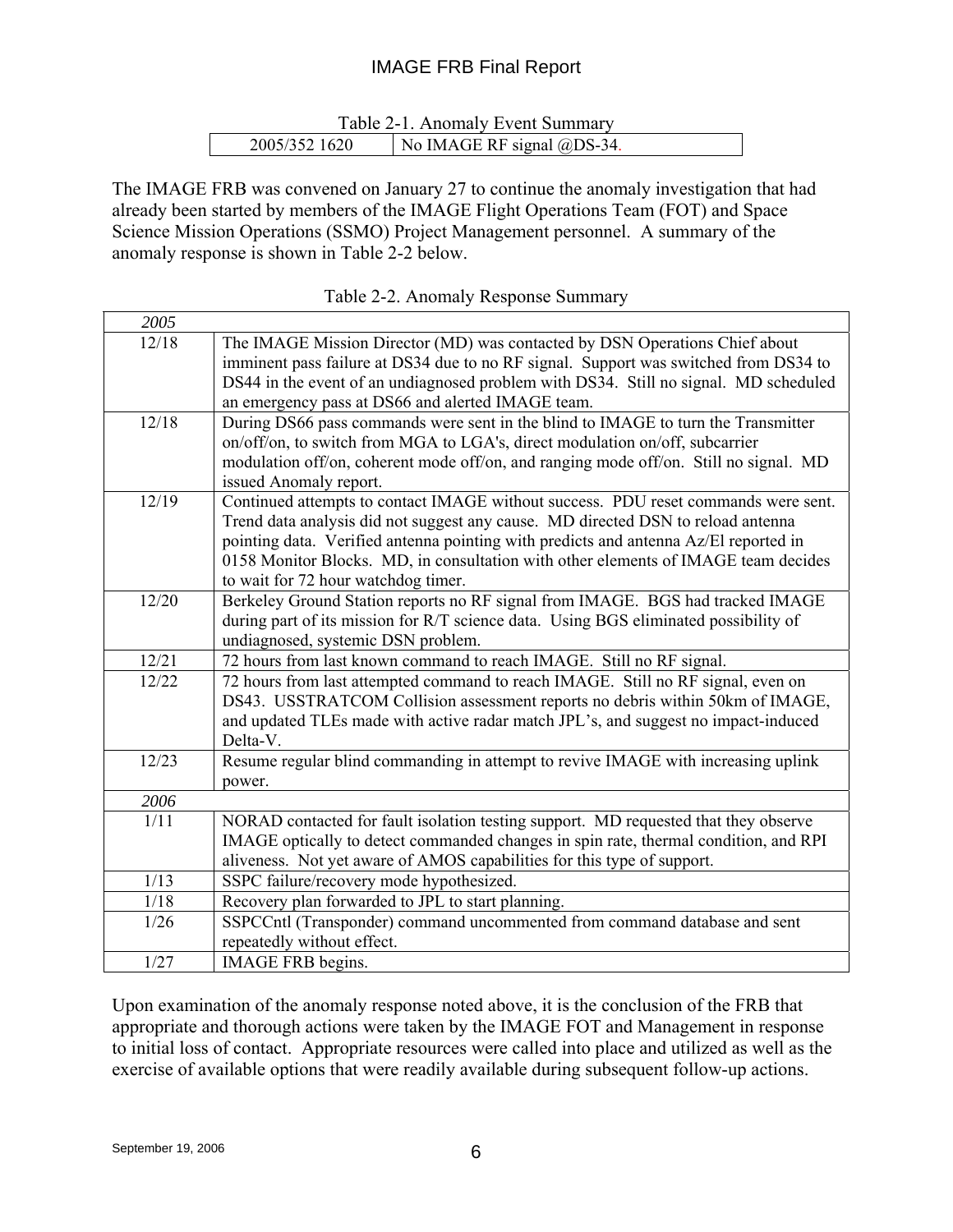## IMAGE FRB Final Report

|               | Table 2-1. Anomaly Event Summary |
|---------------|----------------------------------|
| 2005/352 1620 | No IMAGE RF signal @DS-34.       |

The IMAGE FRB was convened on January 27 to continue the anomaly investigation that had already been started by members of the IMAGE Flight Operations Team (FOT) and Space Science Mission Operations (SSMO) Project Management personnel. A summary of the anomaly response is shown in Table 2-2 below.

| 2005  |                                                                                                                                                                                                                                                                                                                                                                                             |
|-------|---------------------------------------------------------------------------------------------------------------------------------------------------------------------------------------------------------------------------------------------------------------------------------------------------------------------------------------------------------------------------------------------|
| 12/18 | The IMAGE Mission Director (MD) was contacted by DSN Operations Chief about<br>imminent pass failure at DS34 due to no RF signal. Support was switched from DS34 to<br>DS44 in the event of an undiagnosed problem with DS34. Still no signal. MD scheduled                                                                                                                                 |
|       | an emergency pass at DS66 and alerted IMAGE team.                                                                                                                                                                                                                                                                                                                                           |
| 12/18 | During DS66 pass commands were sent in the blind to IMAGE to turn the Transmitter<br>on/off/on, to switch from MGA to LGA's, direct modulation on/off, subcarrier<br>modulation off/on, coherent mode off/on, and ranging mode off/on. Still no signal. MD<br>issued Anomaly report.                                                                                                        |
| 12/19 | Continued attempts to contact IMAGE without success. PDU reset commands were sent.<br>Trend data analysis did not suggest any cause. MD directed DSN to reload antenna<br>pointing data. Verified antenna pointing with predicts and antenna Az/El reported in<br>0158 Monitor Blocks. MD, in consultation with other elements of IMAGE team decides<br>to wait for 72 hour watchdog timer. |
| 12/20 | Berkeley Ground Station reports no RF signal from IMAGE. BGS had tracked IMAGE<br>during part of its mission for R/T science data. Using BGS eliminated possibility of<br>undiagnosed, systemic DSN problem.                                                                                                                                                                                |
| 12/21 | 72 hours from last known command to reach IMAGE. Still no RF signal.                                                                                                                                                                                                                                                                                                                        |
| 12/22 | 72 hours from last attempted command to reach IMAGE. Still no RF signal, even on<br>DS43. USSTRATCOM Collision assessment reports no debris within 50km of IMAGE,<br>and updated TLEs made with active radar match JPL's, and suggest no impact-induced<br>Delta-V.                                                                                                                         |
| 12/23 | Resume regular blind commanding in attempt to revive IMAGE with increasing uplink<br>power.                                                                                                                                                                                                                                                                                                 |
| 2006  |                                                                                                                                                                                                                                                                                                                                                                                             |
| 1/11  | NORAD contacted for fault isolation testing support. MD requested that they observe<br>IMAGE optically to detect commanded changes in spin rate, thermal condition, and RPI<br>aliveness. Not yet aware of AMOS capabilities for this type of support.                                                                                                                                      |
| 1/13  | SSPC failure/recovery mode hypothesized.                                                                                                                                                                                                                                                                                                                                                    |
| 1/18  | Recovery plan forwarded to JPL to start planning.                                                                                                                                                                                                                                                                                                                                           |
| 1/26  | SSPCCntl (Transponder) command uncommented from command database and sent<br>repeatedly without effect.                                                                                                                                                                                                                                                                                     |
| 1/27  | <b>IMAGE FRB</b> begins.                                                                                                                                                                                                                                                                                                                                                                    |

Upon examination of the anomaly response noted above, it is the conclusion of the FRB that appropriate and thorough actions were taken by the IMAGE FOT and Management in response to initial loss of contact. Appropriate resources were called into place and utilized as well as the exercise of available options that were readily available during subsequent follow-up actions.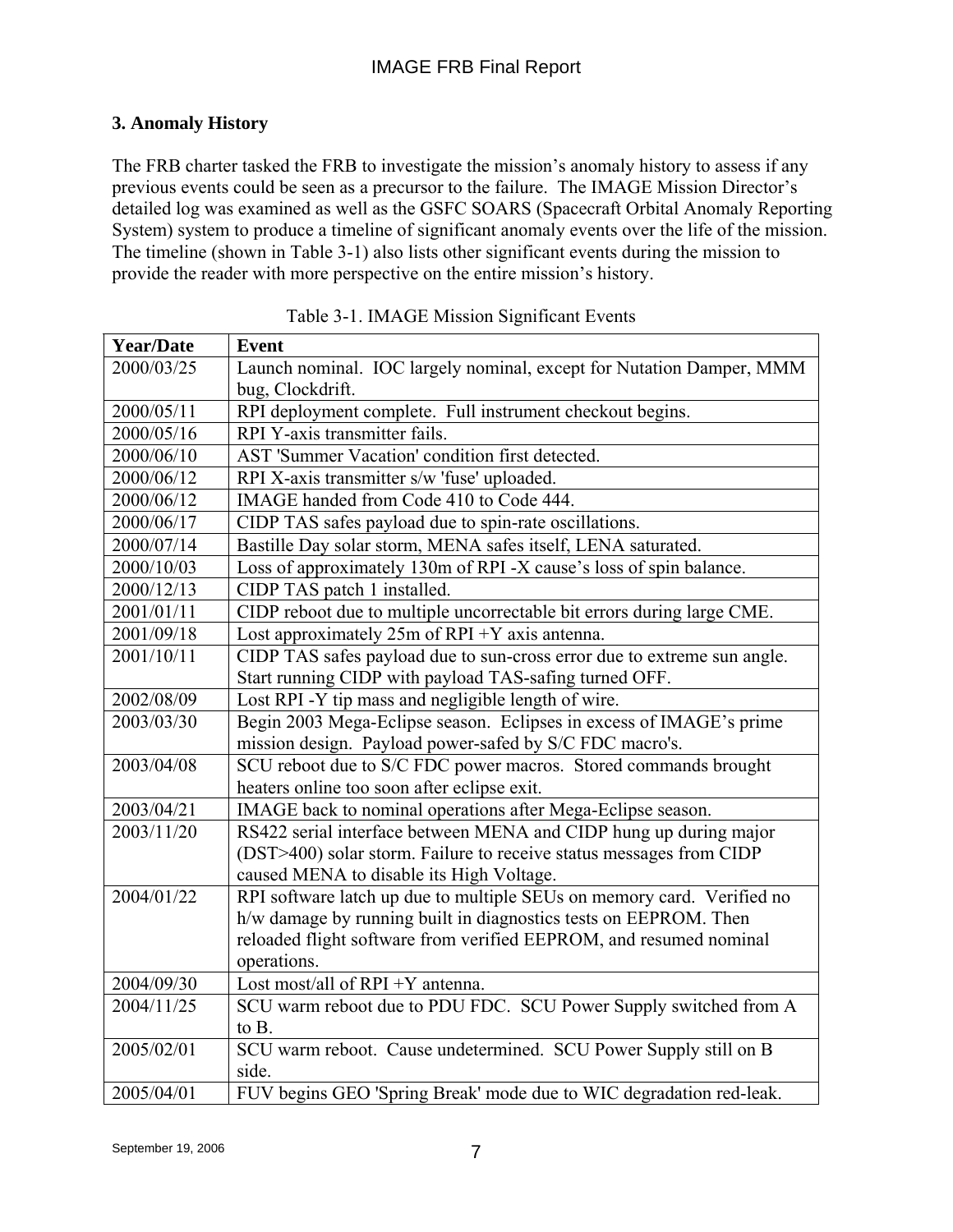## **3. Anomaly History**

The FRB charter tasked the FRB to investigate the mission's anomaly history to assess if any previous events could be seen as a precursor to the failure. The IMAGE Mission Director's detailed log was examined as well as the GSFC SOARS (Spacecraft Orbital Anomaly Reporting System) system to produce a timeline of significant anomaly events over the life of the mission. The timeline (shown in Table 3-1) also lists other significant events during the mission to provide the reader with more perspective on the entire mission's history.

| <b>Year/Date</b> | <b>Event</b>                                                            |
|------------------|-------------------------------------------------------------------------|
| 2000/03/25       | Launch nominal. IOC largely nominal, except for Nutation Damper, MMM    |
|                  | bug, Clockdrift.                                                        |
| 2000/05/11       | RPI deployment complete. Full instrument checkout begins.               |
| 2000/05/16       | RPI Y-axis transmitter fails.                                           |
| 2000/06/10       | AST 'Summer Vacation' condition first detected.                         |
| 2000/06/12       | RPI X-axis transmitter s/w 'fuse' uploaded.                             |
| 2000/06/12       | IMAGE handed from Code 410 to Code 444.                                 |
| 2000/06/17       | CIDP TAS safes payload due to spin-rate oscillations.                   |
| 2000/07/14       | Bastille Day solar storm, MENA safes itself, LENA saturated.            |
| 2000/10/03       | Loss of approximately 130m of RPI -X cause's loss of spin balance.      |
| 2000/12/13       | CIDP TAS patch 1 installed.                                             |
| 2001/01/11       | CIDP reboot due to multiple uncorrectable bit errors during large CME.  |
| 2001/09/18       | Lost approximately $25m$ of RPI +Y axis antenna.                        |
| 2001/10/11       | CIDP TAS safes payload due to sun-cross error due to extreme sun angle. |
|                  | Start running CIDP with payload TAS-safing turned OFF.                  |
| 2002/08/09       | Lost RPI -Y tip mass and negligible length of wire.                     |
| 2003/03/30       | Begin 2003 Mega-Eclipse season. Eclipses in excess of IMAGE's prime     |
|                  | mission design. Payload power-safed by S/C FDC macro's.                 |
| 2003/04/08       | SCU reboot due to S/C FDC power macros. Stored commands brought         |
|                  | heaters online too soon after eclipse exit.                             |
| 2003/04/21       | IMAGE back to nominal operations after Mega-Eclipse season.             |
| 2003/11/20       | RS422 serial interface between MENA and CIDP hung up during major       |
|                  | (DST>400) solar storm. Failure to receive status messages from CIDP     |
|                  | caused MENA to disable its High Voltage.                                |
| 2004/01/22       | RPI software latch up due to multiple SEUs on memory card. Verified no  |
|                  | h/w damage by running built in diagnostics tests on EEPROM. Then        |
|                  | reloaded flight software from verified EEPROM, and resumed nominal      |
|                  | operations.                                                             |
| 2004/09/30       | Lost most/all of RPI +Y antenna.                                        |
| 2004/11/25       | SCU warm reboot due to PDU FDC. SCU Power Supply switched from A        |
|                  | to B.                                                                   |
| 2005/02/01       | SCU warm reboot. Cause undetermined. SCU Power Supply still on B        |
|                  | side.                                                                   |
| 2005/04/01       | FUV begins GEO 'Spring Break' mode due to WIC degradation red-leak.     |

Table 3-1. IMAGE Mission Significant Events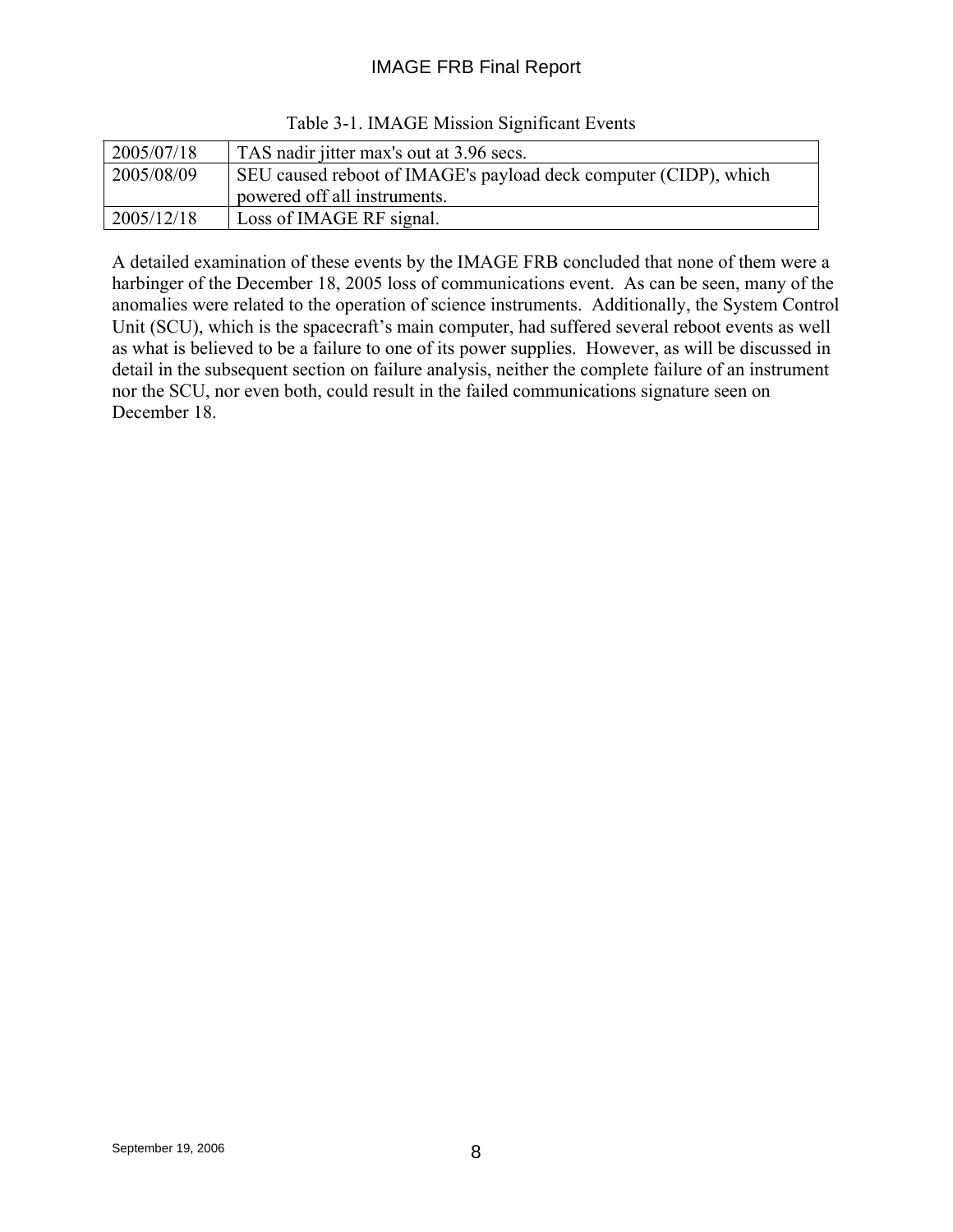## IMAGE FRB Final Report

| 2005/07/18 | TAS nadir jitter max's out at 3.96 secs.                         |
|------------|------------------------------------------------------------------|
| 2005/08/09 | SEU caused reboot of IMAGE's payload deck computer (CIDP), which |
|            | powered off all instruments.                                     |
| 2005/12/18 | Loss of IMAGE RF signal.                                         |

Table 3-1. IMAGE Mission Significant Events

A detailed examination of these events by the IMAGE FRB concluded that none of them were a harbinger of the December 18, 2005 loss of communications event. As can be seen, many of the anomalies were related to the operation of science instruments. Additionally, the System Control Unit (SCU), which is the spacecraft's main computer, had suffered several reboot events as well as what is believed to be a failure to one of its power supplies. However, as will be discussed in detail in the subsequent section on failure analysis, neither the complete failure of an instrument nor the SCU, nor even both, could result in the failed communications signature seen on December 18.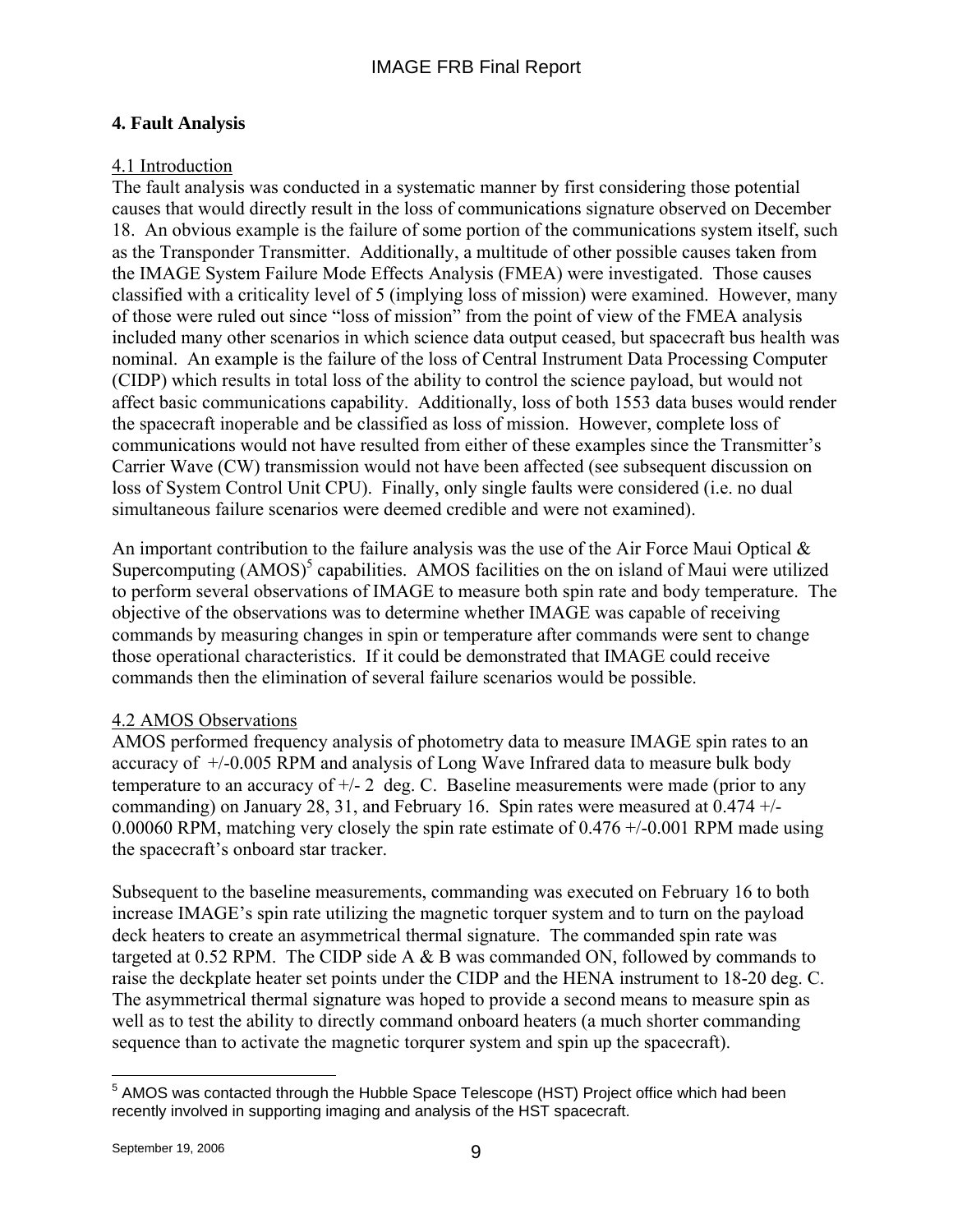## **4. Fault Analysis**

## 4.1 Introduction

The fault analysis was conducted in a systematic manner by first considering those potential causes that would directly result in the loss of communications signature observed on December 18. An obvious example is the failure of some portion of the communications system itself, such as the Transponder Transmitter. Additionally, a multitude of other possible causes taken from the IMAGE System Failure Mode Effects Analysis (FMEA) were investigated. Those causes classified with a criticality level of 5 (implying loss of mission) were examined. However, many of those were ruled out since "loss of mission" from the point of view of the FMEA analysis included many other scenarios in which science data output ceased, but spacecraft bus health was nominal. An example is the failure of the loss of Central Instrument Data Processing Computer (CIDP) which results in total loss of the ability to control the science payload, but would not affect basic communications capability. Additionally, loss of both 1553 data buses would render the spacecraft inoperable and be classified as loss of mission. However, complete loss of communications would not have resulted from either of these examples since the Transmitter's Carrier Wave (CW) transmission would not have been affected (see subsequent discussion on loss of System Control Unit CPU). Finally, only single faults were considered (i.e. no dual simultaneous failure scenarios were deemed credible and were not examined).

An important contribution to the failure analysis was the use of the Air Force Maui Optical  $\&$ Supercomputing  $(AMOS)^5$  capabilities. AMOS facilities on the on island of Maui were utilized to perform several observations of IMAGE to measure both spin rate and body temperature. The objective of the observations was to determine whether IMAGE was capable of receiving commands by measuring changes in spin or temperature after commands were sent to change those operational characteristics. If it could be demonstrated that IMAGE could receive commands then the elimination of several failure scenarios would be possible.

### 4.2 AMOS Observations

AMOS performed frequency analysis of photometry data to measure IMAGE spin rates to an accuracy of +/-0.005 RPM and analysis of Long Wave Infrared data to measure bulk body temperature to an accuracy of  $\pm/2$  deg. C. Baseline measurements were made (prior to any commanding) on January 28, 31, and February 16. Spin rates were measured at  $0.474 +/-$ 0.00060 RPM, matching very closely the spin rate estimate of 0.476 +/-0.001 RPM made using the spacecraft's onboard star tracker.

Subsequent to the baseline measurements, commanding was executed on February 16 to both increase IMAGE's spin rate utilizing the magnetic torquer system and to turn on the payload deck heaters to create an asymmetrical thermal signature. The commanded spin rate was targeted at 0.52 RPM. The CIDP side A & B was commanded ON, followed by commands to raise the deckplate heater set points under the CIDP and the HENA instrument to 18-20 deg. C. The asymmetrical thermal signature was hoped to provide a second means to measure spin as well as to test the ability to directly command onboard heaters (a much shorter commanding sequence than to activate the magnetic torqurer system and spin up the spacecraft).

 5 AMOS was contacted through the Hubble Space Telescope (HST) Project office which had been recently involved in supporting imaging and analysis of the HST spacecraft.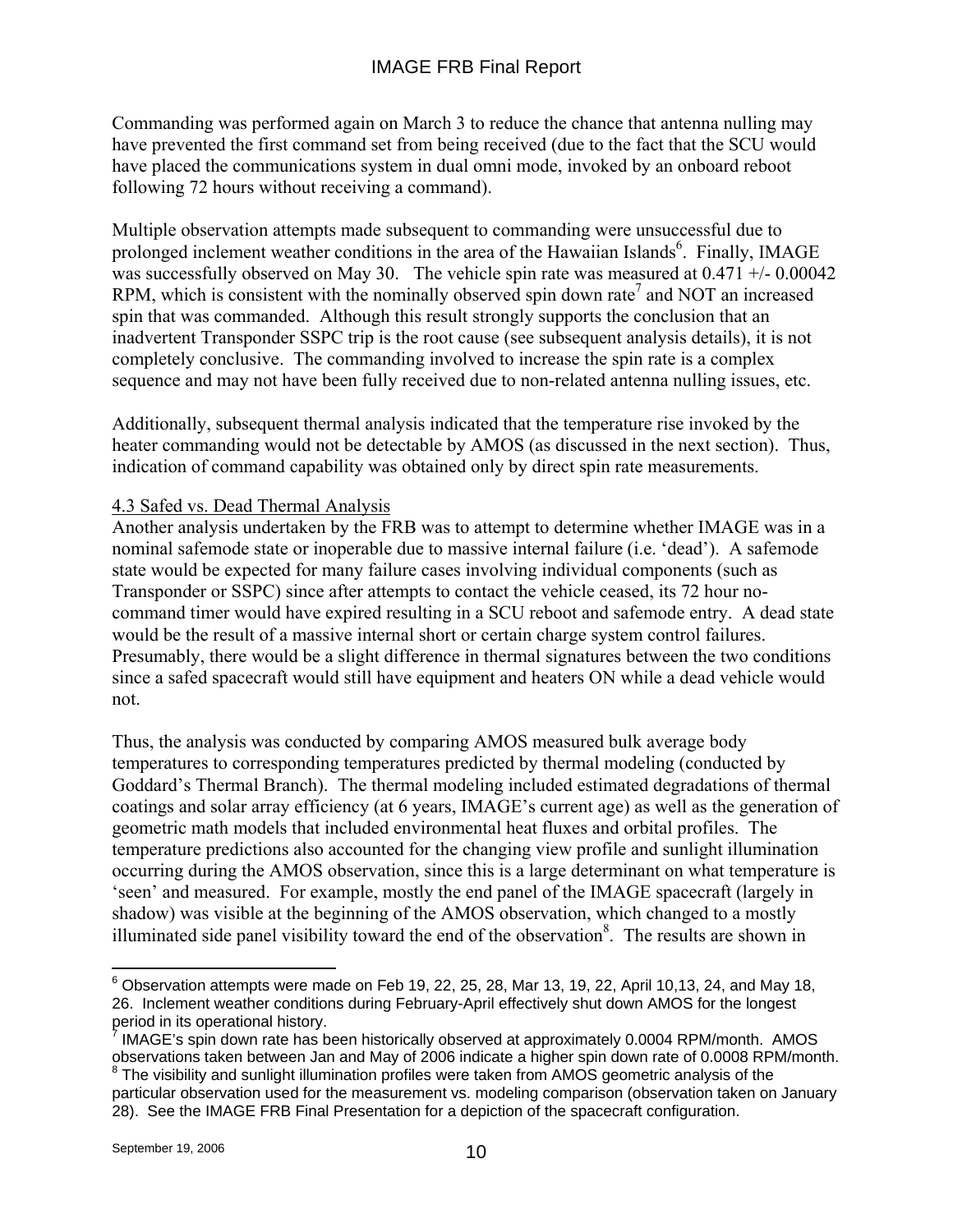Commanding was performed again on March 3 to reduce the chance that antenna nulling may have prevented the first command set from being received (due to the fact that the SCU would have placed the communications system in dual omni mode, invoked by an onboard reboot following 72 hours without receiving a command).

Multiple observation attempts made subsequent to commanding were unsuccessful due to prolonged inclement weather conditions in the area of the Hawaiian Islands<sup>6</sup>. Finally, IMAGE was successfully observed on May 30. The vehicle spin rate was measured at  $0.471 + 0.00042$ RPM, which is consistent with the nominally observed spin down rate<sup>7</sup> and NOT an increased spin that was commanded. Although this result strongly supports the conclusion that an inadvertent Transponder SSPC trip is the root cause (see subsequent analysis details), it is not completely conclusive. The commanding involved to increase the spin rate is a complex sequence and may not have been fully received due to non-related antenna nulling issues, etc.

Additionally, subsequent thermal analysis indicated that the temperature rise invoked by the heater commanding would not be detectable by AMOS (as discussed in the next section). Thus, indication of command capability was obtained only by direct spin rate measurements.

### 4.3 Safed vs. Dead Thermal Analysis

Another analysis undertaken by the FRB was to attempt to determine whether IMAGE was in a nominal safemode state or inoperable due to massive internal failure (i.e. 'dead'). A safemode state would be expected for many failure cases involving individual components (such as Transponder or SSPC) since after attempts to contact the vehicle ceased, its 72 hour nocommand timer would have expired resulting in a SCU reboot and safemode entry. A dead state would be the result of a massive internal short or certain charge system control failures. Presumably, there would be a slight difference in thermal signatures between the two conditions since a safed spacecraft would still have equipment and heaters ON while a dead vehicle would not.

Thus, the analysis was conducted by comparing AMOS measured bulk average body temperatures to corresponding temperatures predicted by thermal modeling (conducted by Goddard's Thermal Branch). The thermal modeling included estimated degradations of thermal coatings and solar array efficiency (at 6 years, IMAGE's current age) as well as the generation of geometric math models that included environmental heat fluxes and orbital profiles. The temperature predictions also accounted for the changing view profile and sunlight illumination occurring during the AMOS observation, since this is a large determinant on what temperature is 'seen' and measured. For example, mostly the end panel of the IMAGE spacecraft (largely in shadow) was visible at the beginning of the AMOS observation, which changed to a mostly illuminated side panel visibility toward the end of the observation<sup>8</sup>. The results are shown in

 $\overline{a}$ 

 $^6$  Observation attempts were made on Feb 19, 22, 25, 28, Mar 13, 19, 22, April 10,13, 24, and May 18, 26. Inclement weather conditions during February-April effectively shut down AMOS for the longest period in its operational history.

<sup>7</sup> IMAGE's spin down rate has been historically observed at approximately 0.0004 RPM/month. AMOS observations taken between Jan and May of 2006 indicate a higher spin down rate of 0.0008 RPM/month. 8  $8$  The visibility and sunlight illumination profiles were taken from AMOS geometric analysis of the

particular observation used for the measurement vs. modeling comparison (observation taken on January 28). See the IMAGE FRB Final Presentation for a depiction of the spacecraft configuration.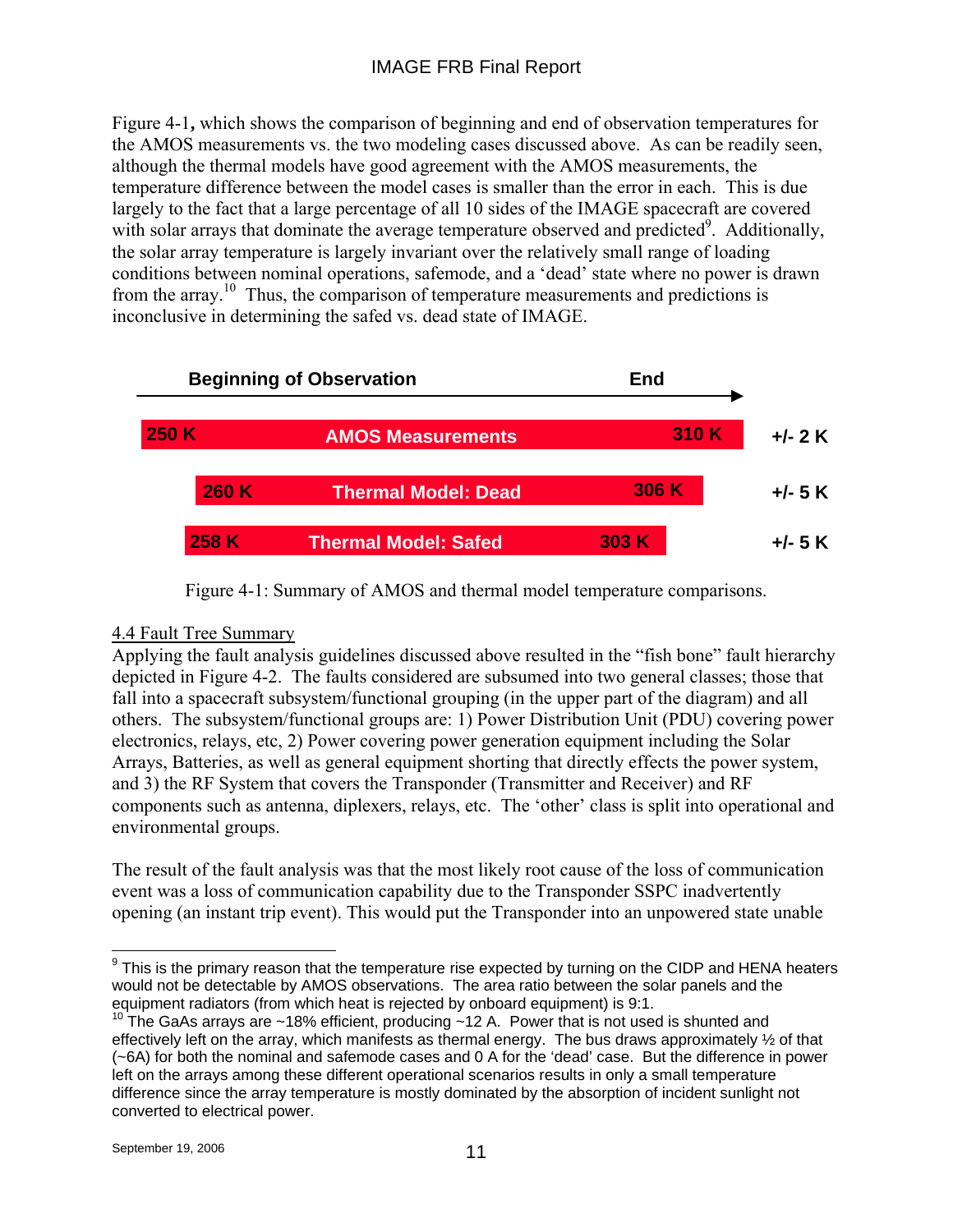## IMAGE FRB Final Report

Figure 4-1**,** which shows the comparison of beginning and end of observation temperatures for the AMOS measurements vs. the two modeling cases discussed above. As can be readily seen, although the thermal models have good agreement with the AMOS measurements, the temperature difference between the model cases is smaller than the error in each. This is due largely to the fact that a large percentage of all 10 sides of the IMAGE spacecraft are covered with solar arrays that dominate the average temperature observed and predicted<sup>9</sup>. Additionally, the solar array temperature is largely invariant over the relatively small range of loading conditions between nominal operations, safemode, and a 'dead' state where no power is drawn from the array.<sup>10</sup> Thus, the comparison of temperature measurements and predictions is inconclusive in determining the safed vs. dead state of IMAGE.



Figure 4-1: Summary of AMOS and thermal model temperature comparisons.

### 4.4 Fault Tree Summary

Applying the fault analysis guidelines discussed above resulted in the "fish bone" fault hierarchy depicted in Figure 4-2. The faults considered are subsumed into two general classes; those that fall into a spacecraft subsystem/functional grouping (in the upper part of the diagram) and all others. The subsystem/functional groups are: 1) Power Distribution Unit (PDU) covering power electronics, relays, etc, 2) Power covering power generation equipment including the Solar Arrays, Batteries, as well as general equipment shorting that directly effects the power system, and 3) the RF System that covers the Transponder (Transmitter and Receiver) and RF components such as antenna, diplexers, relays, etc. The 'other' class is split into operational and environmental groups.

The result of the fault analysis was that the most likely root cause of the loss of communication event was a loss of communication capability due to the Transponder SSPC inadvertently opening (an instant trip event). This would put the Transponder into an unpowered state unable

 $\overline{a}$  $9$  This is the primary reason that the temperature rise expected by turning on the CIDP and HENA heaters would not be detectable by AMOS observations. The area ratio between the solar panels and the equipment radiators (from which heat is rejected by onboard equipment) is 9:1.

<sup>&</sup>lt;sup>10</sup> The GaAs arrays are ~18% efficient, producing ~12 A. Power that is not used is shunted and effectively left on the array, which manifests as thermal energy. The bus draws approximately ½ of that (~6A) for both the nominal and safemode cases and 0 A for the 'dead' case. But the difference in power left on the arrays among these different operational scenarios results in only a small temperature difference since the array temperature is mostly dominated by the absorption of incident sunlight not converted to electrical power.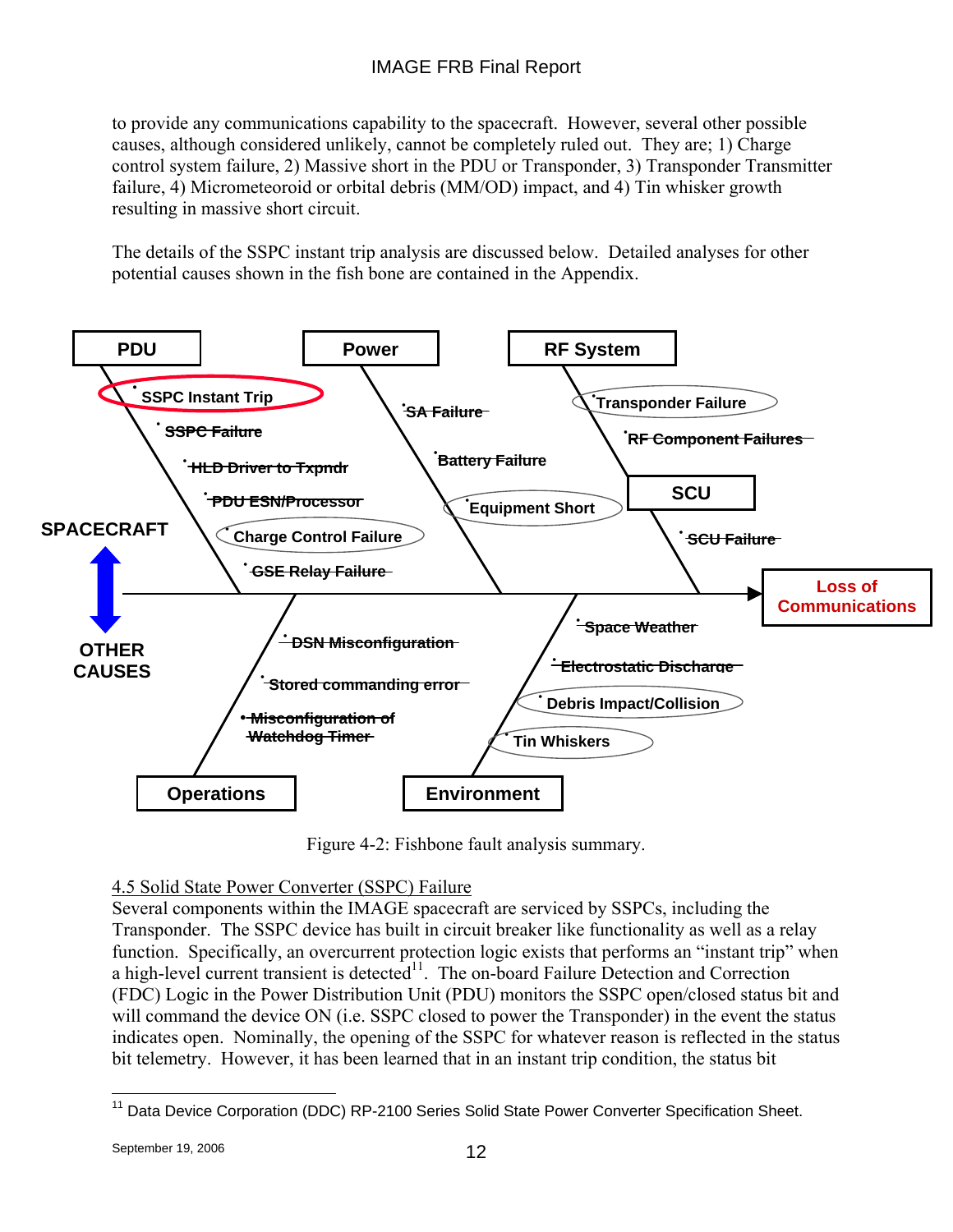to provide any communications capability to the spacecraft. However, several other possible causes, although considered unlikely, cannot be completely ruled out. They are; 1) Charge control system failure, 2) Massive short in the PDU or Transponder, 3) Transponder Transmitter failure, 4) Micrometeoroid or orbital debris (MM/OD) impact, and 4) Tin whisker growth resulting in massive short circuit.

The details of the SSPC instant trip analysis are discussed below. Detailed analyses for other potential causes shown in the fish bone are contained in the Appendix.



Figure 4-2: Fishbone fault analysis summary.

### 4.5 Solid State Power Converter (SSPC) Failure

Several components within the IMAGE spacecraft are serviced by SSPCs, including the Transponder. The SSPC device has built in circuit breaker like functionality as well as a relay function. Specifically, an overcurrent protection logic exists that performs an "instant trip" when a high-level current transient is detected $11$ . The on-board Failure Detection and Correction (FDC) Logic in the Power Distribution Unit (PDU) monitors the SSPC open/closed status bit and will command the device ON (i.e. SSPC closed to power the Transponder) in the event the status indicates open. Nominally, the opening of the SSPC for whatever reason is reflected in the status bit telemetry. However, it has been learned that in an instant trip condition, the status bit

 $\overline{a}$ <sup>11</sup> Data Device Corporation (DDC) RP-2100 Series Solid State Power Converter Specification Sheet.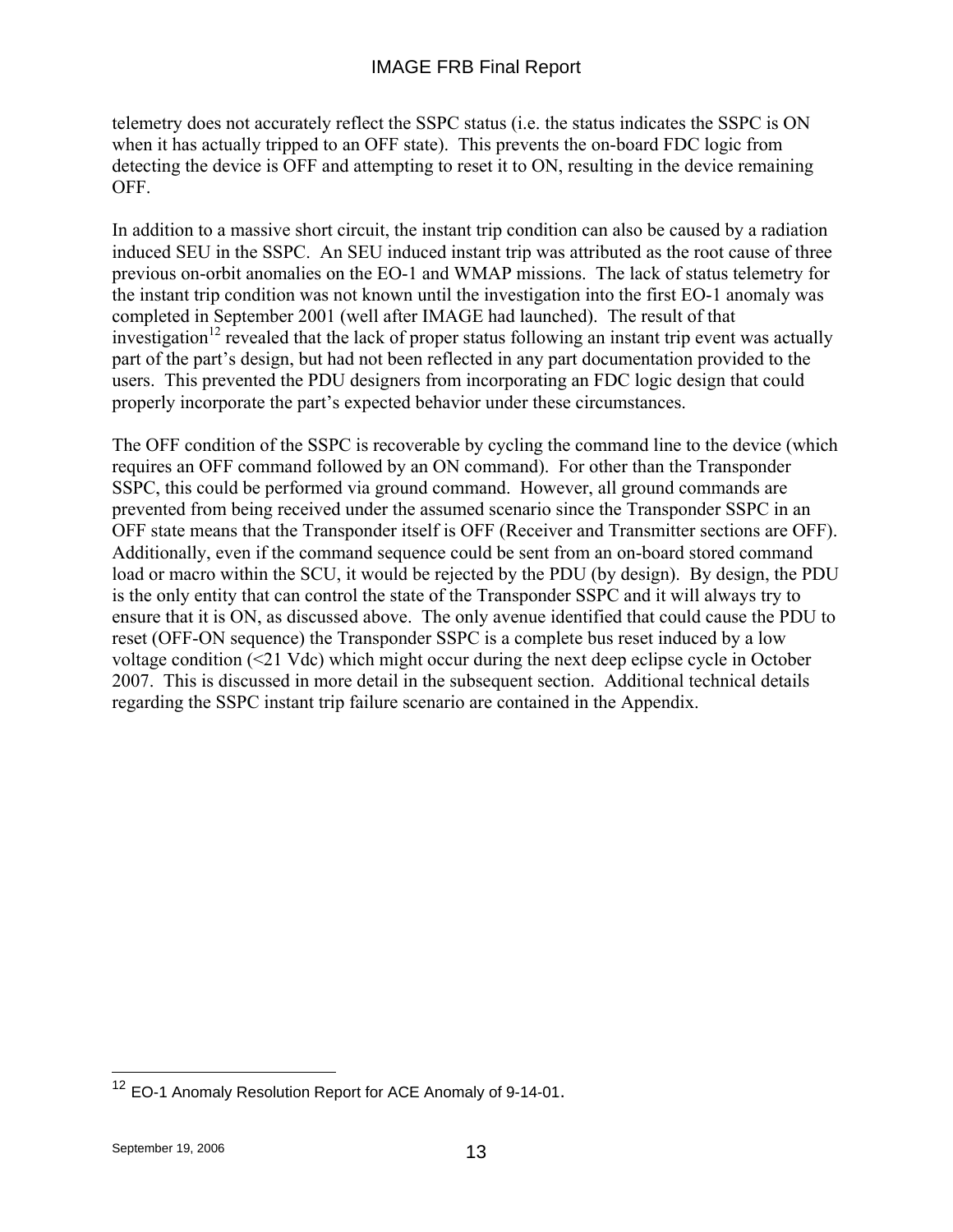telemetry does not accurately reflect the SSPC status (i.e. the status indicates the SSPC is ON when it has actually tripped to an OFF state). This prevents the on-board FDC logic from detecting the device is OFF and attempting to reset it to ON, resulting in the device remaining OFF.

In addition to a massive short circuit, the instant trip condition can also be caused by a radiation induced SEU in the SSPC. An SEU induced instant trip was attributed as the root cause of three previous on-orbit anomalies on the EO-1 and WMAP missions. The lack of status telemetry for the instant trip condition was not known until the investigation into the first EO-1 anomaly was completed in September 2001 (well after IMAGE had launched). The result of that investigation<sup>12</sup> revealed that the lack of proper status following an instant trip event was actually part of the part's design, but had not been reflected in any part documentation provided to the users. This prevented the PDU designers from incorporating an FDC logic design that could properly incorporate the part's expected behavior under these circumstances.

The OFF condition of the SSPC is recoverable by cycling the command line to the device (which requires an OFF command followed by an ON command). For other than the Transponder SSPC, this could be performed via ground command. However, all ground commands are prevented from being received under the assumed scenario since the Transponder SSPC in an OFF state means that the Transponder itself is OFF (Receiver and Transmitter sections are OFF). Additionally, even if the command sequence could be sent from an on-board stored command load or macro within the SCU, it would be rejected by the PDU (by design). By design, the PDU is the only entity that can control the state of the Transponder SSPC and it will always try to ensure that it is ON, as discussed above. The only avenue identified that could cause the PDU to reset (OFF-ON sequence) the Transponder SSPC is a complete bus reset induced by a low voltage condition (<21 Vdc) which might occur during the next deep eclipse cycle in October 2007. This is discussed in more detail in the subsequent section. Additional technical details regarding the SSPC instant trip failure scenario are contained in the Appendix.

 $\overline{a}$ 

<sup>&</sup>lt;sup>12</sup> EO-1 Anomaly Resolution Report for ACE Anomaly of 9-14-01.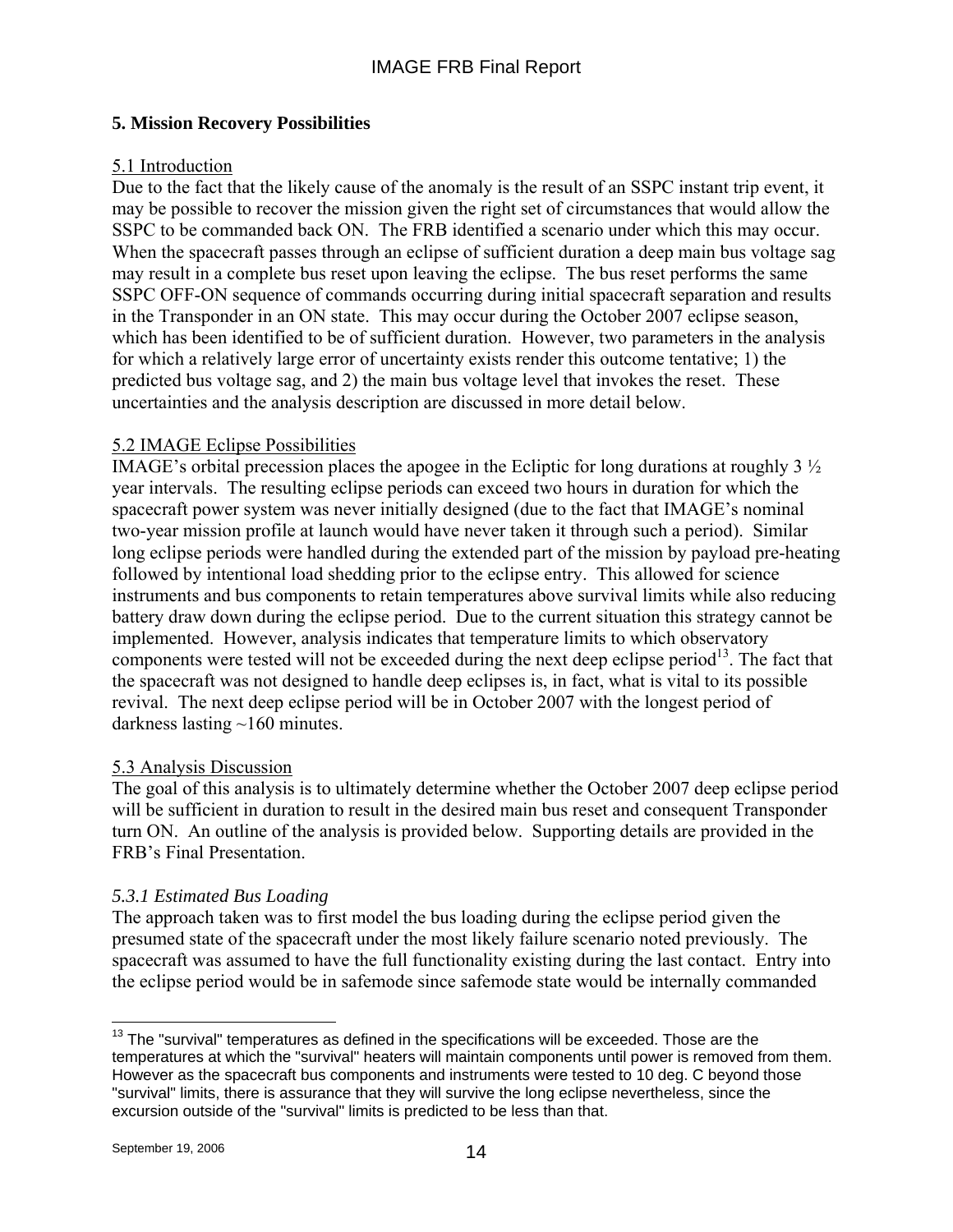## **5. Mission Recovery Possibilities**

## 5.1 Introduction

Due to the fact that the likely cause of the anomaly is the result of an SSPC instant trip event, it may be possible to recover the mission given the right set of circumstances that would allow the SSPC to be commanded back ON. The FRB identified a scenario under which this may occur. When the spacecraft passes through an eclipse of sufficient duration a deep main bus voltage sag may result in a complete bus reset upon leaving the eclipse. The bus reset performs the same SSPC OFF-ON sequence of commands occurring during initial spacecraft separation and results in the Transponder in an ON state. This may occur during the October 2007 eclipse season, which has been identified to be of sufficient duration. However, two parameters in the analysis for which a relatively large error of uncertainty exists render this outcome tentative; 1) the predicted bus voltage sag, and 2) the main bus voltage level that invokes the reset. These uncertainties and the analysis description are discussed in more detail below.

### 5.2 IMAGE Eclipse Possibilities

IMAGE's orbital precession places the apogee in the Ecliptic for long durations at roughly 3 ½ year intervals. The resulting eclipse periods can exceed two hours in duration for which the spacecraft power system was never initially designed (due to the fact that IMAGE's nominal two-year mission profile at launch would have never taken it through such a period). Similar long eclipse periods were handled during the extended part of the mission by payload pre-heating followed by intentional load shedding prior to the eclipse entry. This allowed for science instruments and bus components to retain temperatures above survival limits while also reducing battery draw down during the eclipse period. Due to the current situation this strategy cannot be implemented. However, analysis indicates that temperature limits to which observatory components were tested will not be exceeded during the next deep eclipse period<sup>13</sup>. The fact that the spacecraft was not designed to handle deep eclipses is, in fact, what is vital to its possible revival. The next deep eclipse period will be in October 2007 with the longest period of darkness lasting ~160 minutes.

### 5.3 Analysis Discussion

The goal of this analysis is to ultimately determine whether the October 2007 deep eclipse period will be sufficient in duration to result in the desired main bus reset and consequent Transponder turn ON. An outline of the analysis is provided below. Supporting details are provided in the FRB's Final Presentation.

## *5.3.1 Estimated Bus Loading*

The approach taken was to first model the bus loading during the eclipse period given the presumed state of the spacecraft under the most likely failure scenario noted previously. The spacecraft was assumed to have the full functionality existing during the last contact. Entry into the eclipse period would be in safemode since safemode state would be internally commanded

 $\overline{a}$  $13$  The "survival" temperatures as defined in the specifications will be exceeded. Those are the temperatures at which the "survival" heaters will maintain components until power is removed from them. However as the spacecraft bus components and instruments were tested to 10 deg. C beyond those "survival" limits, there is assurance that they will survive the long eclipse nevertheless, since the excursion outside of the "survival" limits is predicted to be less than that.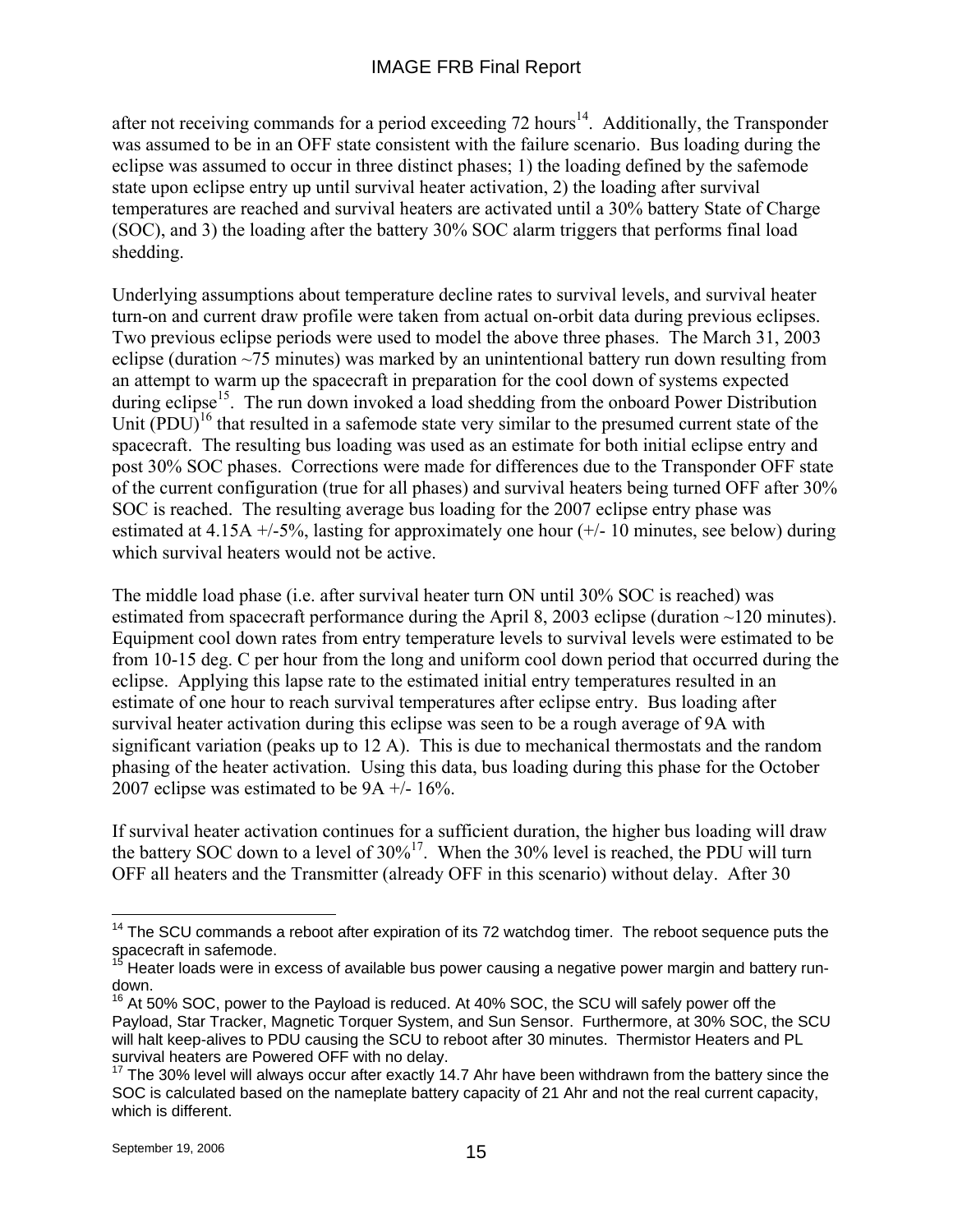after not receiving commands for a period exceeding  $72$  hours<sup>14</sup>. Additionally, the Transponder was assumed to be in an OFF state consistent with the failure scenario. Bus loading during the eclipse was assumed to occur in three distinct phases; 1) the loading defined by the safemode state upon eclipse entry up until survival heater activation, 2) the loading after survival temperatures are reached and survival heaters are activated until a 30% battery State of Charge (SOC), and 3) the loading after the battery 30% SOC alarm triggers that performs final load shedding.

Underlying assumptions about temperature decline rates to survival levels, and survival heater turn-on and current draw profile were taken from actual on-orbit data during previous eclipses. Two previous eclipse periods were used to model the above three phases. The March 31, 2003 eclipse (duration ~75 minutes) was marked by an unintentional battery run down resulting from an attempt to warm up the spacecraft in preparation for the cool down of systems expected during eclipse<sup>15</sup>. The run down invoked a load shedding from the onboard Power Distribution Unit  $( PDU)^{16}$  that resulted in a safemode state very similar to the presumed current state of the spacecraft. The resulting bus loading was used as an estimate for both initial eclipse entry and post 30% SOC phases. Corrections were made for differences due to the Transponder OFF state of the current configuration (true for all phases) and survival heaters being turned OFF after 30% SOC is reached. The resulting average bus loading for the 2007 eclipse entry phase was estimated at 4.15A  $+/-5\%$ , lasting for approximately one hour  $(+/-10$  minutes, see below) during which survival heaters would not be active.

The middle load phase (i.e. after survival heater turn ON until 30% SOC is reached) was estimated from spacecraft performance during the April 8, 2003 eclipse (duration ~120 minutes). Equipment cool down rates from entry temperature levels to survival levels were estimated to be from 10-15 deg. C per hour from the long and uniform cool down period that occurred during the eclipse. Applying this lapse rate to the estimated initial entry temperatures resulted in an estimate of one hour to reach survival temperatures after eclipse entry. Bus loading after survival heater activation during this eclipse was seen to be a rough average of 9A with significant variation (peaks up to 12 A). This is due to mechanical thermostats and the random phasing of the heater activation. Using this data, bus loading during this phase for the October 2007 eclipse was estimated to be  $9A +16\%$ .

If survival heater activation continues for a sufficient duration, the higher bus loading will draw the battery SOC down to a level of  $30\%$ <sup>17</sup>. When the 30% level is reached, the PDU will turn OFF all heaters and the Transmitter (already OFF in this scenario) without delay. After 30

 $\overline{a}$ 

 $14$  The SCU commands a reboot after expiration of its 72 watchdog timer. The reboot sequence puts the spacecraft in safemode.

<sup>&</sup>lt;sup>15</sup> Heater loads were in excess of available bus power causing a negative power margin and battery rundown.

 $6$  At 50% SOC, power to the Payload is reduced. At 40% SOC, the SCU will safely power off the Payload, Star Tracker, Magnetic Torquer System, and Sun Sensor. Furthermore, at 30% SOC, the SCU will halt keep-alives to PDU causing the SCU to reboot after 30 minutes. Thermistor Heaters and PL survival heaters are Powered OFF with no delay.

 $17$  The 30% level will always occur after exactly 14.7 Ahr have been withdrawn from the battery since the SOC is calculated based on the nameplate battery capacity of 21 Ahr and not the real current capacity, which is different.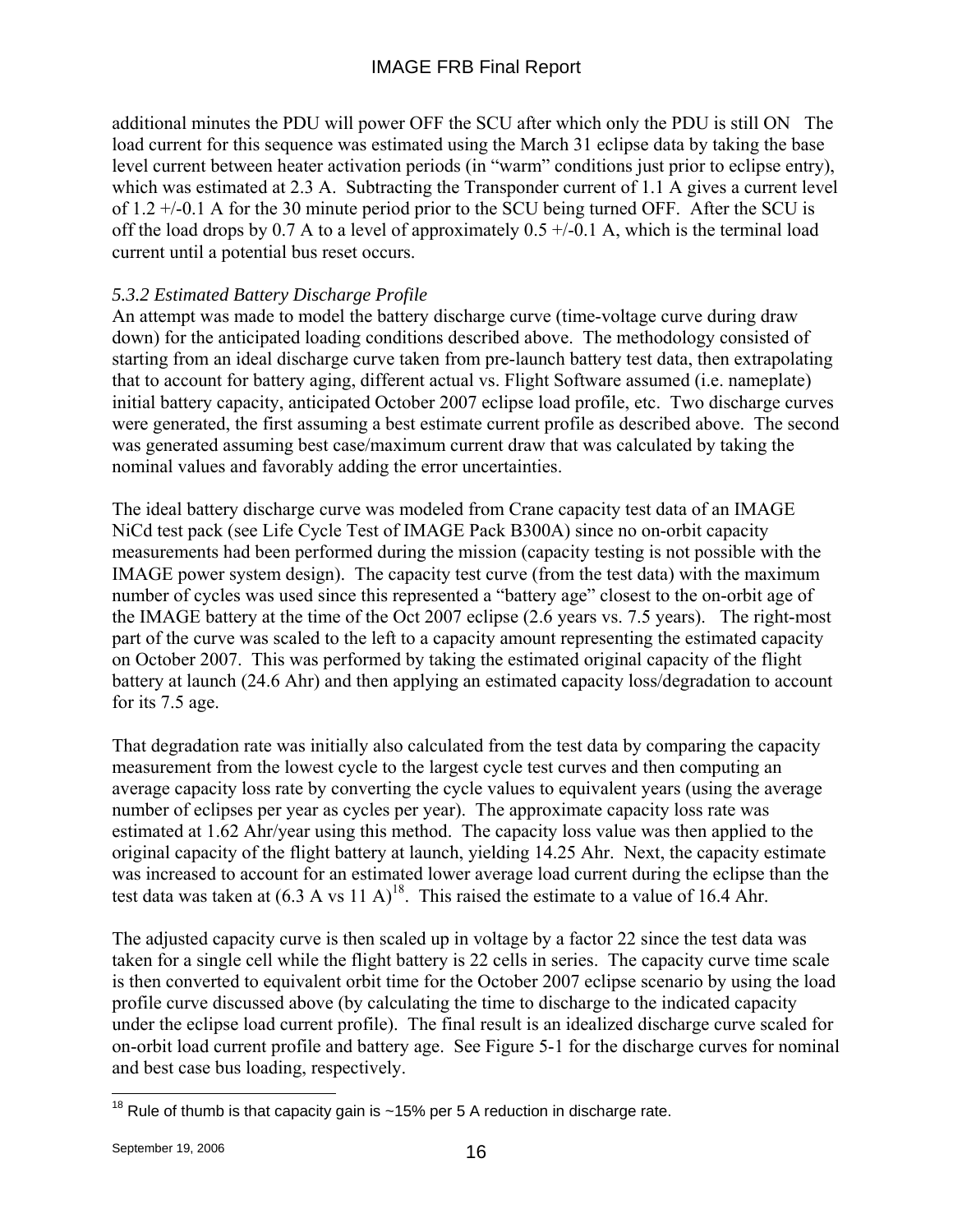additional minutes the PDU will power OFF the SCU after which only the PDU is still ON The load current for this sequence was estimated using the March 31 eclipse data by taking the base level current between heater activation periods (in "warm" conditions just prior to eclipse entry), which was estimated at 2.3 A. Subtracting the Transponder current of 1.1 A gives a current level of 1.2 +/-0.1 A for the 30 minute period prior to the SCU being turned OFF. After the SCU is off the load drops by 0.7 A to a level of approximately  $0.5 + (-0.1 \text{ A})$ , which is the terminal load current until a potential bus reset occurs.

## *5.3.2 Estimated Battery Discharge Profile*

An attempt was made to model the battery discharge curve (time-voltage curve during draw down) for the anticipated loading conditions described above. The methodology consisted of starting from an ideal discharge curve taken from pre-launch battery test data, then extrapolating that to account for battery aging, different actual vs. Flight Software assumed (i.e. nameplate) initial battery capacity, anticipated October 2007 eclipse load profile, etc. Two discharge curves were generated, the first assuming a best estimate current profile as described above. The second was generated assuming best case/maximum current draw that was calculated by taking the nominal values and favorably adding the error uncertainties.

The ideal battery discharge curve was modeled from Crane capacity test data of an IMAGE NiCd test pack (see Life Cycle Test of IMAGE Pack B300A) since no on-orbit capacity measurements had been performed during the mission (capacity testing is not possible with the IMAGE power system design). The capacity test curve (from the test data) with the maximum number of cycles was used since this represented a "battery age" closest to the on-orbit age of the IMAGE battery at the time of the Oct 2007 eclipse (2.6 years vs. 7.5 years). The right-most part of the curve was scaled to the left to a capacity amount representing the estimated capacity on October 2007. This was performed by taking the estimated original capacity of the flight battery at launch (24.6 Ahr) and then applying an estimated capacity loss/degradation to account for its 7.5 age.

That degradation rate was initially also calculated from the test data by comparing the capacity measurement from the lowest cycle to the largest cycle test curves and then computing an average capacity loss rate by converting the cycle values to equivalent years (using the average number of eclipses per year as cycles per year). The approximate capacity loss rate was estimated at 1.62 Ahr/year using this method. The capacity loss value was then applied to the original capacity of the flight battery at launch, yielding 14.25 Ahr. Next, the capacity estimate was increased to account for an estimated lower average load current during the eclipse than the test data was taken at  $(6.3 \text{ A vs } 11 \text{ A})^{18}$ . This raised the estimate to a value of 16.4 Ahr.

The adjusted capacity curve is then scaled up in voltage by a factor 22 since the test data was taken for a single cell while the flight battery is 22 cells in series. The capacity curve time scale is then converted to equivalent orbit time for the October 2007 eclipse scenario by using the load profile curve discussed above (by calculating the time to discharge to the indicated capacity under the eclipse load current profile). The final result is an idealized discharge curve scaled for on-orbit load current profile and battery age. See Figure 5-1 for the discharge curves for nominal and best case bus loading, respectively.

 $\overline{a}$ <sup>18</sup> Rule of thumb is that capacity gain is ~15% per 5 A reduction in discharge rate.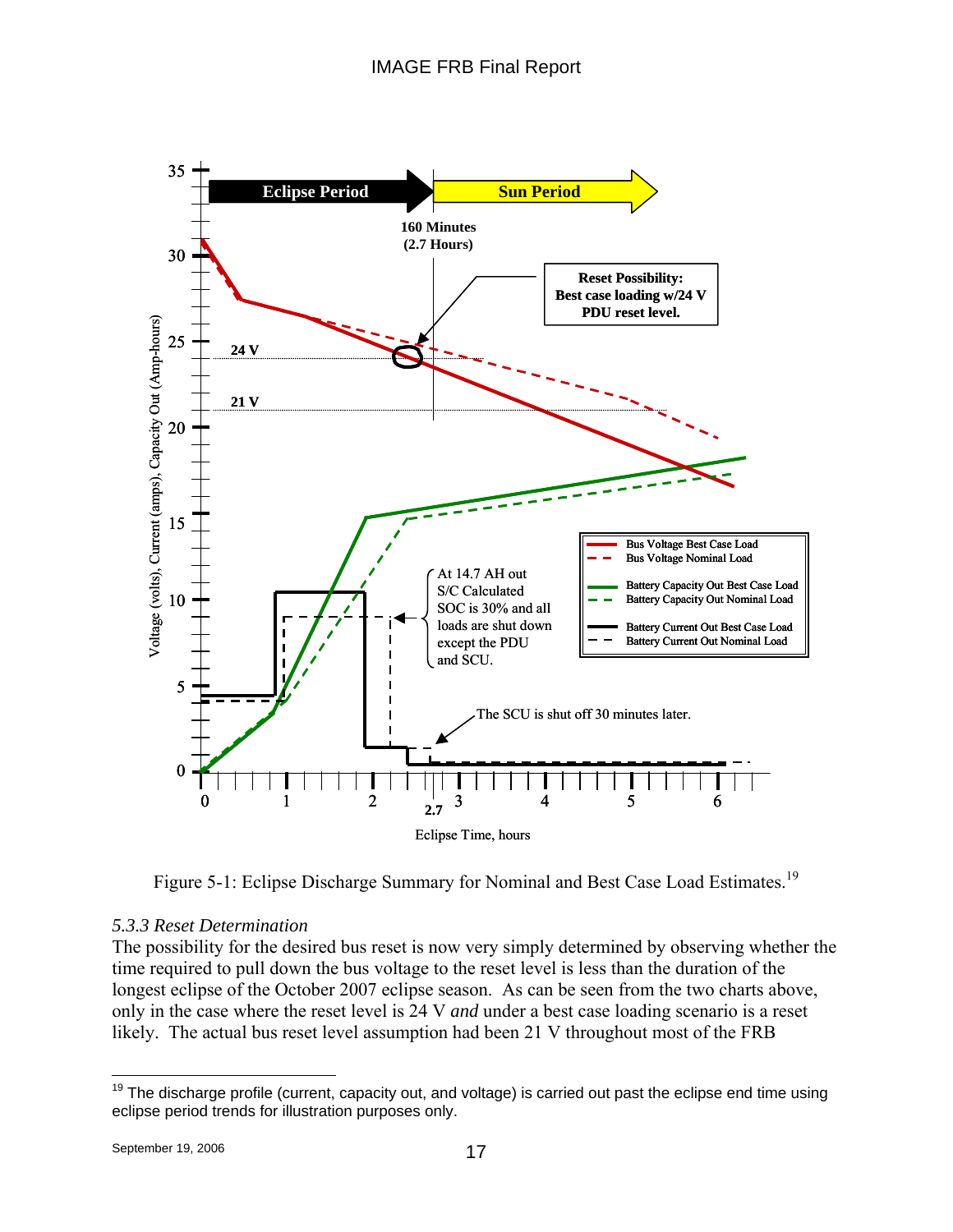

Figure 5-1: Eclipse Discharge Summary for Nominal and Best Case Load Estimates.<sup>19</sup>

### *5.3.3 Reset Determination*

The possibility for the desired bus reset is now very simply determined by observing whether the time required to pull down the bus voltage to the reset level is less than the duration of the longest eclipse of the October 2007 eclipse season. As can be seen from the two charts above, only in the case where the reset level is 24 V *and* under a best case loading scenario is a reset likely. The actual bus reset level assumption had been 21 V throughout most of the FRB

<sup>1</sup> <sup>19</sup> The discharge profile (current, capacity out, and voltage) is carried out past the eclipse end time using eclipse period trends for illustration purposes only.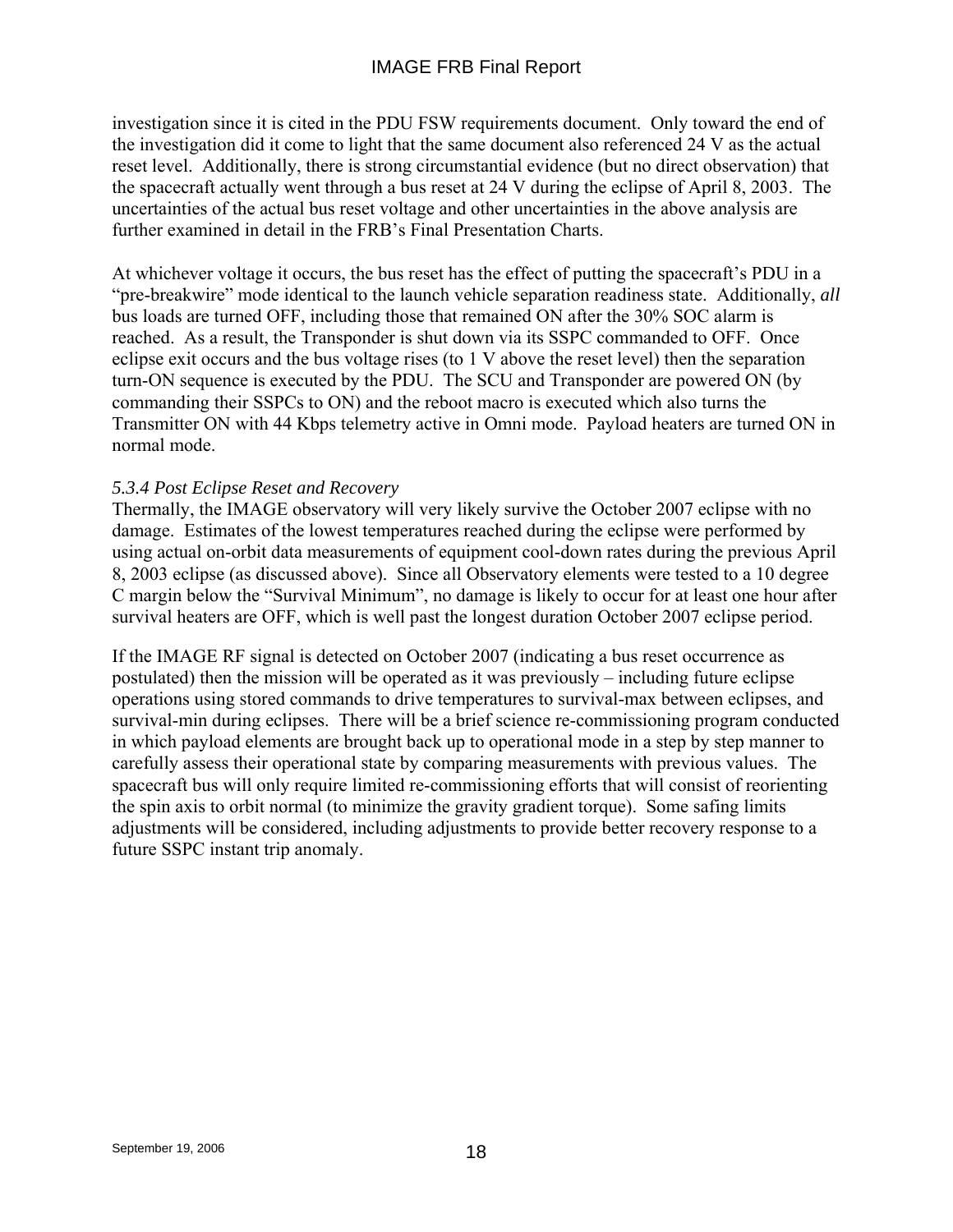investigation since it is cited in the PDU FSW requirements document. Only toward the end of the investigation did it come to light that the same document also referenced 24 V as the actual reset level. Additionally, there is strong circumstantial evidence (but no direct observation) that the spacecraft actually went through a bus reset at 24 V during the eclipse of April 8, 2003. The uncertainties of the actual bus reset voltage and other uncertainties in the above analysis are further examined in detail in the FRB's Final Presentation Charts.

At whichever voltage it occurs, the bus reset has the effect of putting the spacecraft's PDU in a "pre-breakwire" mode identical to the launch vehicle separation readiness state. Additionally, *all* bus loads are turned OFF, including those that remained ON after the 30% SOC alarm is reached. As a result, the Transponder is shut down via its SSPC commanded to OFF. Once eclipse exit occurs and the bus voltage rises (to 1 V above the reset level) then the separation turn-ON sequence is executed by the PDU. The SCU and Transponder are powered ON (by commanding their SSPCs to ON) and the reboot macro is executed which also turns the Transmitter ON with 44 Kbps telemetry active in Omni mode. Payload heaters are turned ON in normal mode.

### *5.3.4 Post Eclipse Reset and Recovery*

Thermally, the IMAGE observatory will very likely survive the October 2007 eclipse with no damage. Estimates of the lowest temperatures reached during the eclipse were performed by using actual on-orbit data measurements of equipment cool-down rates during the previous April 8, 2003 eclipse (as discussed above). Since all Observatory elements were tested to a 10 degree C margin below the "Survival Minimum", no damage is likely to occur for at least one hour after survival heaters are OFF, which is well past the longest duration October 2007 eclipse period.

If the IMAGE RF signal is detected on October 2007 (indicating a bus reset occurrence as postulated) then the mission will be operated as it was previously – including future eclipse operations using stored commands to drive temperatures to survival-max between eclipses, and survival-min during eclipses. There will be a brief science re-commissioning program conducted in which payload elements are brought back up to operational mode in a step by step manner to carefully assess their operational state by comparing measurements with previous values. The spacecraft bus will only require limited re-commissioning efforts that will consist of reorienting the spin axis to orbit normal (to minimize the gravity gradient torque). Some safing limits adjustments will be considered, including adjustments to provide better recovery response to a future SSPC instant trip anomaly.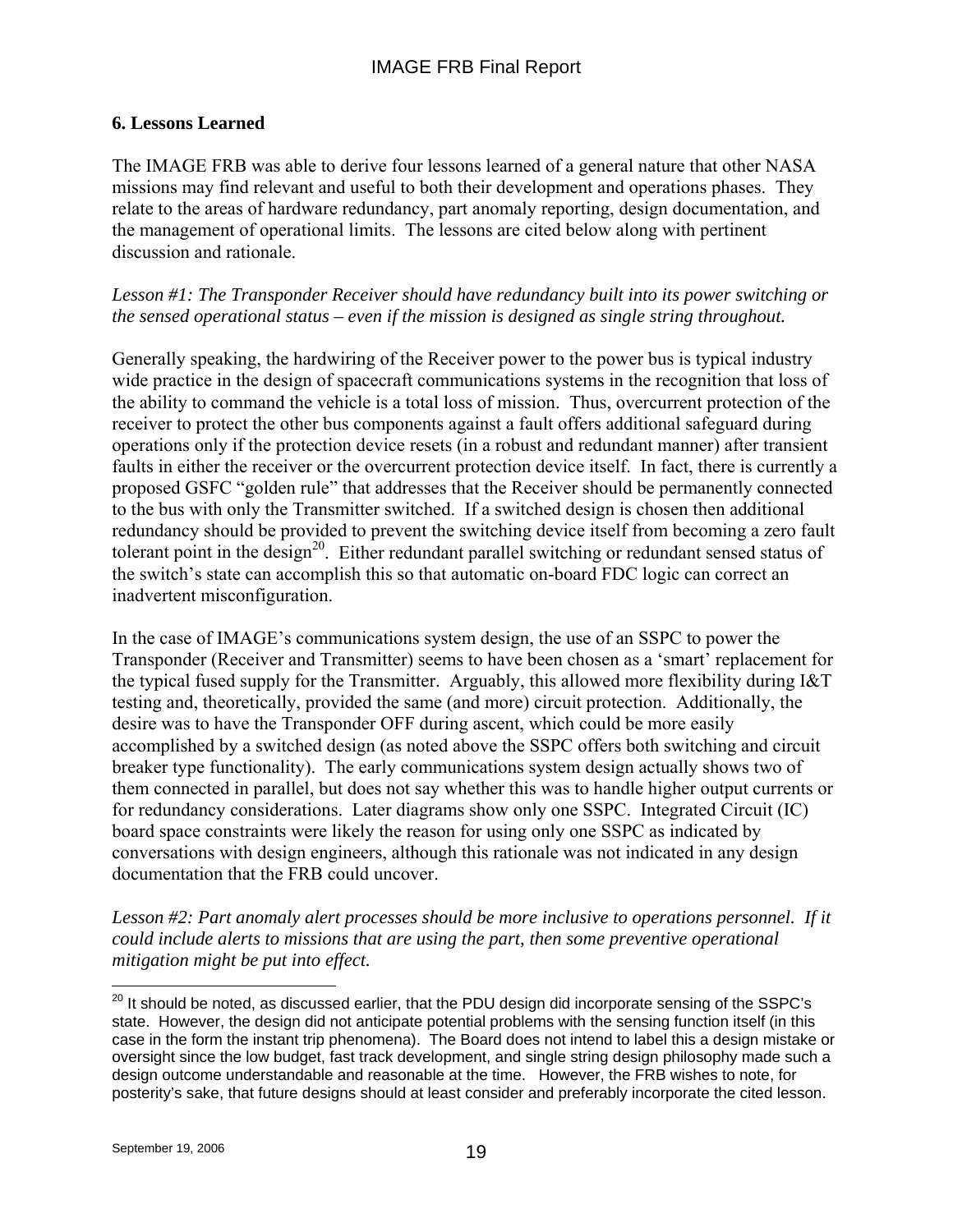## **6. Lessons Learned**

The IMAGE FRB was able to derive four lessons learned of a general nature that other NASA missions may find relevant and useful to both their development and operations phases. They relate to the areas of hardware redundancy, part anomaly reporting, design documentation, and the management of operational limits. The lessons are cited below along with pertinent discussion and rationale.

*Lesson #1: The Transponder Receiver should have redundancy built into its power switching or the sensed operational status – even if the mission is designed as single string throughout.* 

Generally speaking, the hardwiring of the Receiver power to the power bus is typical industry wide practice in the design of spacecraft communications systems in the recognition that loss of the ability to command the vehicle is a total loss of mission. Thus, overcurrent protection of the receiver to protect the other bus components against a fault offers additional safeguard during operations only if the protection device resets (in a robust and redundant manner) after transient faults in either the receiver or the overcurrent protection device itself. In fact, there is currently a proposed GSFC "golden rule" that addresses that the Receiver should be permanently connected to the bus with only the Transmitter switched. If a switched design is chosen then additional redundancy should be provided to prevent the switching device itself from becoming a zero fault tolerant point in the design<sup>20</sup>. Either redundant parallel switching or redundant sensed status of the switch's state can accomplish this so that automatic on-board FDC logic can correct an inadvertent misconfiguration.

In the case of IMAGE's communications system design, the use of an SSPC to power the Transponder (Receiver and Transmitter) seems to have been chosen as a 'smart' replacement for the typical fused supply for the Transmitter. Arguably, this allowed more flexibility during I&T testing and, theoretically, provided the same (and more) circuit protection. Additionally, the desire was to have the Transponder OFF during ascent, which could be more easily accomplished by a switched design (as noted above the SSPC offers both switching and circuit breaker type functionality). The early communications system design actually shows two of them connected in parallel, but does not say whether this was to handle higher output currents or for redundancy considerations. Later diagrams show only one SSPC. Integrated Circuit (IC) board space constraints were likely the reason for using only one SSPC as indicated by conversations with design engineers, although this rationale was not indicated in any design documentation that the FRB could uncover.

*Lesson #2: Part anomaly alert processes should be more inclusive to operations personnel. If it could include alerts to missions that are using the part, then some preventive operational mitigation might be put into effect.* 

 $\overline{a}$  $^{20}$  It should be noted, as discussed earlier, that the PDU design did incorporate sensing of the SSPC's state. However, the design did not anticipate potential problems with the sensing function itself (in this case in the form the instant trip phenomena). The Board does not intend to label this a design mistake or oversight since the low budget, fast track development, and single string design philosophy made such a design outcome understandable and reasonable at the time. However, the FRB wishes to note, for posterity's sake, that future designs should at least consider and preferably incorporate the cited lesson.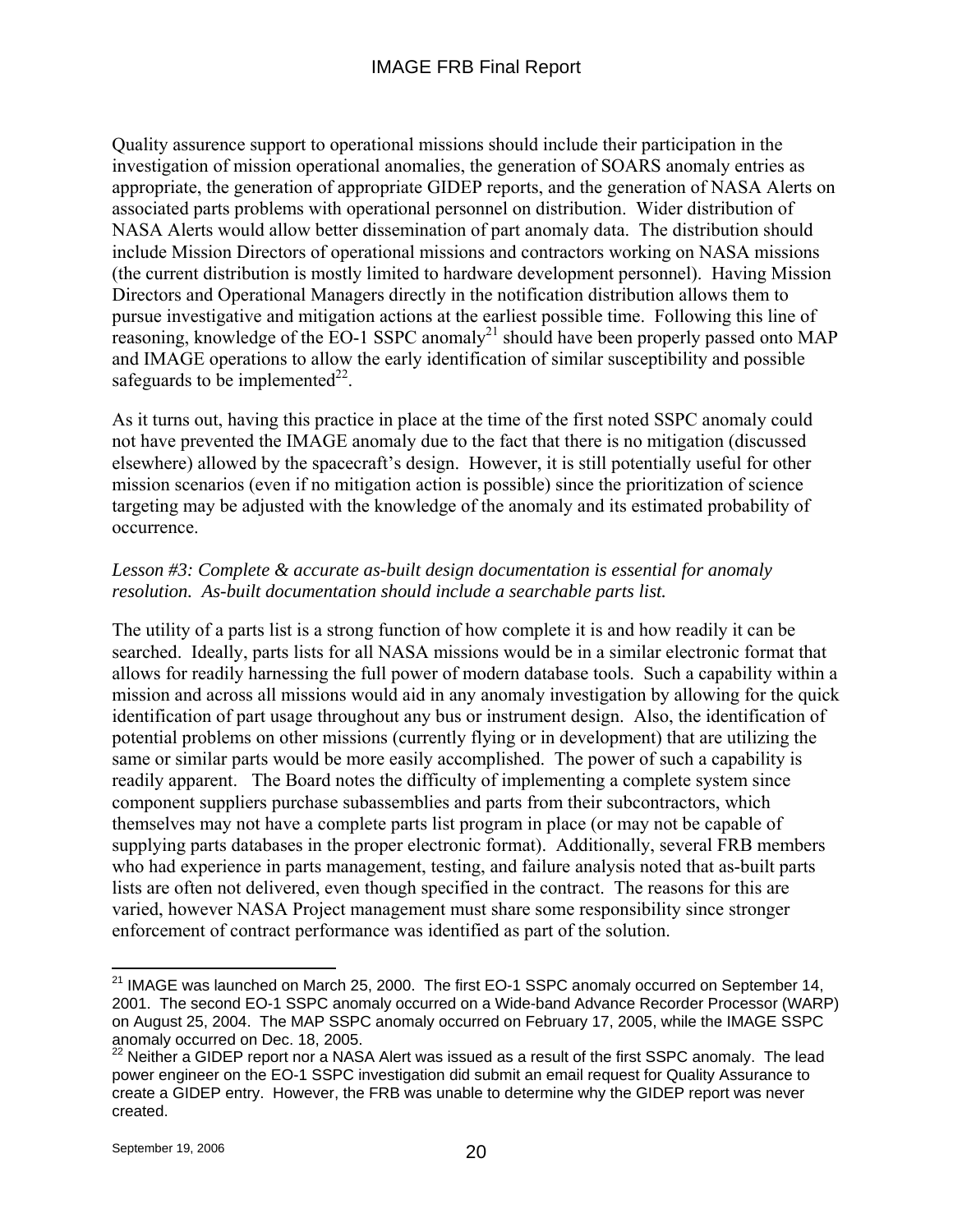Quality assurence support to operational missions should include their participation in the investigation of mission operational anomalies, the generation of SOARS anomaly entries as appropriate, the generation of appropriate GIDEP reports, and the generation of NASA Alerts on associated parts problems with operational personnel on distribution. Wider distribution of NASA Alerts would allow better dissemination of part anomaly data. The distribution should include Mission Directors of operational missions and contractors working on NASA missions (the current distribution is mostly limited to hardware development personnel). Having Mission Directors and Operational Managers directly in the notification distribution allows them to pursue investigative and mitigation actions at the earliest possible time. Following this line of reasoning, knowledge of the EO-1 SSPC anomaly<sup>21</sup> should have been properly passed onto MAP and IMAGE operations to allow the early identification of similar susceptibility and possible safeguards to be implemented $^{22}$ .

As it turns out, having this practice in place at the time of the first noted SSPC anomaly could not have prevented the IMAGE anomaly due to the fact that there is no mitigation (discussed elsewhere) allowed by the spacecraft's design. However, it is still potentially useful for other mission scenarios (even if no mitigation action is possible) since the prioritization of science targeting may be adjusted with the knowledge of the anomaly and its estimated probability of occurrence.

## *Lesson #3: Complete & accurate as-built design documentation is essential for anomaly resolution. As-built documentation should include a searchable parts list.*

The utility of a parts list is a strong function of how complete it is and how readily it can be searched. Ideally, parts lists for all NASA missions would be in a similar electronic format that allows for readily harnessing the full power of modern database tools. Such a capability within a mission and across all missions would aid in any anomaly investigation by allowing for the quick identification of part usage throughout any bus or instrument design. Also, the identification of potential problems on other missions (currently flying or in development) that are utilizing the same or similar parts would be more easily accomplished. The power of such a capability is readily apparent. The Board notes the difficulty of implementing a complete system since component suppliers purchase subassemblies and parts from their subcontractors, which themselves may not have a complete parts list program in place (or may not be capable of supplying parts databases in the proper electronic format). Additionally, several FRB members who had experience in parts management, testing, and failure analysis noted that as-built parts lists are often not delivered, even though specified in the contract. The reasons for this are varied, however NASA Project management must share some responsibility since stronger enforcement of contract performance was identified as part of the solution.

 $\overline{a}$ 

 $^{21}$  IMAGE was launched on March 25, 2000. The first EO-1 SSPC anomaly occurred on September 14, 2001. The second EO-1 SSPC anomaly occurred on a Wide-band Advance Recorder Processor (WARP) on August 25, 2004. The MAP SSPC anomaly occurred on February 17, 2005, while the IMAGE SSPC anomaly occurred on Dec. 18, 2005.

 $^{22}$  Neither a GIDEP report nor a NASA Alert was issued as a result of the first SSPC anomaly. The lead power engineer on the EO-1 SSPC investigation did submit an email request for Quality Assurance to create a GIDEP entry. However, the FRB was unable to determine why the GIDEP report was never created.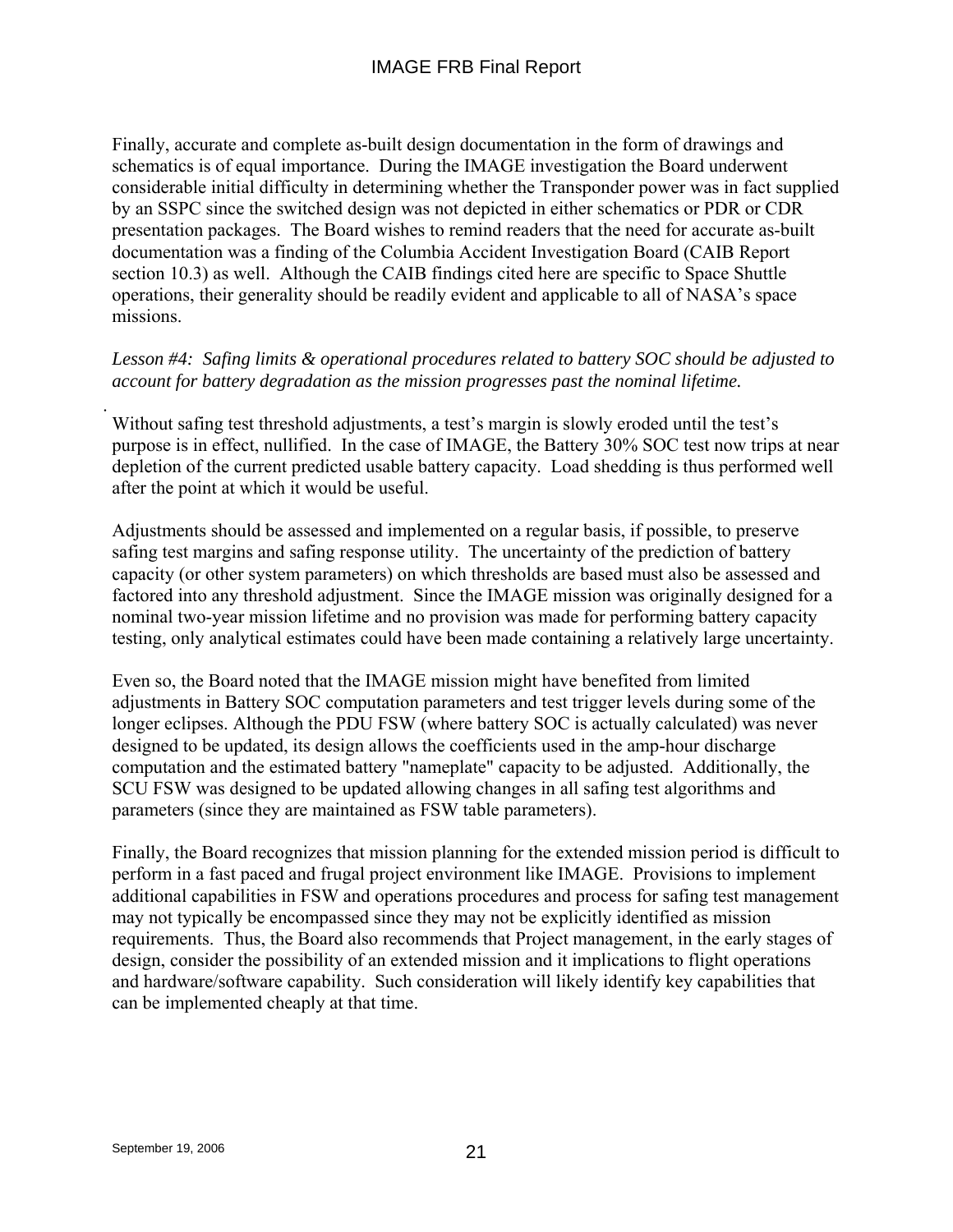Finally, accurate and complete as-built design documentation in the form of drawings and schematics is of equal importance. During the IMAGE investigation the Board underwent considerable initial difficulty in determining whether the Transponder power was in fact supplied by an SSPC since the switched design was not depicted in either schematics or PDR or CDR presentation packages. The Board wishes to remind readers that the need for accurate as-built documentation was a finding of the Columbia Accident Investigation Board (CAIB Report section 10.3) as well. Although the CAIB findings cited here are specific to Space Shuttle operations, their generality should be readily evident and applicable to all of NASA's space missions.

## *Lesson #4: Safing limits & operational procedures related to battery SOC should be adjusted to account for battery degradation as the mission progresses past the nominal lifetime.*

Without safing test threshold adjustments, a test's margin is slowly eroded until the test's purpose is in effect, nullified. In the case of IMAGE, the Battery 30% SOC test now trips at near depletion of the current predicted usable battery capacity. Load shedding is thus performed well after the point at which it would be useful.

Adjustments should be assessed and implemented on a regular basis, if possible, to preserve safing test margins and safing response utility. The uncertainty of the prediction of battery capacity (or other system parameters) on which thresholds are based must also be assessed and factored into any threshold adjustment. Since the IMAGE mission was originally designed for a nominal two-year mission lifetime and no provision was made for performing battery capacity testing, only analytical estimates could have been made containing a relatively large uncertainty.

Even so, the Board noted that the IMAGE mission might have benefited from limited adjustments in Battery SOC computation parameters and test trigger levels during some of the longer eclipses. Although the PDU FSW (where battery SOC is actually calculated) was never designed to be updated, its design allows the coefficients used in the amp-hour discharge computation and the estimated battery "nameplate" capacity to be adjusted. Additionally, the SCU FSW was designed to be updated allowing changes in all safing test algorithms and parameters (since they are maintained as FSW table parameters).

Finally, the Board recognizes that mission planning for the extended mission period is difficult to perform in a fast paced and frugal project environment like IMAGE. Provisions to implement additional capabilities in FSW and operations procedures and process for safing test management may not typically be encompassed since they may not be explicitly identified as mission requirements. Thus, the Board also recommends that Project management, in the early stages of design, consider the possibility of an extended mission and it implications to flight operations and hardware/software capability. Such consideration will likely identify key capabilities that can be implemented cheaply at that time.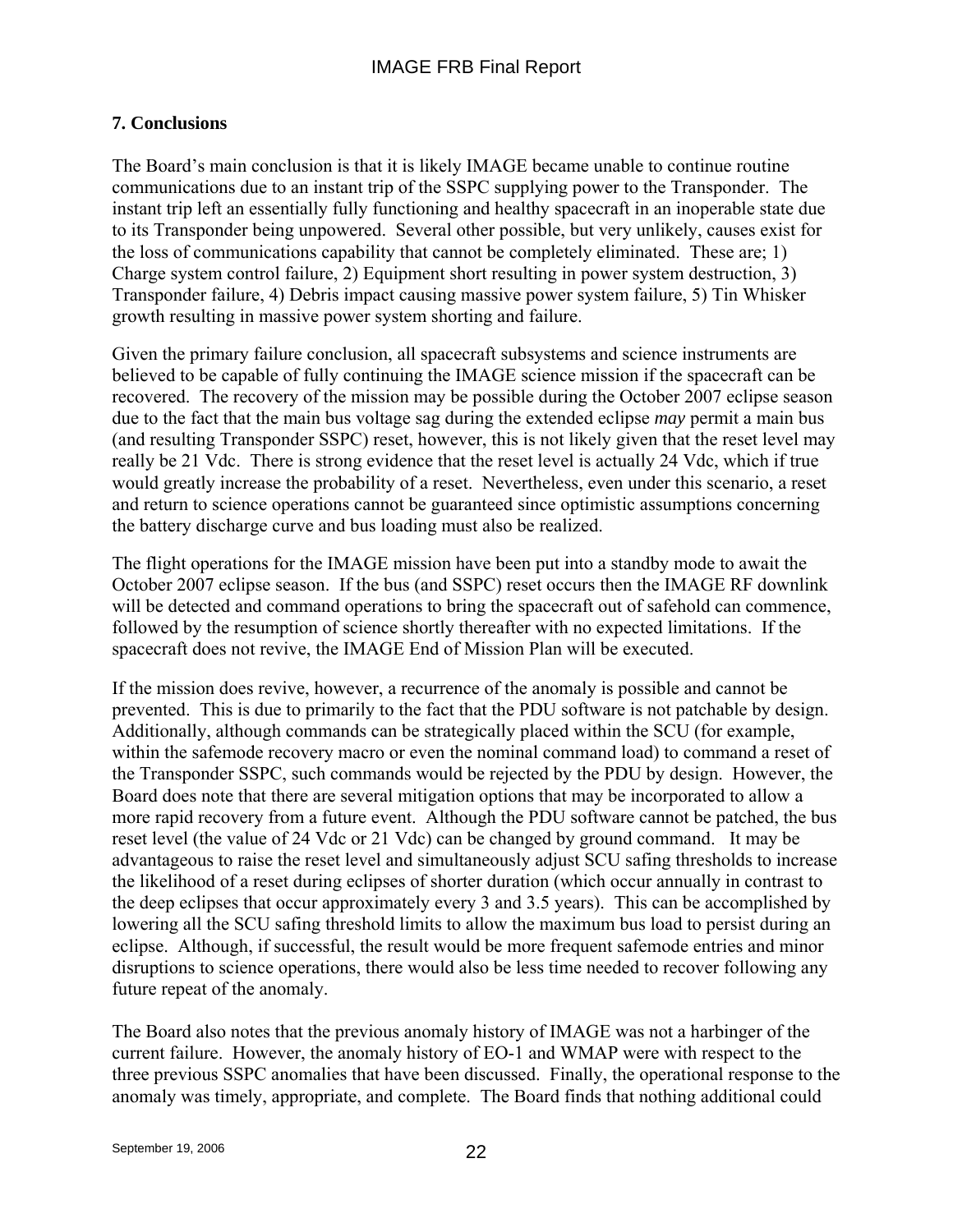## **7. Conclusions**

The Board's main conclusion is that it is likely IMAGE became unable to continue routine communications due to an instant trip of the SSPC supplying power to the Transponder. The instant trip left an essentially fully functioning and healthy spacecraft in an inoperable state due to its Transponder being unpowered. Several other possible, but very unlikely, causes exist for the loss of communications capability that cannot be completely eliminated. These are; 1) Charge system control failure, 2) Equipment short resulting in power system destruction, 3) Transponder failure, 4) Debris impact causing massive power system failure, 5) Tin Whisker growth resulting in massive power system shorting and failure.

Given the primary failure conclusion, all spacecraft subsystems and science instruments are believed to be capable of fully continuing the IMAGE science mission if the spacecraft can be recovered. The recovery of the mission may be possible during the October 2007 eclipse season due to the fact that the main bus voltage sag during the extended eclipse *may* permit a main bus (and resulting Transponder SSPC) reset, however, this is not likely given that the reset level may really be 21 Vdc. There is strong evidence that the reset level is actually 24 Vdc, which if true would greatly increase the probability of a reset. Nevertheless, even under this scenario, a reset and return to science operations cannot be guaranteed since optimistic assumptions concerning the battery discharge curve and bus loading must also be realized.

The flight operations for the IMAGE mission have been put into a standby mode to await the October 2007 eclipse season. If the bus (and SSPC) reset occurs then the IMAGE RF downlink will be detected and command operations to bring the spacecraft out of safehold can commence, followed by the resumption of science shortly thereafter with no expected limitations. If the spacecraft does not revive, the IMAGE End of Mission Plan will be executed.

If the mission does revive, however, a recurrence of the anomaly is possible and cannot be prevented. This is due to primarily to the fact that the PDU software is not patchable by design. Additionally, although commands can be strategically placed within the SCU (for example, within the safemode recovery macro or even the nominal command load) to command a reset of the Transponder SSPC, such commands would be rejected by the PDU by design. However, the Board does note that there are several mitigation options that may be incorporated to allow a more rapid recovery from a future event. Although the PDU software cannot be patched, the bus reset level (the value of 24 Vdc or 21 Vdc) can be changed by ground command. It may be advantageous to raise the reset level and simultaneously adjust SCU safing thresholds to increase the likelihood of a reset during eclipses of shorter duration (which occur annually in contrast to the deep eclipses that occur approximately every 3 and 3.5 years). This can be accomplished by lowering all the SCU safing threshold limits to allow the maximum bus load to persist during an eclipse. Although, if successful, the result would be more frequent safemode entries and minor disruptions to science operations, there would also be less time needed to recover following any future repeat of the anomaly.

The Board also notes that the previous anomaly history of IMAGE was not a harbinger of the current failure. However, the anomaly history of EO-1 and WMAP were with respect to the three previous SSPC anomalies that have been discussed. Finally, the operational response to the anomaly was timely, appropriate, and complete. The Board finds that nothing additional could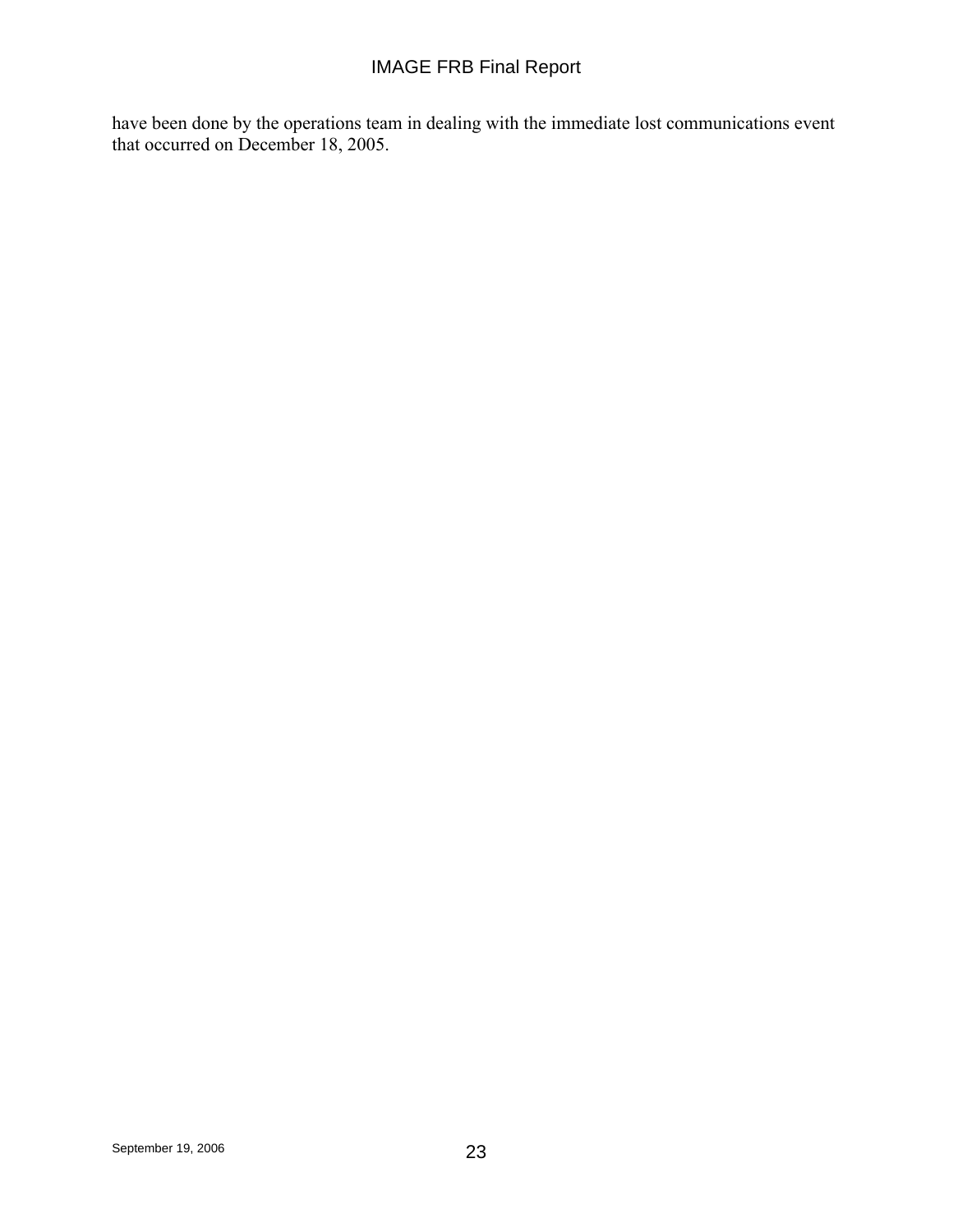have been done by the operations team in dealing with the immediate lost communications event that occurred on December 18, 2005.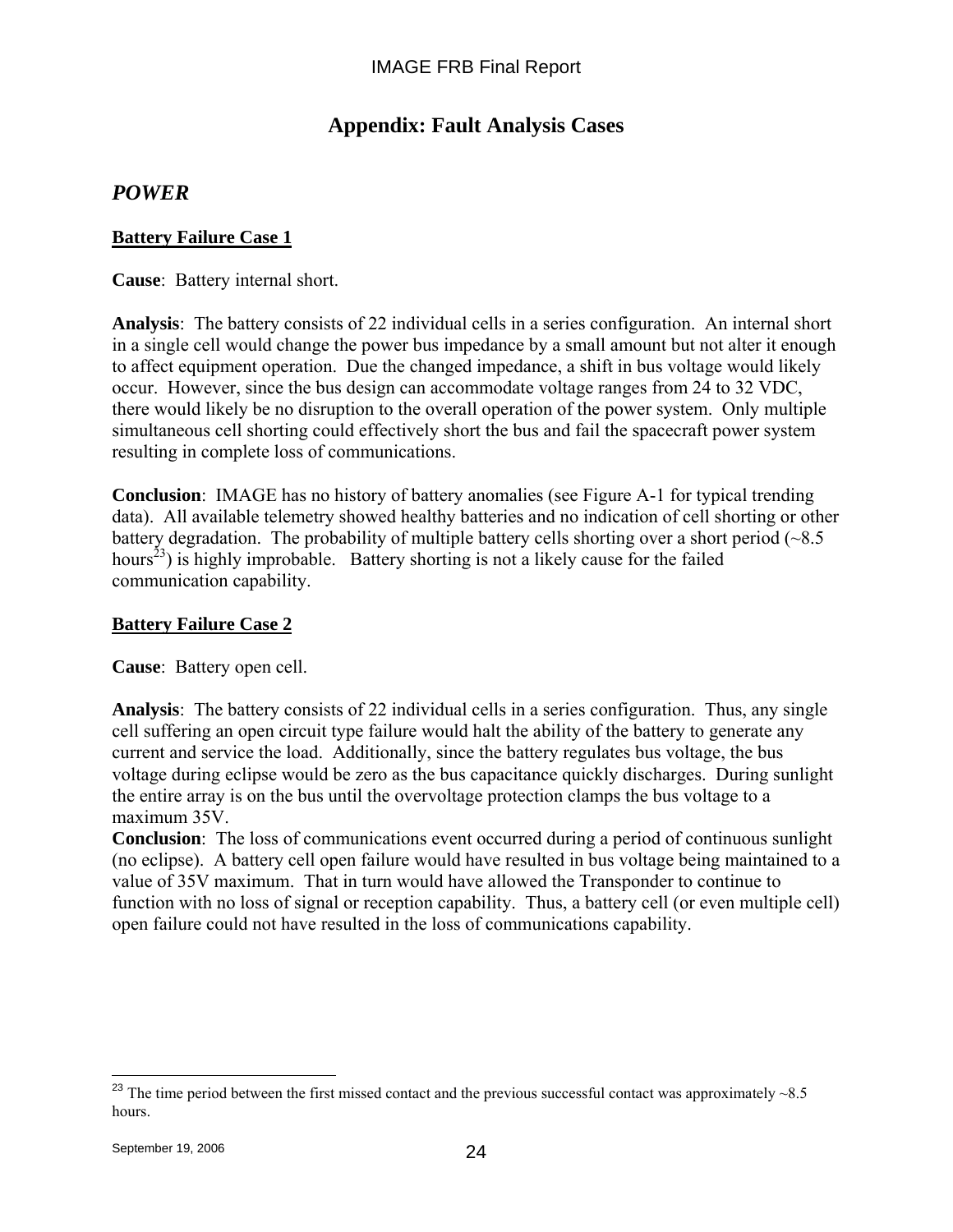# **Appendix: Fault Analysis Cases**

## *POWER*

### **Battery Failure Case 1**

**Cause**: Battery internal short.

**Analysis**: The battery consists of 22 individual cells in a series configuration. An internal short in a single cell would change the power bus impedance by a small amount but not alter it enough to affect equipment operation. Due the changed impedance, a shift in bus voltage would likely occur. However, since the bus design can accommodate voltage ranges from 24 to 32 VDC, there would likely be no disruption to the overall operation of the power system. Only multiple simultaneous cell shorting could effectively short the bus and fail the spacecraft power system resulting in complete loss of communications.

**Conclusion**: IMAGE has no history of battery anomalies (see Figure A-1 for typical trending data). All available telemetry showed healthy batteries and no indication of cell shorting or other battery degradation. The probability of multiple battery cells shorting over a short period  $(\sim 8.5$ hours<sup>23</sup>) is highly improbable. Battery shorting is not a likely cause for the failed communication capability.

### **Battery Failure Case 2**

**Cause**: Battery open cell.

**Analysis**: The battery consists of 22 individual cells in a series configuration. Thus, any single cell suffering an open circuit type failure would halt the ability of the battery to generate any current and service the load. Additionally, since the battery regulates bus voltage, the bus voltage during eclipse would be zero as the bus capacitance quickly discharges. During sunlight the entire array is on the bus until the overvoltage protection clamps the bus voltage to a maximum 35V.

**Conclusion**: The loss of communications event occurred during a period of continuous sunlight (no eclipse). A battery cell open failure would have resulted in bus voltage being maintained to a value of 35V maximum. That in turn would have allowed the Transponder to continue to function with no loss of signal or reception capability. Thus, a battery cell (or even multiple cell) open failure could not have resulted in the loss of communications capability.

1

<sup>&</sup>lt;sup>23</sup> The time period between the first missed contact and the previous successful contact was approximately  $\sim$ 8.5 hours.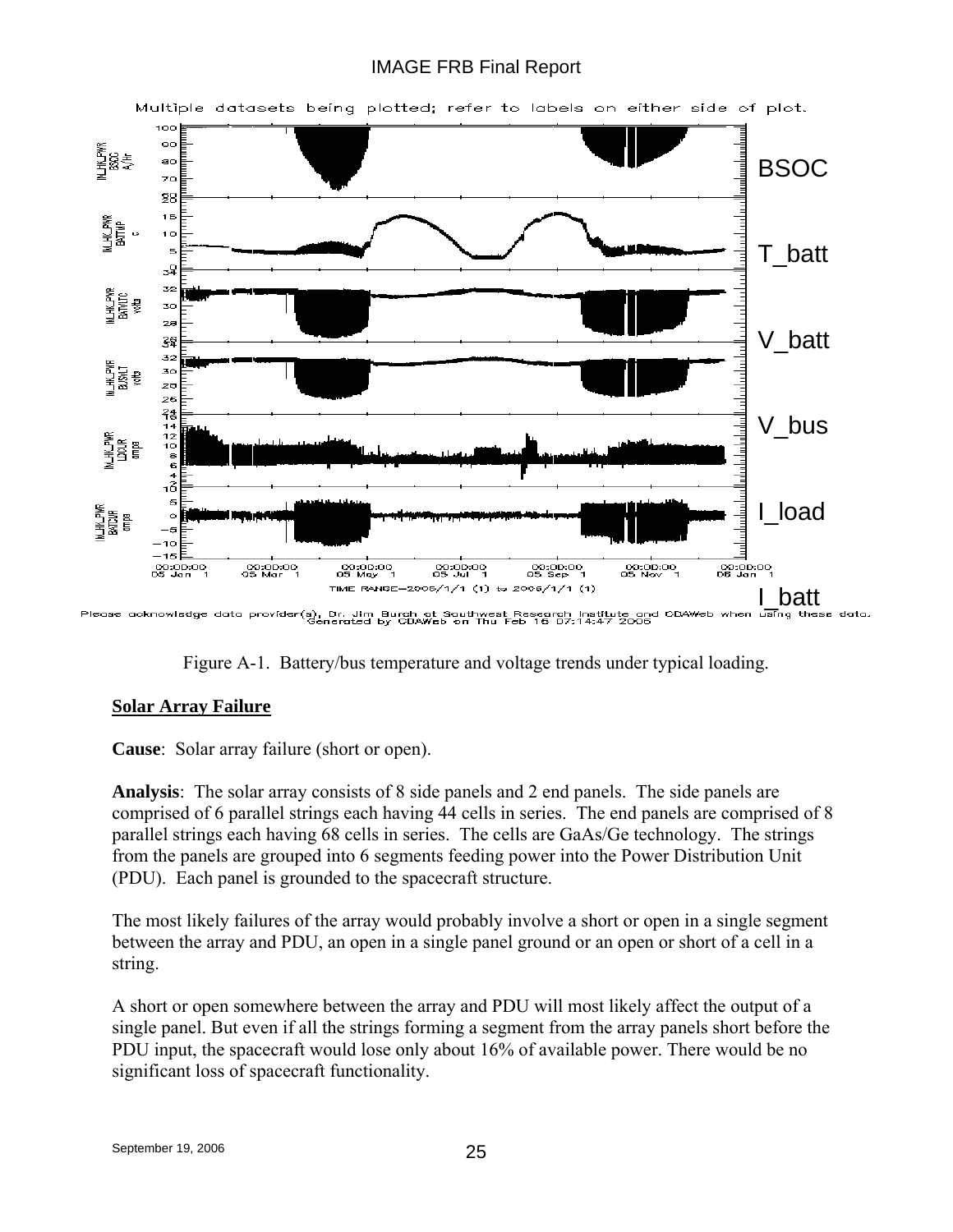## IMAGE FRB Final Report





## **Solar Array Failure**

**Cause**: Solar array failure (short or open).

**Analysis**: The solar array consists of 8 side panels and 2 end panels. The side panels are comprised of 6 parallel strings each having 44 cells in series. The end panels are comprised of 8 parallel strings each having 68 cells in series. The cells are GaAs/Ge technology. The strings from the panels are grouped into 6 segments feeding power into the Power Distribution Unit (PDU). Each panel is grounded to the spacecraft structure.

The most likely failures of the array would probably involve a short or open in a single segment between the array and PDU, an open in a single panel ground or an open or short of a cell in a string.

A short or open somewhere between the array and PDU will most likely affect the output of a single panel. But even if all the strings forming a segment from the array panels short before the PDU input, the spacecraft would lose only about 16% of available power. There would be no significant loss of spacecraft functionality.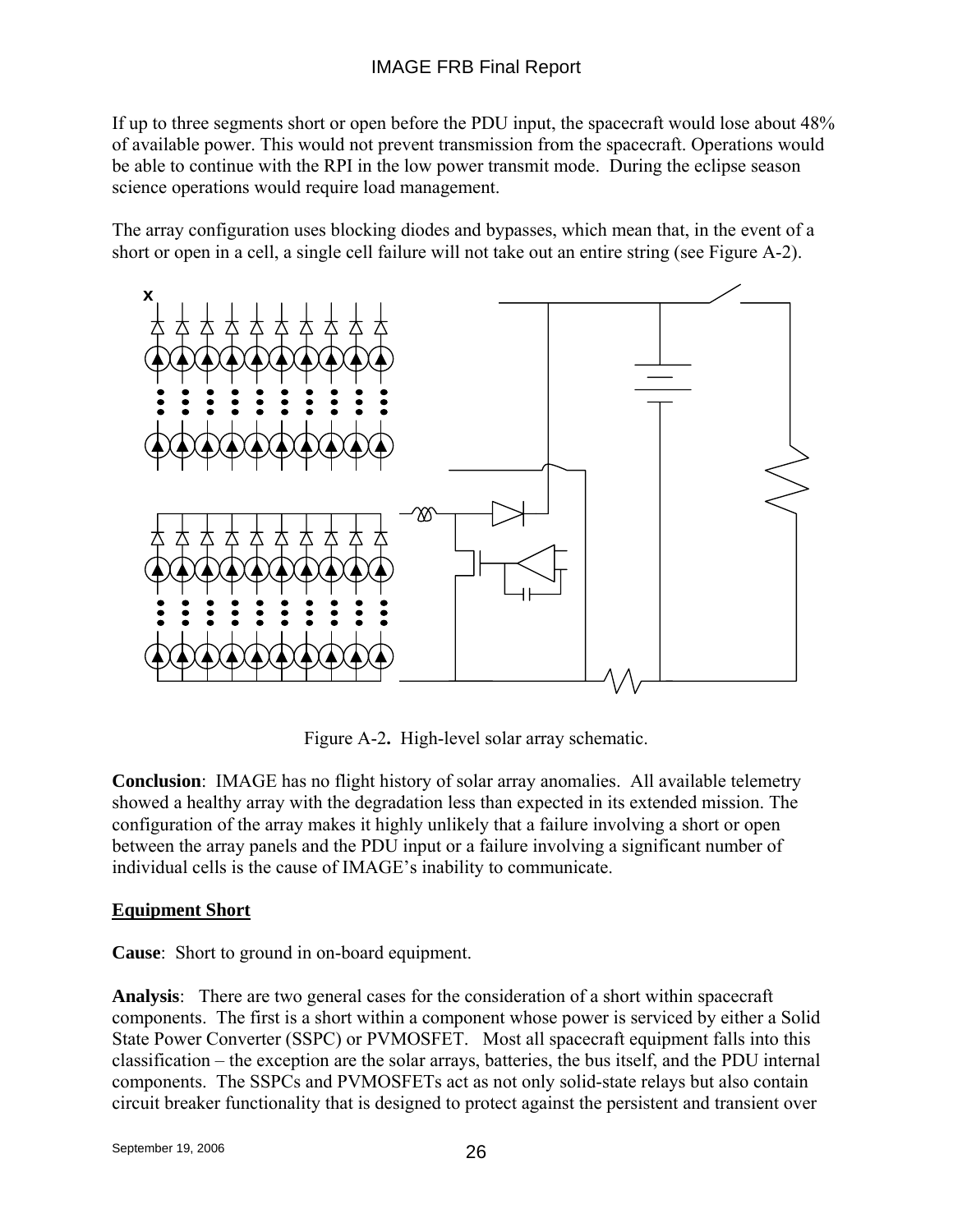If up to three segments short or open before the PDU input, the spacecraft would lose about 48% of available power. This would not prevent transmission from the spacecraft. Operations would be able to continue with the RPI in the low power transmit mode. During the eclipse season science operations would require load management.

The array configuration uses blocking diodes and bypasses, which mean that, in the event of a short or open in a cell, a single cell failure will not take out an entire string (see Figure A-2).



Figure A-2**.** High-level solar array schematic.

**Conclusion**: IMAGE has no flight history of solar array anomalies. All available telemetry showed a healthy array with the degradation less than expected in its extended mission. The configuration of the array makes it highly unlikely that a failure involving a short or open between the array panels and the PDU input or a failure involving a significant number of individual cells is the cause of IMAGE's inability to communicate.

### **Equipment Short**

**Cause**: Short to ground in on-board equipment.

**Analysis**: There are two general cases for the consideration of a short within spacecraft components. The first is a short within a component whose power is serviced by either a Solid State Power Converter (SSPC) or PVMOSFET. Most all spacecraft equipment falls into this classification – the exception are the solar arrays, batteries, the bus itself, and the PDU internal components.The SSPCs and PVMOSFETs act as not only solid-state relays but also contain circuit breaker functionality that is designed to protect against the persistent and transient over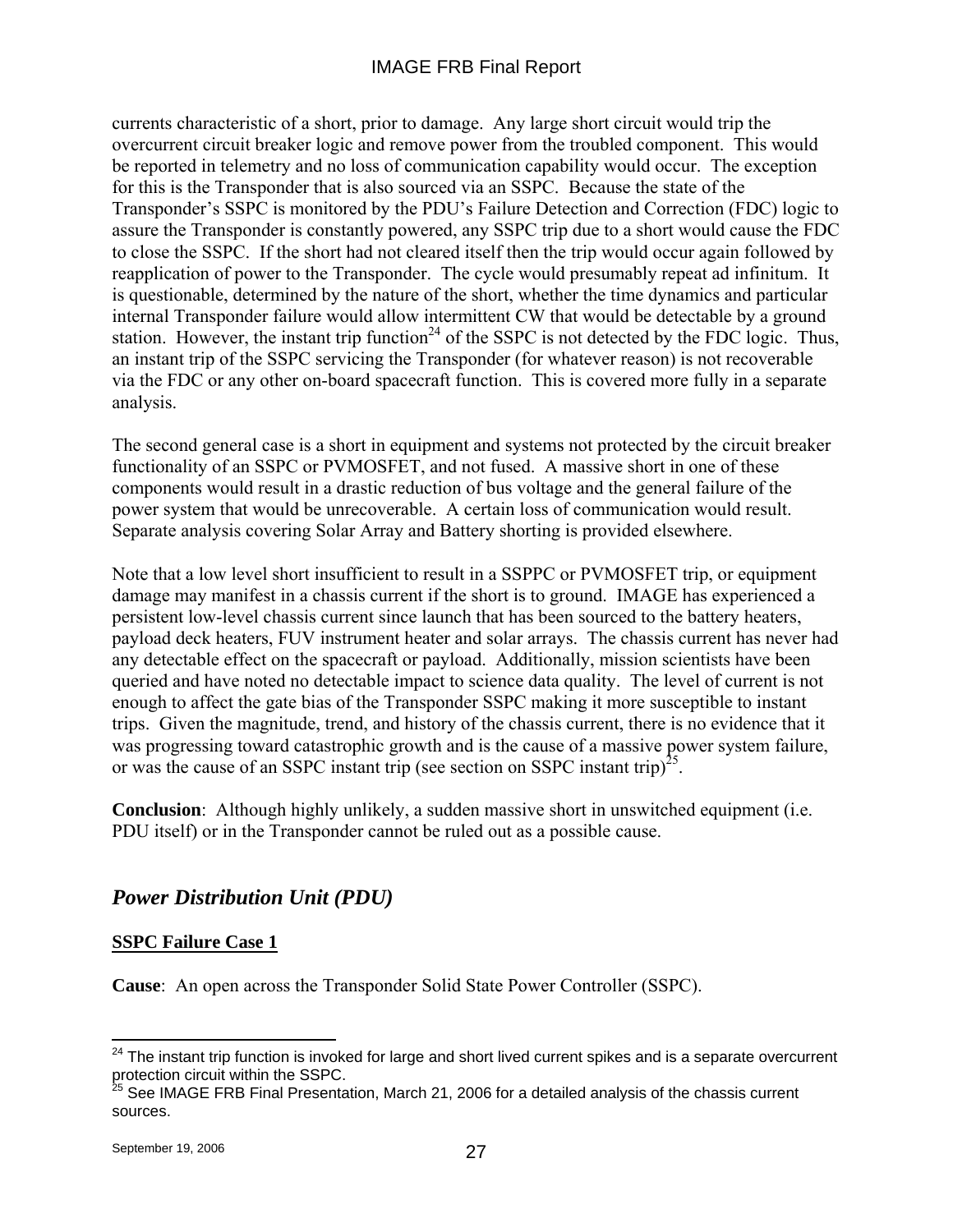currents characteristic of a short, prior to damage. Any large short circuit would trip the overcurrent circuit breaker logic and remove power from the troubled component. This would be reported in telemetry and no loss of communication capability would occur. The exception for this is the Transponder that is also sourced via an SSPC. Because the state of the Transponder's SSPC is monitored by the PDU's Failure Detection and Correction (FDC) logic to assure the Transponder is constantly powered, any SSPC trip due to a short would cause the FDC to close the SSPC. If the short had not cleared itself then the trip would occur again followed by reapplication of power to the Transponder. The cycle would presumably repeat ad infinitum. It is questionable, determined by the nature of the short, whether the time dynamics and particular internal Transponder failure would allow intermittent CW that would be detectable by a ground station. However, the instant trip function<sup>24</sup> of the SSPC is not detected by the FDC logic. Thus, an instant trip of the SSPC servicing the Transponder (for whatever reason) is not recoverable via the FDC or any other on-board spacecraft function. This is covered more fully in a separate analysis.

The second general case is a short in equipment and systems not protected by the circuit breaker functionality of an SSPC or PVMOSFET, and not fused. A massive short in one of these components would result in a drastic reduction of bus voltage and the general failure of the power system that would be unrecoverable. A certain loss of communication would result. Separate analysis covering Solar Array and Battery shorting is provided elsewhere.

Note that a low level short insufficient to result in a SSPPC or PVMOSFET trip, or equipment damage may manifest in a chassis current if the short is to ground. IMAGE has experienced a persistent low-level chassis current since launch that has been sourced to the battery heaters, payload deck heaters, FUV instrument heater and solar arrays. The chassis current has never had any detectable effect on the spacecraft or payload. Additionally, mission scientists have been queried and have noted no detectable impact to science data quality. The level of current is not enough to affect the gate bias of the Transponder SSPC making it more susceptible to instant trips. Given the magnitude, trend, and history of the chassis current, there is no evidence that it was progressing toward catastrophic growth and is the cause of a massive power system failure, or was the cause of an SSPC instant trip (see section on SSPC instant trip)<sup>25</sup>.

**Conclusion**: Although highly unlikely, a sudden massive short in unswitched equipment (i.e. PDU itself) or in the Transponder cannot be ruled out as a possible cause.

# *Power Distribution Unit (PDU)*

## **SSPC Failure Case 1**

**Cause**: An open across the Transponder Solid State Power Controller (SSPC).

<sup>1</sup>  $24$  The instant trip function is invoked for large and short lived current spikes and is a separate overcurrent protection circuit within the SSPC.

<sup>&</sup>lt;sup>25</sup> See IMAGE FRB Final Presentation, March 21, 2006 for a detailed analysis of the chassis current sources.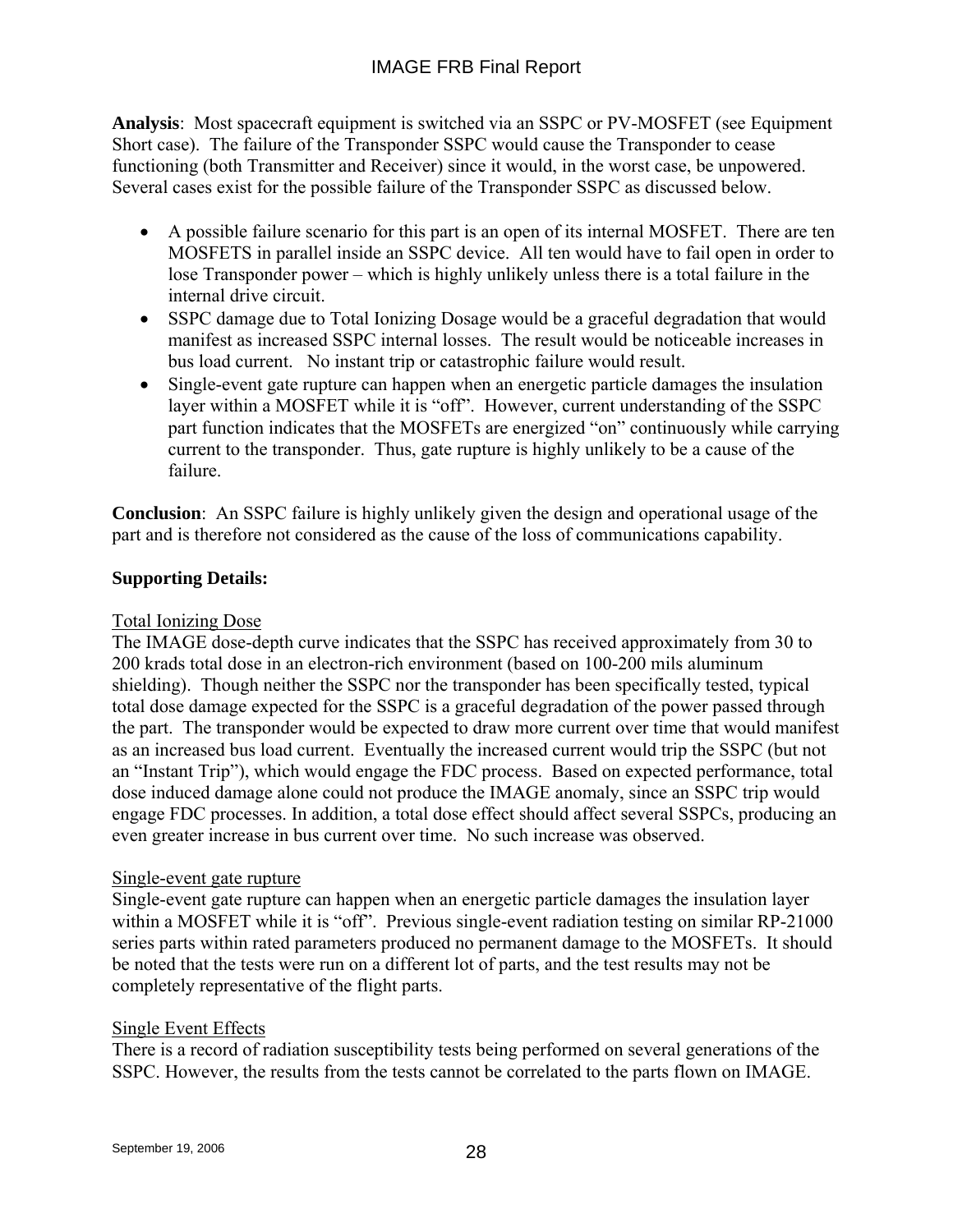**Analysis**: Most spacecraft equipment is switched via an SSPC or PV-MOSFET (see Equipment Short case). The failure of the Transponder SSPC would cause the Transponder to cease functioning (both Transmitter and Receiver) since it would, in the worst case, be unpowered. Several cases exist for the possible failure of the Transponder SSPC as discussed below.

- A possible failure scenario for this part is an open of its internal MOSFET. There are ten MOSFETS in parallel inside an SSPC device. All ten would have to fail open in order to lose Transponder power – which is highly unlikely unless there is a total failure in the internal drive circuit.
- SSPC damage due to Total Ionizing Dosage would be a graceful degradation that would manifest as increased SSPC internal losses. The result would be noticeable increases in bus load current. No instant trip or catastrophic failure would result.
- Single-event gate rupture can happen when an energetic particle damages the insulation layer within a MOSFET while it is "off". However, current understanding of the SSPC part function indicates that the MOSFETs are energized "on" continuously while carrying current to the transponder. Thus, gate rupture is highly unlikely to be a cause of the failure.

**Conclusion**: An SSPC failure is highly unlikely given the design and operational usage of the part and is therefore not considered as the cause of the loss of communications capability.

## **Supporting Details:**

### Total Ionizing Dose

The IMAGE dose-depth curve indicates that the SSPC has received approximately from 30 to 200 krads total dose in an electron-rich environment (based on 100-200 mils aluminum shielding). Though neither the SSPC nor the transponder has been specifically tested, typical total dose damage expected for the SSPC is a graceful degradation of the power passed through the part. The transponder would be expected to draw more current over time that would manifest as an increased bus load current. Eventually the increased current would trip the SSPC (but not an "Instant Trip"), which would engage the FDC process. Based on expected performance, total dose induced damage alone could not produce the IMAGE anomaly, since an SSPC trip would engage FDC processes. In addition, a total dose effect should affect several SSPCs, producing an even greater increase in bus current over time. No such increase was observed.

### Single-event gate rupture

Single-event gate rupture can happen when an energetic particle damages the insulation layer within a MOSFET while it is "off". Previous single-event radiation testing on similar RP-21000 series parts within rated parameters produced no permanent damage to the MOSFETs. It should be noted that the tests were run on a different lot of parts, and the test results may not be completely representative of the flight parts.

### Single Event Effects

There is a record of radiation susceptibility tests being performed on several generations of the SSPC. However, the results from the tests cannot be correlated to the parts flown on IMAGE.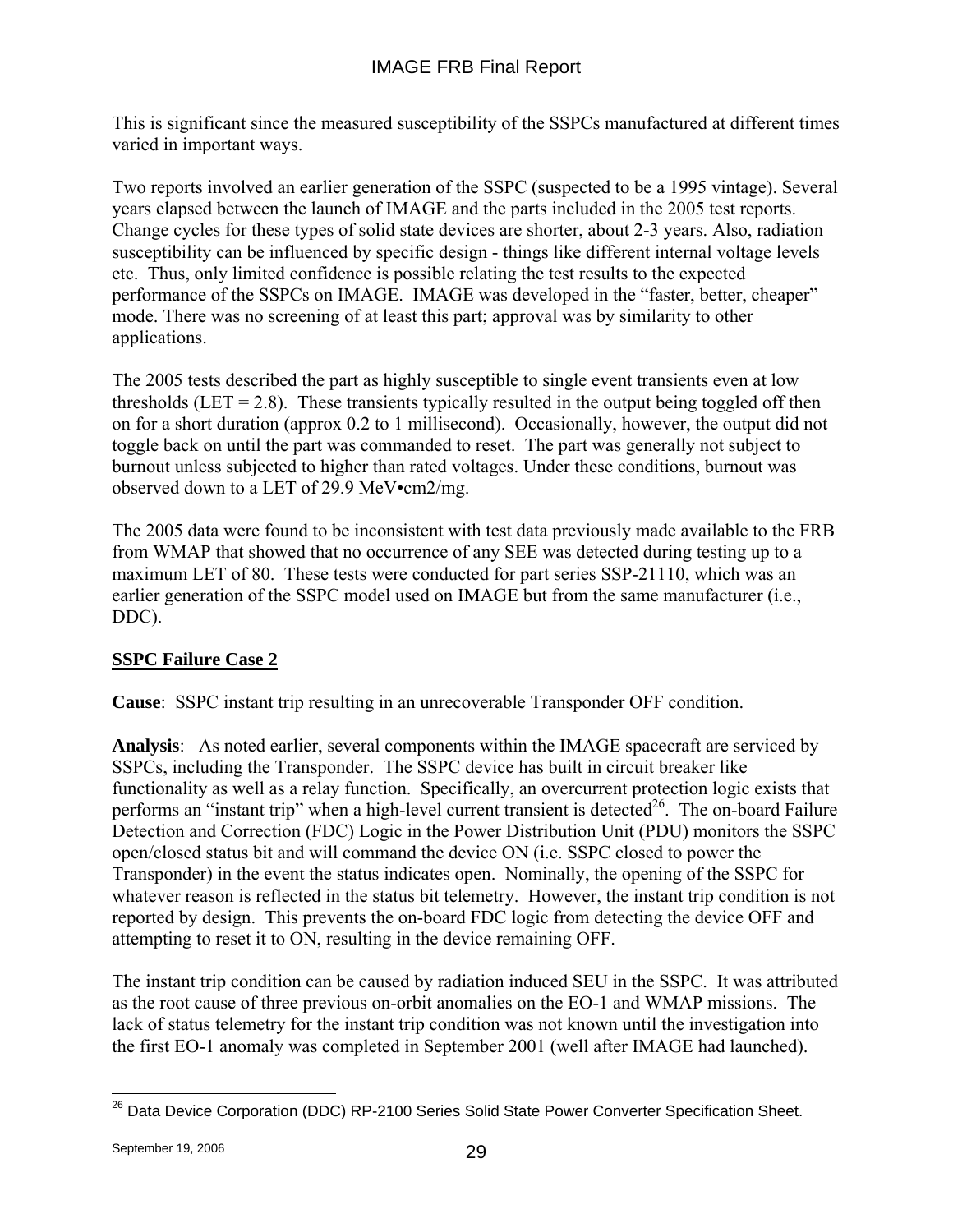This is significant since the measured susceptibility of the SSPCs manufactured at different times varied in important ways.

Two reports involved an earlier generation of the SSPC (suspected to be a 1995 vintage). Several years elapsed between the launch of IMAGE and the parts included in the 2005 test reports. Change cycles for these types of solid state devices are shorter, about 2-3 years. Also, radiation susceptibility can be influenced by specific design - things like different internal voltage levels etc. Thus, only limited confidence is possible relating the test results to the expected performance of the SSPCs on IMAGE. IMAGE was developed in the "faster, better, cheaper" mode. There was no screening of at least this part; approval was by similarity to other applications.

The 2005 tests described the part as highly susceptible to single event transients even at low thresholds (LET  $= 2.8$ ). These transients typically resulted in the output being toggled off then on for a short duration (approx 0.2 to 1 millisecond). Occasionally, however, the output did not toggle back on until the part was commanded to reset. The part was generally not subject to burnout unless subjected to higher than rated voltages. Under these conditions, burnout was observed down to a LET of 29.9 MeV•cm2/mg.

The 2005 data were found to be inconsistent with test data previously made available to the FRB from WMAP that showed that no occurrence of any SEE was detected during testing up to a maximum LET of 80. These tests were conducted for part series SSP-21110, which was an earlier generation of the SSPC model used on IMAGE but from the same manufacturer (i.e., DDC).

## **SSPC Failure Case 2**

**Cause**: SSPC instant trip resulting in an unrecoverable Transponder OFF condition.

**Analysis**: As noted earlier, several components within the IMAGE spacecraft are serviced by SSPCs, including the Transponder. The SSPC device has built in circuit breaker like functionality as well as a relay function. Specifically, an overcurrent protection logic exists that performs an "instant trip" when a high-level current transient is detected<sup>26</sup>. The on-board Failure Detection and Correction (FDC) Logic in the Power Distribution Unit (PDU) monitors the SSPC open/closed status bit and will command the device ON (i.e. SSPC closed to power the Transponder) in the event the status indicates open. Nominally, the opening of the SSPC for whatever reason is reflected in the status bit telemetry. However, the instant trip condition is not reported by design. This prevents the on-board FDC logic from detecting the device OFF and attempting to reset it to ON, resulting in the device remaining OFF.

The instant trip condition can be caused by radiation induced SEU in the SSPC. It was attributed as the root cause of three previous on-orbit anomalies on the EO-1 and WMAP missions. The lack of status telemetry for the instant trip condition was not known until the investigation into the first EO-1 anomaly was completed in September 2001 (well after IMAGE had launched).

 $\overline{a}$ <sup>26</sup> Data Device Corporation (DDC) RP-2100 Series Solid State Power Converter Specification Sheet.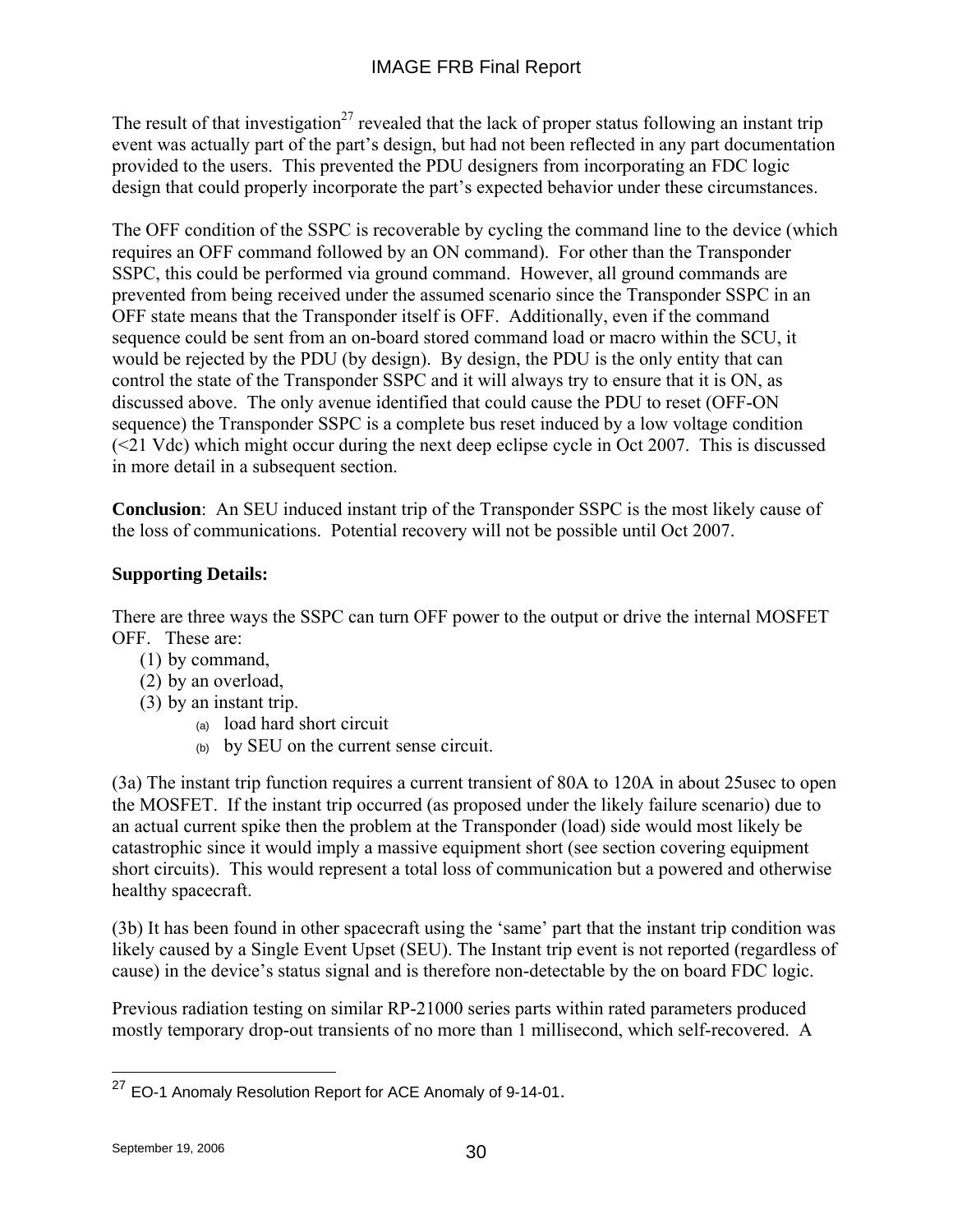The result of that investigation<sup>27</sup> revealed that the lack of proper status following an instant trip event was actually part of the part's design, but had not been reflected in any part documentation provided to the users. This prevented the PDU designers from incorporating an FDC logic design that could properly incorporate the part's expected behavior under these circumstances.

The OFF condition of the SSPC is recoverable by cycling the command line to the device (which requires an OFF command followed by an ON command). For other than the Transponder SSPC, this could be performed via ground command. However, all ground commands are prevented from being received under the assumed scenario since the Transponder SSPC in an OFF state means that the Transponder itself is OFF. Additionally, even if the command sequence could be sent from an on-board stored command load or macro within the SCU, it would be rejected by the PDU (by design). By design, the PDU is the only entity that can control the state of the Transponder SSPC and it will always try to ensure that it is ON, as discussed above. The only avenue identified that could cause the PDU to reset (OFF-ON sequence) the Transponder SSPC is a complete bus reset induced by a low voltage condition (<21 Vdc) which might occur during the next deep eclipse cycle in Oct 2007. This is discussed in more detail in a subsequent section.

**Conclusion**: An SEU induced instant trip of the Transponder SSPC is the most likely cause of the loss of communications. Potential recovery will not be possible until Oct 2007.

## **Supporting Details:**

There are three ways the SSPC can turn OFF power to the output or drive the internal MOSFET OFF. These are:

- (1) by command,
- (2) by an overload,
- (3) by an instant trip.
	- (a) load hard short circuit
	- (b) by SEU on the current sense circuit.

(3a) The instant trip function requires a current transient of 80A to 120A in about 25usec to open the MOSFET. If the instant trip occurred (as proposed under the likely failure scenario) due to an actual current spike then the problem at the Transponder (load) side would most likely be catastrophic since it would imply a massive equipment short (see section covering equipment short circuits). This would represent a total loss of communication but a powered and otherwise healthy spacecraft.

(3b) It has been found in other spacecraft using the 'same' part that the instant trip condition was likely caused by a Single Event Upset (SEU). The Instant trip event is not reported (regardless of cause) in the device's status signal and is therefore non-detectable by the on board FDC logic.

Previous radiation testing on similar RP-21000 series parts within rated parameters produced mostly temporary drop-out transients of no more than 1 millisecond, which self-recovered. A

 $\overline{a}$  $^{27}$  EO-1 Anomaly Resolution Report for ACE Anomaly of 9-14-01.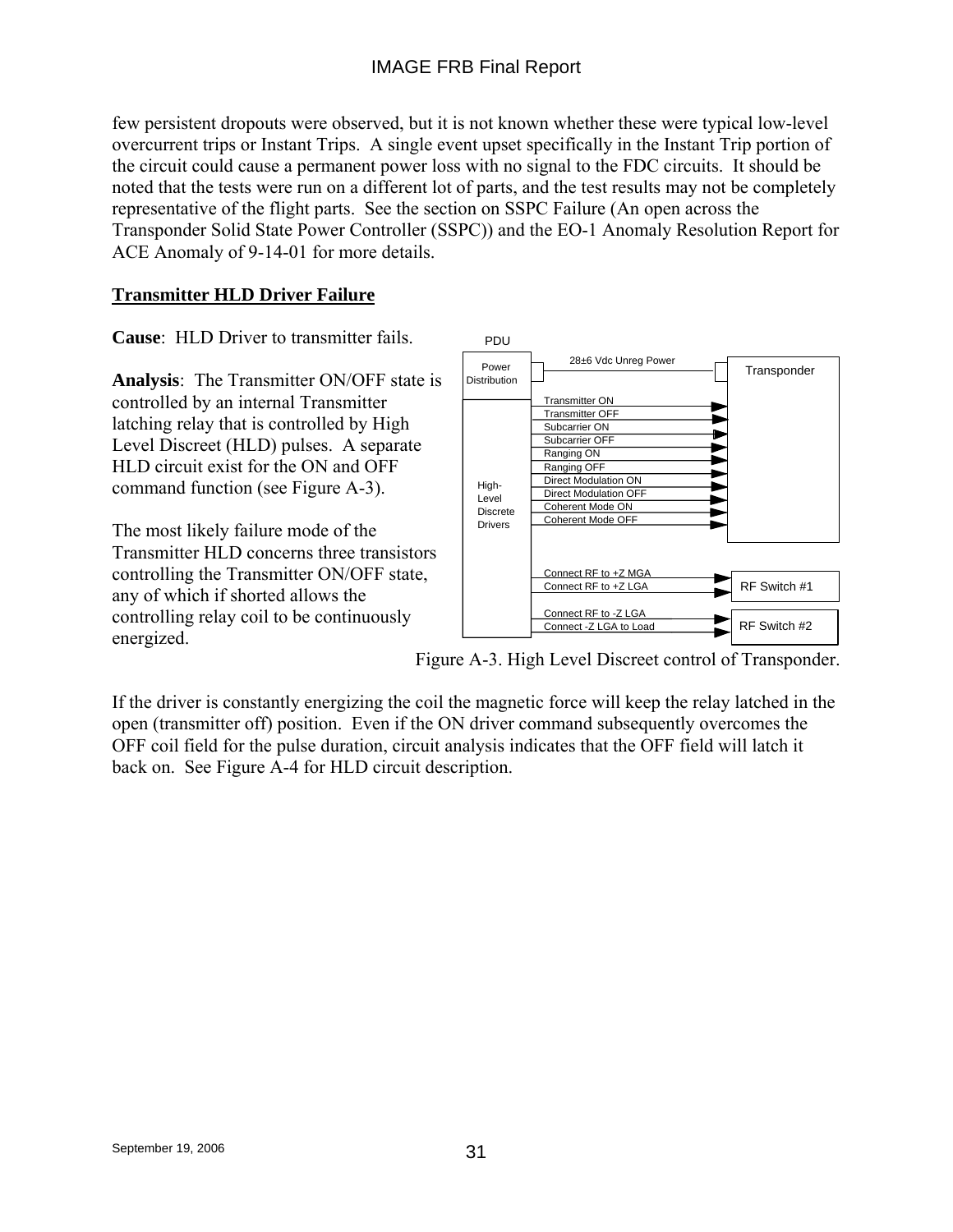few persistent dropouts were observed, but it is not known whether these were typical low-level overcurrent trips or Instant Trips. A single event upset specifically in the Instant Trip portion of the circuit could cause a permanent power loss with no signal to the FDC circuits. It should be noted that the tests were run on a different lot of parts, and the test results may not be completely representative of the flight parts. See the section on SSPC Failure (An open across the Transponder Solid State Power Controller (SSPC)) and the EO-1 Anomaly Resolution Report for ACE Anomaly of 9-14-01 for more details.

## **Transmitter HLD Driver Failure**

**Cause**: HLD Driver to transmitter fails.

**Analysis**: The Transmitter ON/OFF state is controlled by an internal Transmitter latching relay that is controlled by High Level Discreet (HLD) pulses. A separate HLD circuit exist for the ON and OFF command function (see Figure A-3).

The most likely failure mode of the Transmitter HLD concerns three transistors controlling the Transmitter ON/OFF state, any of which if shorted allows the controlling relay coil to be continuously energized.



Figure A-3. High Level Discreet control of Transponder.

If the driver is constantly energizing the coil the magnetic force will keep the relay latched in the open (transmitter off) position. Even if the ON driver command subsequently overcomes the OFF coil field for the pulse duration, circuit analysis indicates that the OFF field will latch it back on. See Figure A-4 for HLD circuit description.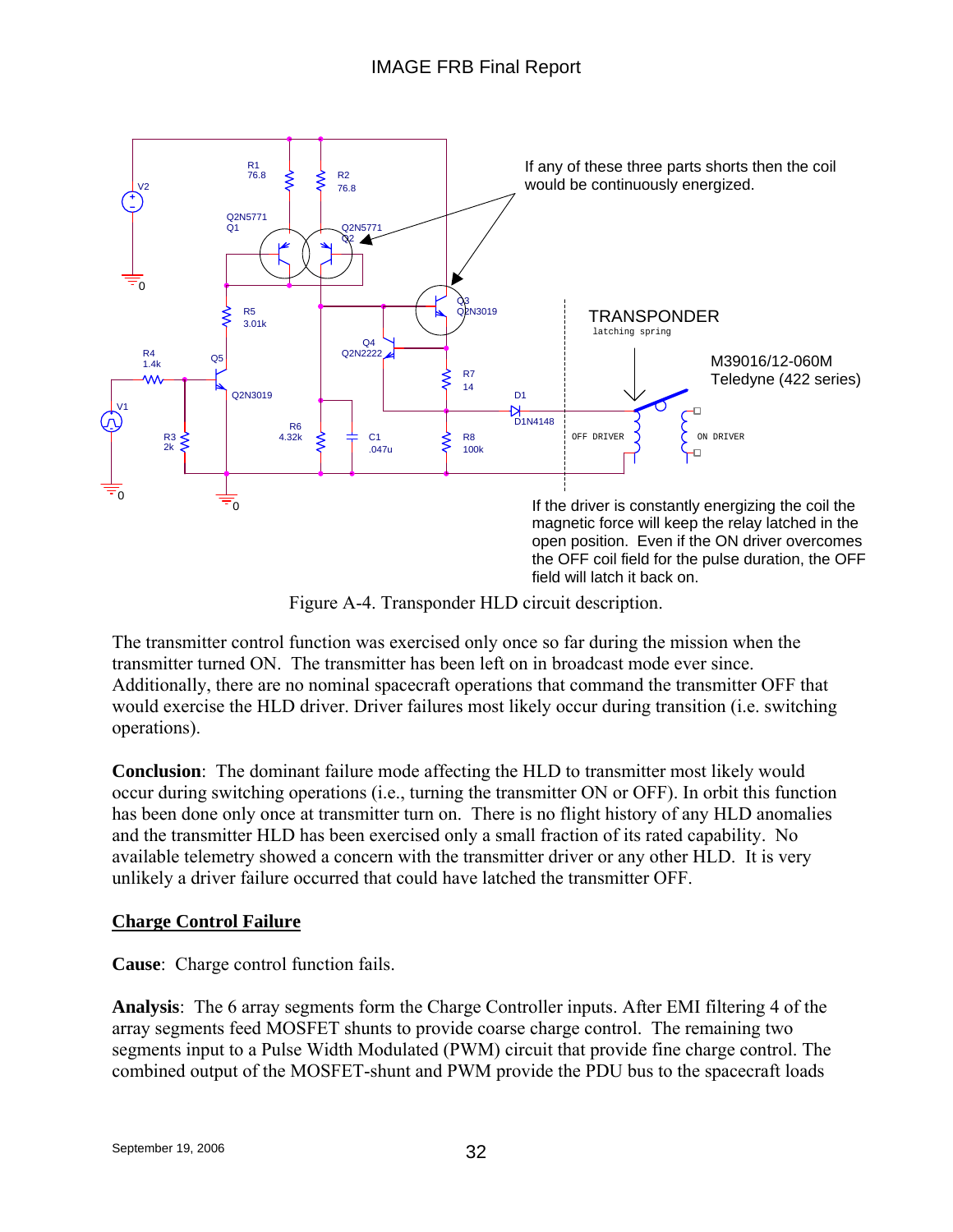

Figure A-4. Transponder HLD circuit description.

The transmitter control function was exercised only once so far during the mission when the transmitter turned ON. The transmitter has been left on in broadcast mode ever since. Additionally, there are no nominal spacecraft operations that command the transmitter OFF that would exercise the HLD driver. Driver failures most likely occur during transition (i.e. switching operations).

**Conclusion**: The dominant failure mode affecting the HLD to transmitter most likely would occur during switching operations (i.e., turning the transmitter ON or OFF). In orbit this function has been done only once at transmitter turn on. There is no flight history of any HLD anomalies and the transmitter HLD has been exercised only a small fraction of its rated capability. No available telemetry showed a concern with the transmitter driver or any other HLD. It is very unlikely a driver failure occurred that could have latched the transmitter OFF.

### **Charge Control Failure**

**Cause**: Charge control function fails.

**Analysis**: The 6 array segments form the Charge Controller inputs. After EMI filtering 4 of the array segments feed MOSFET shunts to provide coarse charge control. The remaining two segments input to a Pulse Width Modulated (PWM) circuit that provide fine charge control. The combined output of the MOSFET-shunt and PWM provide the PDU bus to the spacecraft loads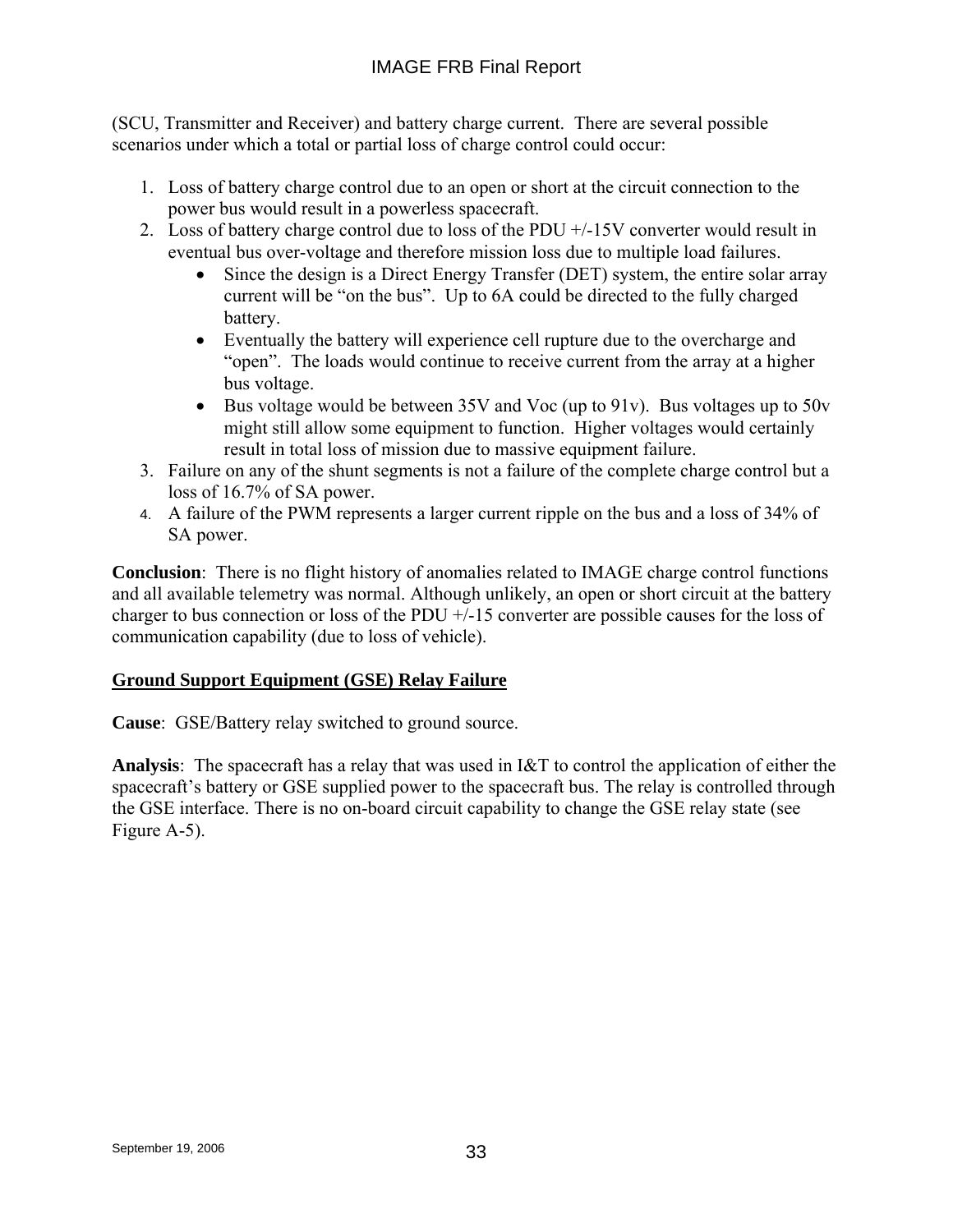(SCU, Transmitter and Receiver) and battery charge current. There are several possible scenarios under which a total or partial loss of charge control could occur:

- 1. Loss of battery charge control due to an open or short at the circuit connection to the power bus would result in a powerless spacecraft.
- 2. Loss of battery charge control due to loss of the PDU +/-15V converter would result in eventual bus over-voltage and therefore mission loss due to multiple load failures.
	- Since the design is a Direct Energy Transfer (DET) system, the entire solar array current will be "on the bus". Up to 6A could be directed to the fully charged battery.
	- Eventually the battery will experience cell rupture due to the overcharge and "open". The loads would continue to receive current from the array at a higher bus voltage.
	- Bus voltage would be between 35V and Voc (up to 91v). Bus voltages up to 50v might still allow some equipment to function. Higher voltages would certainly result in total loss of mission due to massive equipment failure.
- 3. Failure on any of the shunt segments is not a failure of the complete charge control but a loss of 16.7% of SA power.
- 4. A failure of the PWM represents a larger current ripple on the bus and a loss of 34% of SA power.

**Conclusion**: There is no flight history of anomalies related to IMAGE charge control functions and all available telemetry was normal. Although unlikely, an open or short circuit at the battery charger to bus connection or loss of the PDU +/-15 converter are possible causes for the loss of communication capability (due to loss of vehicle).

## **Ground Support Equipment (GSE) Relay Failure**

**Cause**: GSE/Battery relay switched to ground source.

**Analysis**: The spacecraft has a relay that was used in I&T to control the application of either the spacecraft's battery or GSE supplied power to the spacecraft bus. The relay is controlled through the GSE interface. There is no on-board circuit capability to change the GSE relay state (see Figure A-5).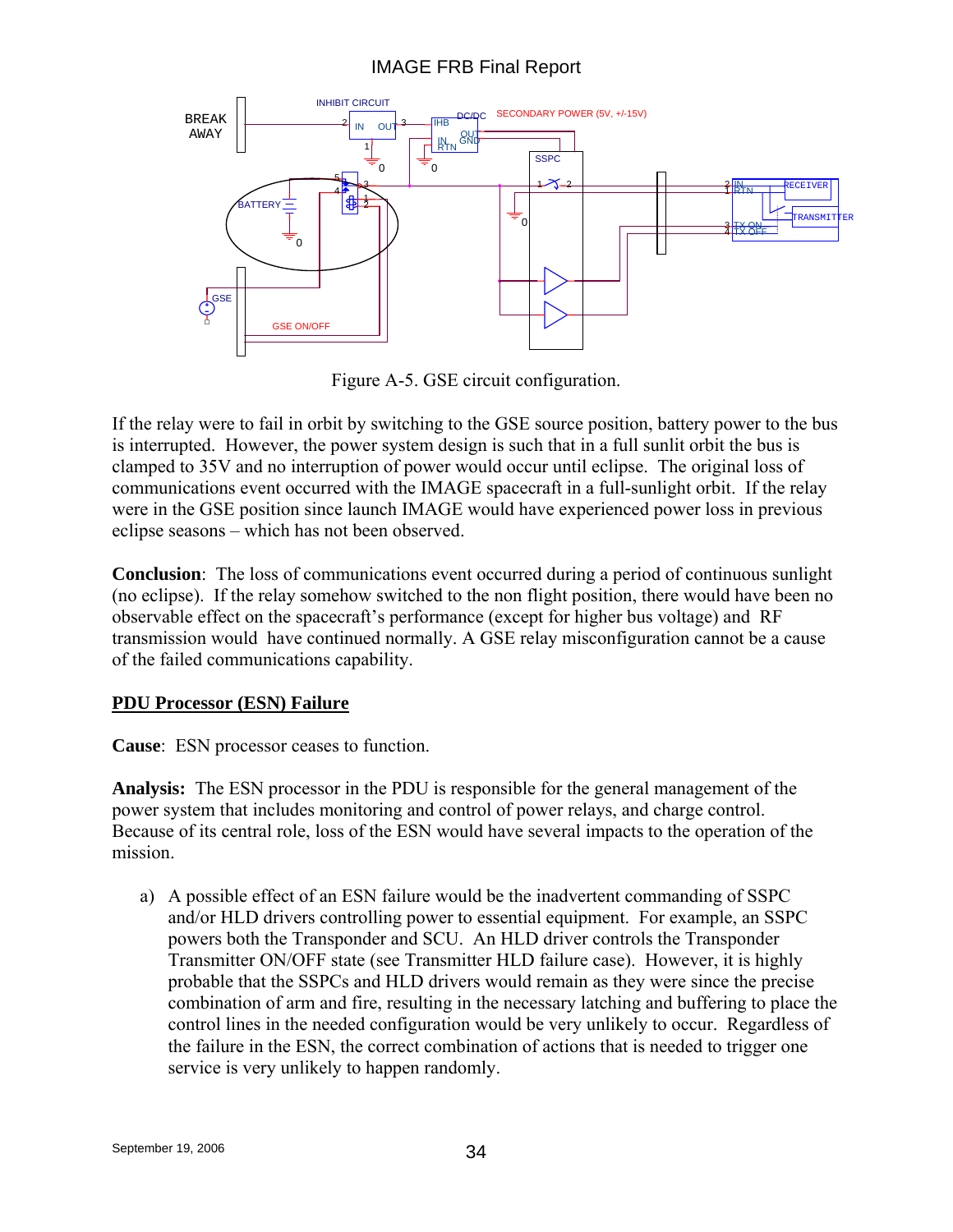## IMAGE FRB Final Report



Figure A-5. GSE circuit configuration.

If the relay were to fail in orbit by switching to the GSE source position, battery power to the bus is interrupted. However, the power system design is such that in a full sunlit orbit the bus is clamped to 35V and no interruption of power would occur until eclipse. The original loss of communications event occurred with the IMAGE spacecraft in a full-sunlight orbit. If the relay were in the GSE position since launch IMAGE would have experienced power loss in previous eclipse seasons – which has not been observed.

**Conclusion**: The loss of communications event occurred during a period of continuous sunlight (no eclipse). If the relay somehow switched to the non flight position, there would have been no observable effect on the spacecraft's performance (except for higher bus voltage) and RF transmission would have continued normally. A GSE relay misconfiguration cannot be a cause of the failed communications capability.

### **PDU Processor (ESN) Failure**

**Cause**: ESN processor ceases to function.

**Analysis:** The ESN processor in the PDU is responsible for the general management of the power system that includes monitoring and control of power relays, and charge control. Because of its central role, loss of the ESN would have several impacts to the operation of the mission.

a) A possible effect of an ESN failure would be the inadvertent commanding of SSPC and/or HLD drivers controlling power to essential equipment. For example, an SSPC powers both the Transponder and SCU. An HLD driver controls the Transponder Transmitter ON/OFF state (see Transmitter HLD failure case). However, it is highly probable that the SSPCs and HLD drivers would remain as they were since the precise combination of arm and fire, resulting in the necessary latching and buffering to place the control lines in the needed configuration would be very unlikely to occur. Regardless of the failure in the ESN, the correct combination of actions that is needed to trigger one service is very unlikely to happen randomly.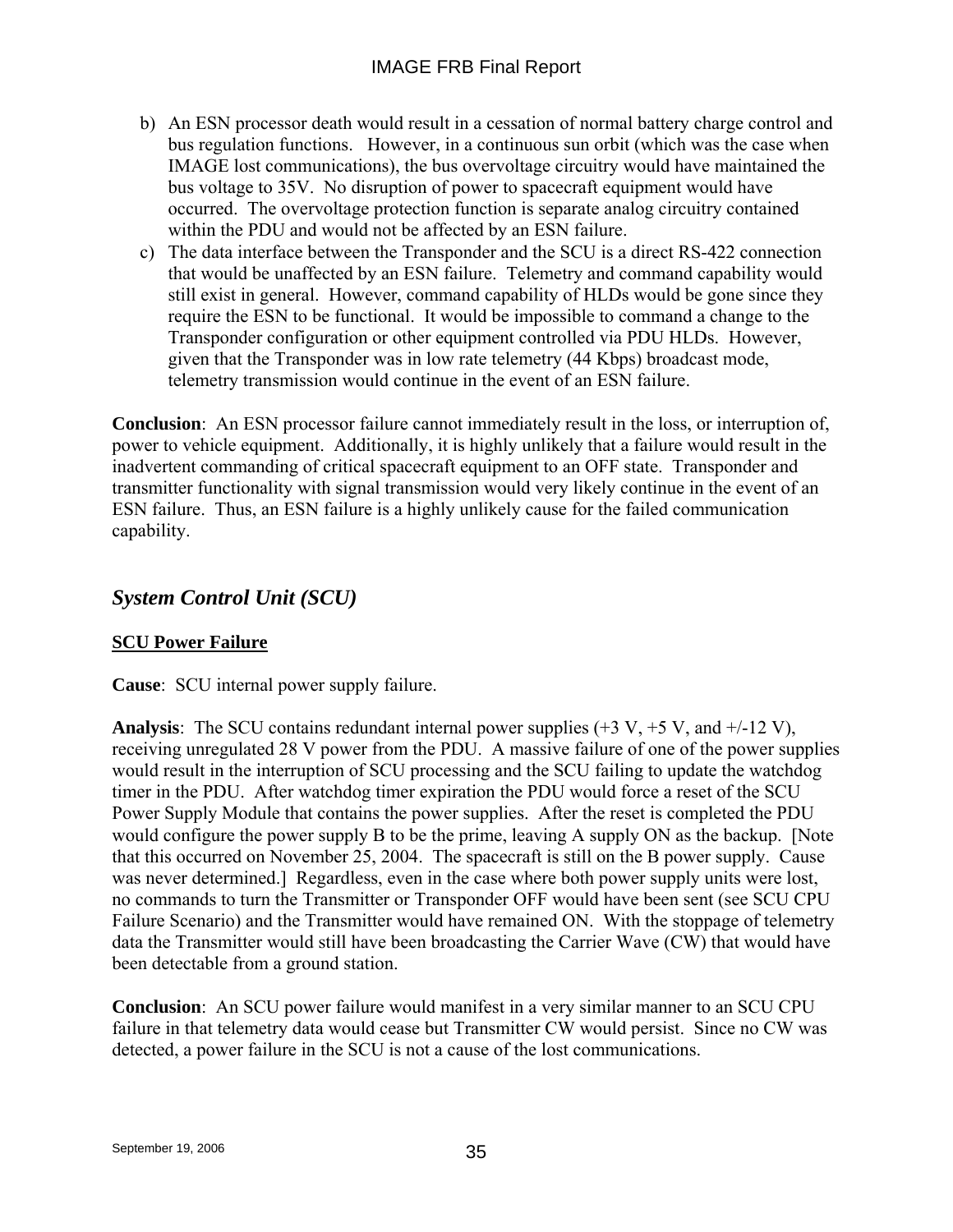- b) An ESN processor death would result in a cessation of normal battery charge control and bus regulation functions. However, in a continuous sun orbit (which was the case when IMAGE lost communications), the bus overvoltage circuitry would have maintained the bus voltage to 35V. No disruption of power to spacecraft equipment would have occurred. The overvoltage protection function is separate analog circuitry contained within the PDU and would not be affected by an ESN failure.
- c) The data interface between the Transponder and the SCU is a direct RS-422 connection that would be unaffected by an ESN failure. Telemetry and command capability would still exist in general. However, command capability of HLDs would be gone since they require the ESN to be functional. It would be impossible to command a change to the Transponder configuration or other equipment controlled via PDU HLDs. However, given that the Transponder was in low rate telemetry (44 Kbps) broadcast mode, telemetry transmission would continue in the event of an ESN failure.

**Conclusion**: An ESN processor failure cannot immediately result in the loss, or interruption of, power to vehicle equipment. Additionally, it is highly unlikely that a failure would result in the inadvertent commanding of critical spacecraft equipment to an OFF state. Transponder and transmitter functionality with signal transmission would very likely continue in the event of an ESN failure. Thus, an ESN failure is a highly unlikely cause for the failed communication capability.

# *System Control Unit (SCU)*

## **SCU Power Failure**

**Cause**: SCU internal power supply failure.

**Analysis**: The SCU contains redundant internal power supplies (+3 V, +5 V, and +/-12 V), receiving unregulated 28 V power from the PDU. A massive failure of one of the power supplies would result in the interruption of SCU processing and the SCU failing to update the watchdog timer in the PDU. After watchdog timer expiration the PDU would force a reset of the SCU Power Supply Module that contains the power supplies. After the reset is completed the PDU would configure the power supply B to be the prime, leaving A supply ON as the backup. [Note that this occurred on November 25, 2004. The spacecraft is still on the B power supply. Cause was never determined.] Regardless, even in the case where both power supply units were lost, no commands to turn the Transmitter or Transponder OFF would have been sent (see SCU CPU Failure Scenario) and the Transmitter would have remained ON. With the stoppage of telemetry data the Transmitter would still have been broadcasting the Carrier Wave (CW) that would have been detectable from a ground station.

**Conclusion**: An SCU power failure would manifest in a very similar manner to an SCU CPU failure in that telemetry data would cease but Transmitter CW would persist. Since no CW was detected, a power failure in the SCU is not a cause of the lost communications.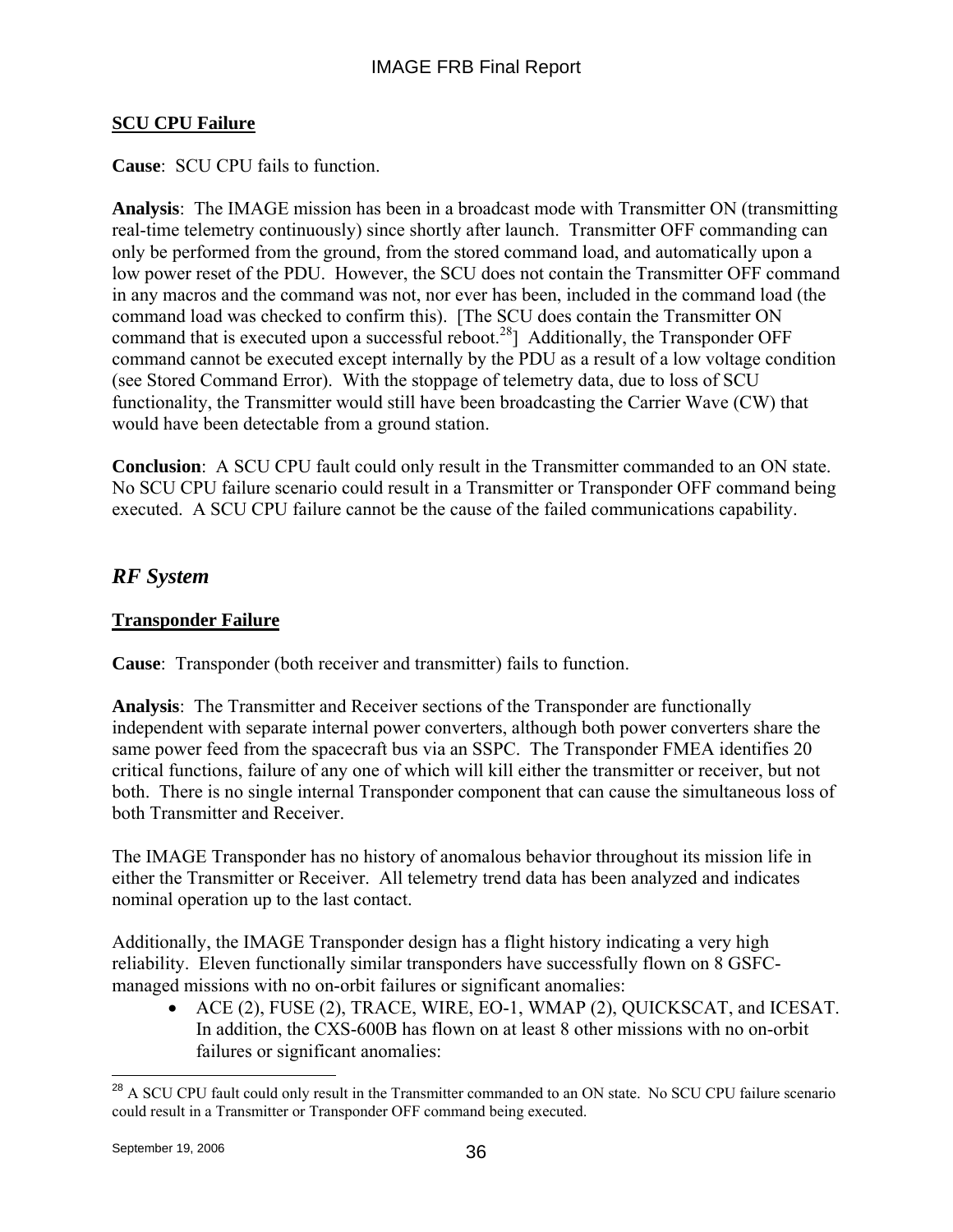## **SCU CPU Failure**

**Cause**: SCU CPU fails to function.

**Analysis**: The IMAGE mission has been in a broadcast mode with Transmitter ON (transmitting real-time telemetry continuously) since shortly after launch. Transmitter OFF commanding can only be performed from the ground, from the stored command load, and automatically upon a low power reset of the PDU. However, the SCU does not contain the Transmitter OFF command in any macros and the command was not, nor ever has been, included in the command load (the command load was checked to confirm this). [The SCU does contain the Transmitter ON command that is executed upon a successful reboot.<sup>28</sup>] Additionally, the Transponder OFF command cannot be executed except internally by the PDU as a result of a low voltage condition (see Stored Command Error). With the stoppage of telemetry data, due to loss of SCU functionality, the Transmitter would still have been broadcasting the Carrier Wave (CW) that would have been detectable from a ground station.

**Conclusion**: A SCU CPU fault could only result in the Transmitter commanded to an ON state. No SCU CPU failure scenario could result in a Transmitter or Transponder OFF command being executed. A SCU CPU failure cannot be the cause of the failed communications capability.

## *RF System*

## **Transponder Failure**

**Cause**: Transponder (both receiver and transmitter) fails to function.

**Analysis**: The Transmitter and Receiver sections of the Transponder are functionally independent with separate internal power converters, although both power converters share the same power feed from the spacecraft bus via an SSPC. The Transponder FMEA identifies 20 critical functions, failure of any one of which will kill either the transmitter or receiver, but not both. There is no single internal Transponder component that can cause the simultaneous loss of both Transmitter and Receiver.

The IMAGE Transponder has no history of anomalous behavior throughout its mission life in either the Transmitter or Receiver. All telemetry trend data has been analyzed and indicates nominal operation up to the last contact.

Additionally, the IMAGE Transponder design has a flight history indicating a very high reliability. Eleven functionally similar transponders have successfully flown on 8 GSFCmanaged missions with no on-orbit failures or significant anomalies:

• ACE (2), FUSE (2), TRACE, WIRE, EO-1, WMAP (2), QUICKSCAT, and ICESAT. In addition, the CXS-600B has flown on at least 8 other missions with no on-orbit failures or significant anomalies:

 $\overline{a}$ 

<sup>&</sup>lt;sup>28</sup> A SCU CPU fault could only result in the Transmitter commanded to an ON state. No SCU CPU failure scenario could result in a Transmitter or Transponder OFF command being executed.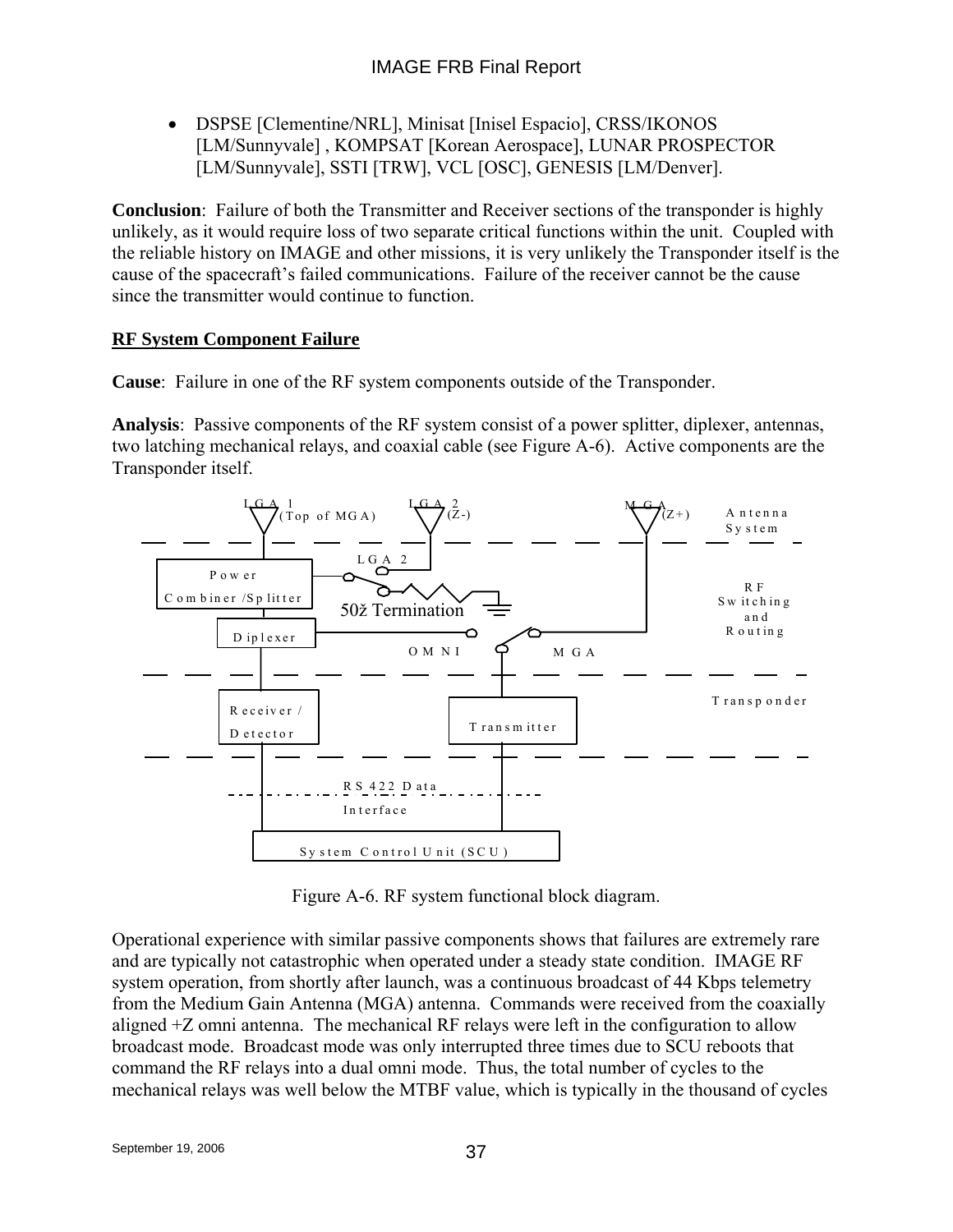• DSPSE [Clementine/NRL], Minisat [Inisel Espacio], CRSS/IKONOS [LM/Sunnyvale] , KOMPSAT [Korean Aerospace], LUNAR PROSPECTOR [LM/Sunnyvale], SSTI [TRW], VCL [OSC], GENESIS [LM/Denver].

**Conclusion**: Failure of both the Transmitter and Receiver sections of the transponder is highly unlikely, as it would require loss of two separate critical functions within the unit. Coupled with the reliable history on IMAGE and other missions, it is very unlikely the Transponder itself is the cause of the spacecraft's failed communications. Failure of the receiver cannot be the cause since the transmitter would continue to function.

## **RF System Component Failure**

**Cause**: Failure in one of the RF system components outside of the Transponder.

**Analysis**: Passive components of the RF system consist of a power splitter, diplexer, antennas, two latching mechanical relays, and coaxial cable (see Figure A-6). Active components are the Transponder itself.



Figure A-6. RF system functional block diagram.

Operational experience with similar passive components shows that failures are extremely rare and are typically not catastrophic when operated under a steady state condition. IMAGE RF system operation, from shortly after launch, was a continuous broadcast of 44 Kbps telemetry from the Medium Gain Antenna (MGA) antenna. Commands were received from the coaxially aligned +Z omni antenna. The mechanical RF relays were left in the configuration to allow broadcast mode. Broadcast mode was only interrupted three times due to SCU reboots that command the RF relays into a dual omni mode. Thus, the total number of cycles to the mechanical relays was well below the MTBF value, which is typically in the thousand of cycles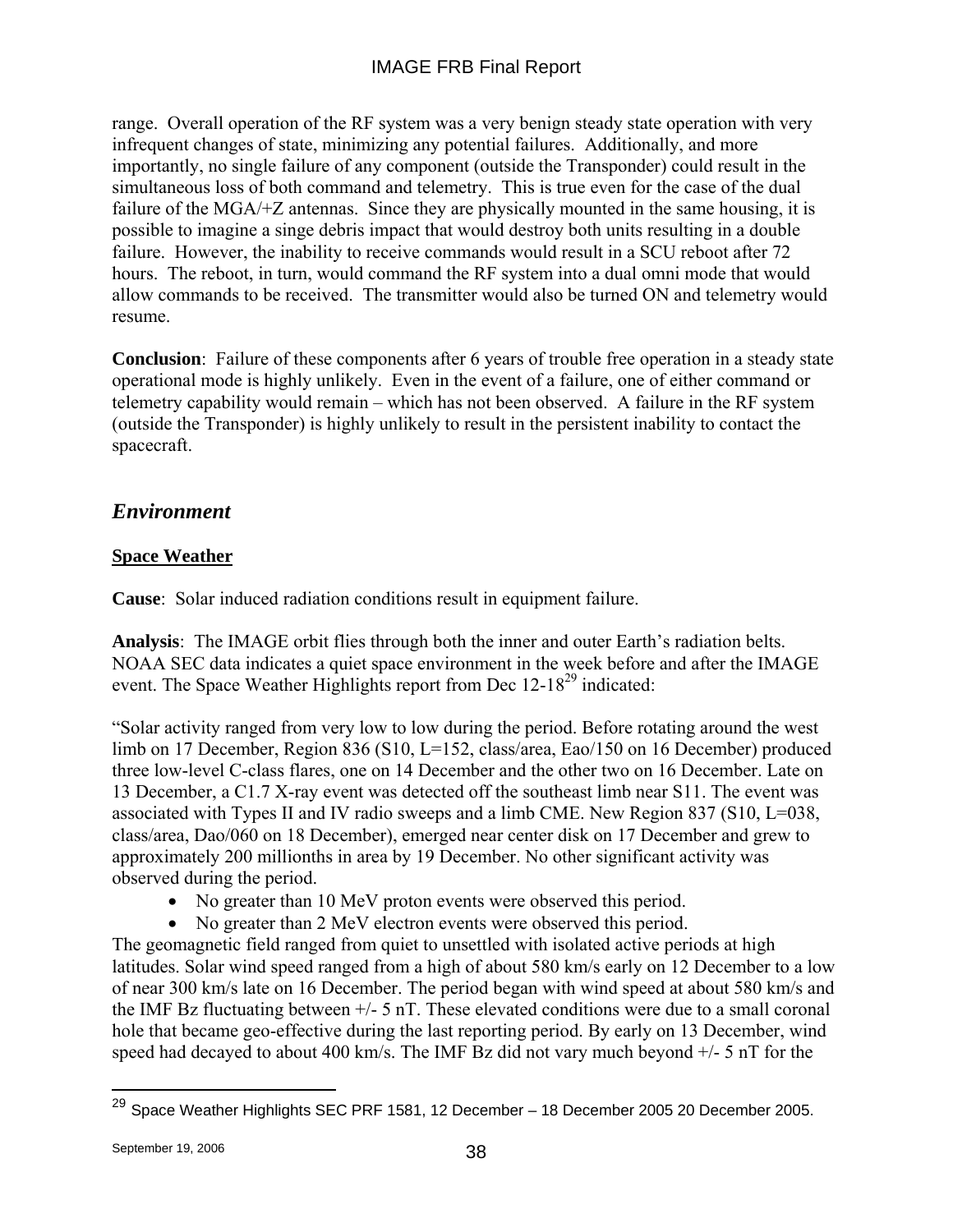range. Overall operation of the RF system was a very benign steady state operation with very infrequent changes of state, minimizing any potential failures. Additionally, and more importantly, no single failure of any component (outside the Transponder) could result in the simultaneous loss of both command and telemetry. This is true even for the case of the dual failure of the MGA/+Z antennas. Since they are physically mounted in the same housing, it is possible to imagine a singe debris impact that would destroy both units resulting in a double failure. However, the inability to receive commands would result in a SCU reboot after 72 hours. The reboot, in turn, would command the RF system into a dual omni mode that would allow commands to be received. The transmitter would also be turned ON and telemetry would resume.

**Conclusion**: Failure of these components after 6 years of trouble free operation in a steady state operational mode is highly unlikely. Even in the event of a failure, one of either command or telemetry capability would remain – which has not been observed. A failure in the RF system (outside the Transponder) is highly unlikely to result in the persistent inability to contact the spacecraft.

## *Environment*

## **Space Weather**

**Cause**: Solar induced radiation conditions result in equipment failure.

**Analysis**: The IMAGE orbit flies through both the inner and outer Earth's radiation belts. NOAA SEC data indicates a quiet space environment in the week before and after the IMAGE event. The Space Weather Highlights report from Dec 12-18<sup>29</sup> indicated:

"Solar activity ranged from very low to low during the period. Before rotating around the west limb on 17 December, Region 836 (S10, L=152, class/area, Eao/150 on 16 December) produced three low-level C-class flares, one on 14 December and the other two on 16 December. Late on 13 December, a C1.7 X-ray event was detected off the southeast limb near S11. The event was associated with Types II and IV radio sweeps and a limb CME. New Region 837 (S10, L=038, class/area, Dao/060 on 18 December), emerged near center disk on 17 December and grew to approximately 200 millionths in area by 19 December. No other significant activity was observed during the period.

- No greater than 10 MeV proton events were observed this period.
- No greater than 2 MeV electron events were observed this period.

The geomagnetic field ranged from quiet to unsettled with isolated active periods at high latitudes. Solar wind speed ranged from a high of about 580 km/s early on 12 December to a low of near 300 km/s late on 16 December. The period began with wind speed at about 580 km/s and the IMF Bz fluctuating between  $+/-$  5 nT. These elevated conditions were due to a small coronal hole that became geo-effective during the last reporting period. By early on 13 December, wind speed had decayed to about 400 km/s. The IMF Bz did not vary much beyond +/- 5 nT for the

<sup>&</sup>lt;u>.</u>  $^{29}$  Space Weather Highlights SEC PRF 1581, 12 December – 18 December 2005 20 December 2005.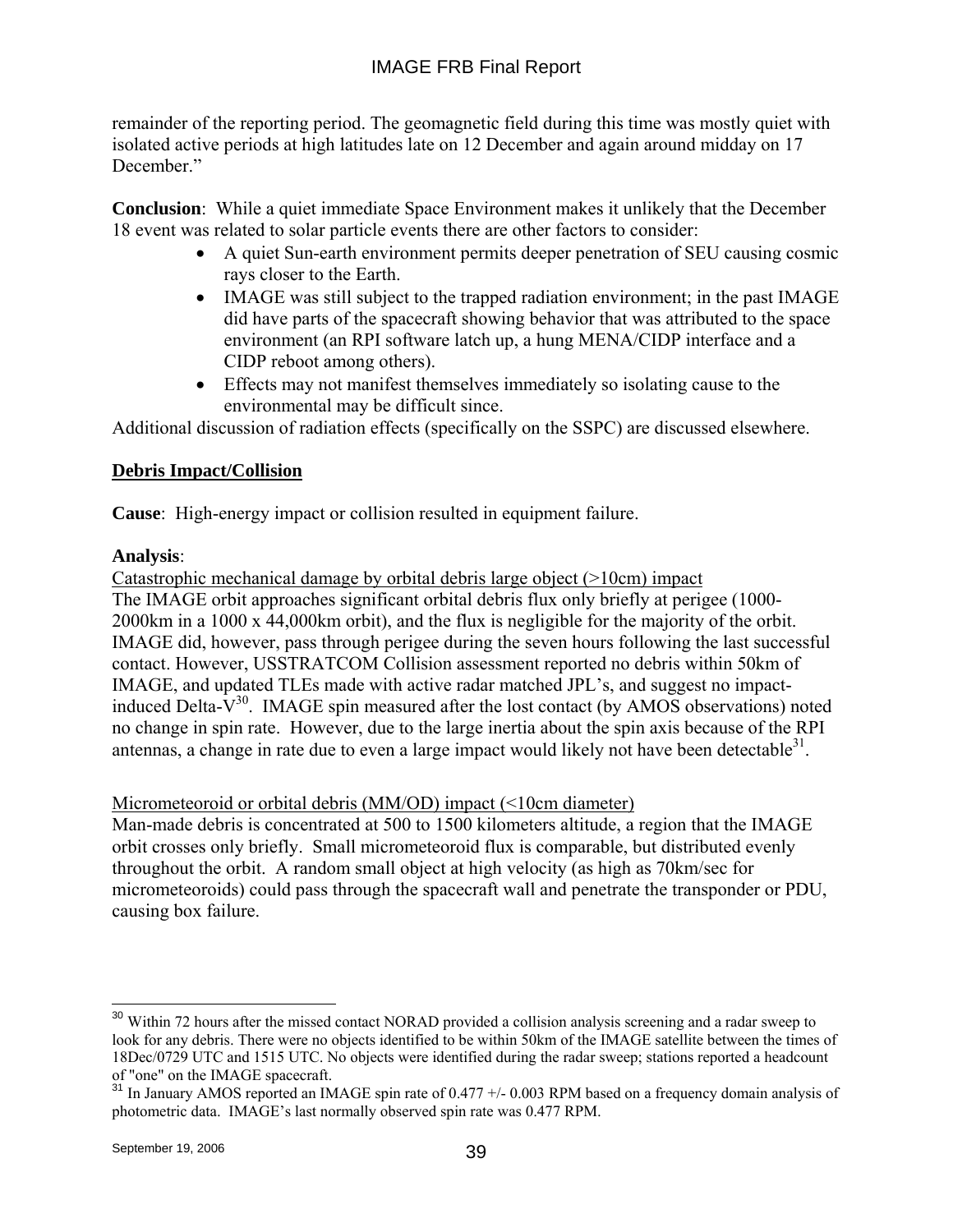remainder of the reporting period. The geomagnetic field during this time was mostly quiet with isolated active periods at high latitudes late on 12 December and again around midday on 17 December."

**Conclusion**: While a quiet immediate Space Environment makes it unlikely that the December 18 event was related to solar particle events there are other factors to consider:

- A quiet Sun-earth environment permits deeper penetration of SEU causing cosmic rays closer to the Earth.
- IMAGE was still subject to the trapped radiation environment; in the past IMAGE did have parts of the spacecraft showing behavior that was attributed to the space environment (an RPI software latch up, a hung MENA/CIDP interface and a CIDP reboot among others).
- Effects may not manifest themselves immediately so isolating cause to the environmental may be difficult since.

Additional discussion of radiation effects (specifically on the SSPC) are discussed elsewhere.

## **Debris Impact/Collision**

**Cause**: High-energy impact or collision resulted in equipment failure.

### **Analysis**:

Catastrophic mechanical damage by orbital debris large object (>10cm) impact The IMAGE orbit approaches significant orbital debris flux only briefly at perigee (1000- 2000km in a 1000 x 44,000km orbit), and the flux is negligible for the majority of the orbit. IMAGE did, however, pass through perigee during the seven hours following the last successful contact. However, USSTRATCOM Collision assessment reported no debris within 50km of IMAGE, and updated TLEs made with active radar matched JPL's, and suggest no impactinduced Delta- $V^{30}$ . IMAGE spin measured after the lost contact (by AMOS observations) noted no change in spin rate. However, due to the large inertia about the spin axis because of the RPI antennas, a change in rate due to even a large impact would likely not have been detectable $31$ .

## Micrometeoroid or orbital debris (MM/OD) impact (<10cm diameter)

Man-made debris is concentrated at 500 to 1500 kilometers altitude, a region that the IMAGE orbit crosses only briefly. Small micrometeoroid flux is comparable, but distributed evenly throughout the orbit. A random small object at high velocity (as high as 70km/sec for micrometeoroids) could pass through the spacecraft wall and penetrate the transponder or PDU, causing box failure.

 $\overline{a}$ 

<sup>&</sup>lt;sup>30</sup> Within 72 hours after the missed contact NORAD provided a collision analysis screening and a radar sweep to look for any debris. There were no objects identified to be within 50km of the IMAGE satellite between the times of 18Dec/0729 UTC and 1515 UTC. No objects were identified during the radar sweep; stations reported a headcount of "one" on the IMAGE spacecraft.

<sup>&</sup>lt;sup>31</sup> In January AMOS reported an IMAGE spin rate of 0.477 +/- 0.003 RPM based on a frequency domain analysis of photometric data. IMAGE's last normally observed spin rate was 0.477 RPM.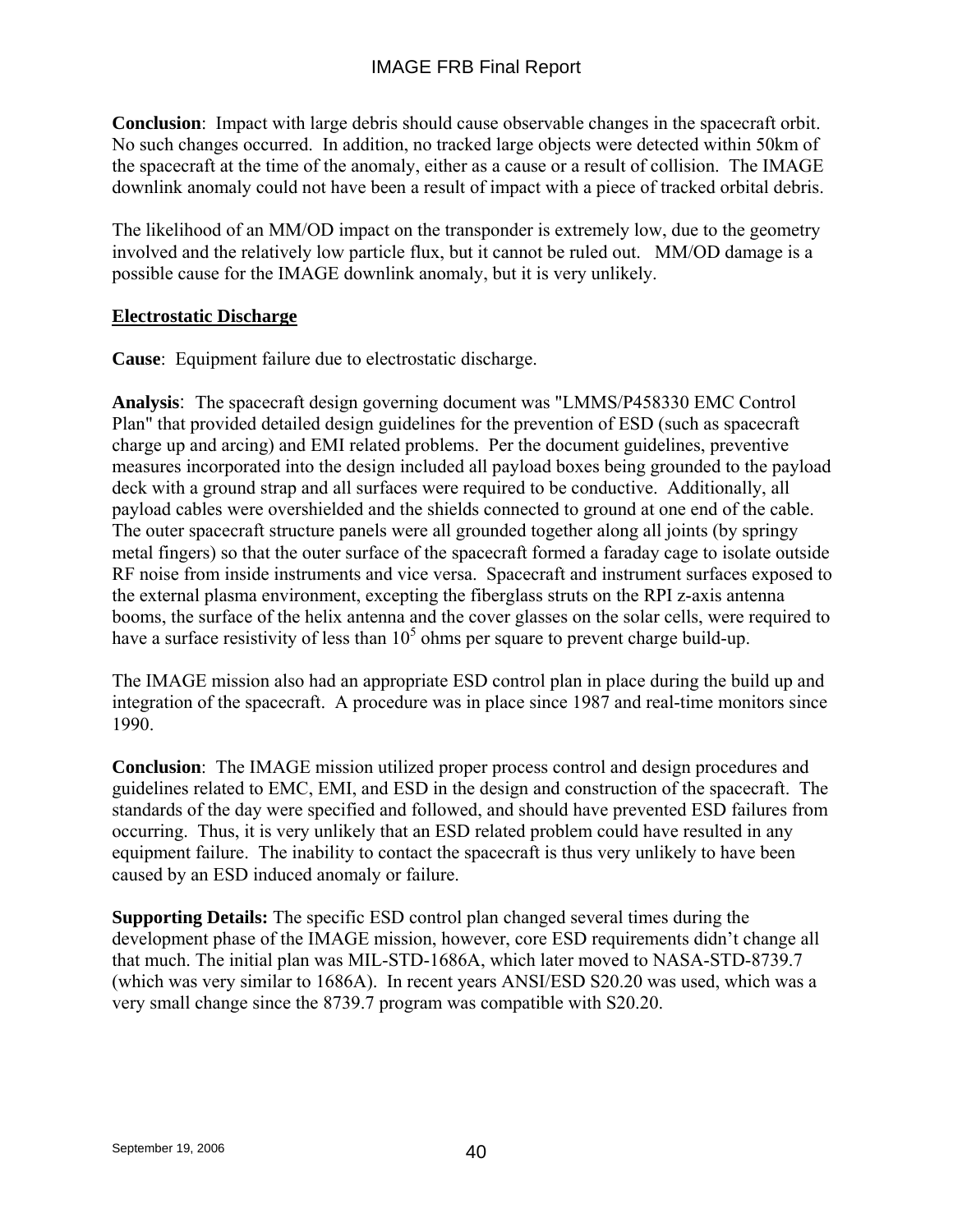## IMAGE FRB Final Report

**Conclusion**: Impact with large debris should cause observable changes in the spacecraft orbit. No such changes occurred. In addition, no tracked large objects were detected within 50km of the spacecraft at the time of the anomaly, either as a cause or a result of collision. The IMAGE downlink anomaly could not have been a result of impact with a piece of tracked orbital debris.

The likelihood of an MM/OD impact on the transponder is extremely low, due to the geometry involved and the relatively low particle flux, but it cannot be ruled out. MM/OD damage is a possible cause for the IMAGE downlink anomaly, but it is very unlikely.

#### **Electrostatic Discharge**

**Cause**: Equipment failure due to electrostatic discharge.

**Analysis**: The spacecraft design governing document was "LMMS/P458330 EMC Control Plan" that provided detailed design guidelines for the prevention of ESD (such as spacecraft charge up and arcing) and EMI related problems. Per the document guidelines, preventive measures incorporated into the design included all payload boxes being grounded to the payload deck with a ground strap and all surfaces were required to be conductive. Additionally, all payload cables were overshielded and the shields connected to ground at one end of the cable. The outer spacecraft structure panels were all grounded together along all joints (by springy metal fingers) so that the outer surface of the spacecraft formed a faraday cage to isolate outside RF noise from inside instruments and vice versa. Spacecraft and instrument surfaces exposed to the external plasma environment, excepting the fiberglass struts on the RPI z-axis antenna booms, the surface of the helix antenna and the cover glasses on the solar cells, were required to have a surface resistivity of less than  $10<sup>5</sup>$  ohms per square to prevent charge build-up.

The IMAGE mission also had an appropriate ESD control plan in place during the build up and integration of the spacecraft. A procedure was in place since 1987 and real-time monitors since 1990.

**Conclusion**: The IMAGE mission utilized proper process control and design procedures and guidelines related to EMC, EMI, and ESD in the design and construction of the spacecraft. The standards of the day were specified and followed, and should have prevented ESD failures from occurring. Thus, it is very unlikely that an ESD related problem could have resulted in any equipment failure. The inability to contact the spacecraft is thus very unlikely to have been caused by an ESD induced anomaly or failure.

**Supporting Details:** The specific ESD control plan changed several times during the development phase of the IMAGE mission, however, core ESD requirements didn't change all that much. The initial plan was MIL-STD-1686A, which later moved to NASA-STD-8739.7 (which was very similar to 1686A). In recent years ANSI/ESD S20.20 was used, which was a very small change since the 8739.7 program was compatible with S20.20.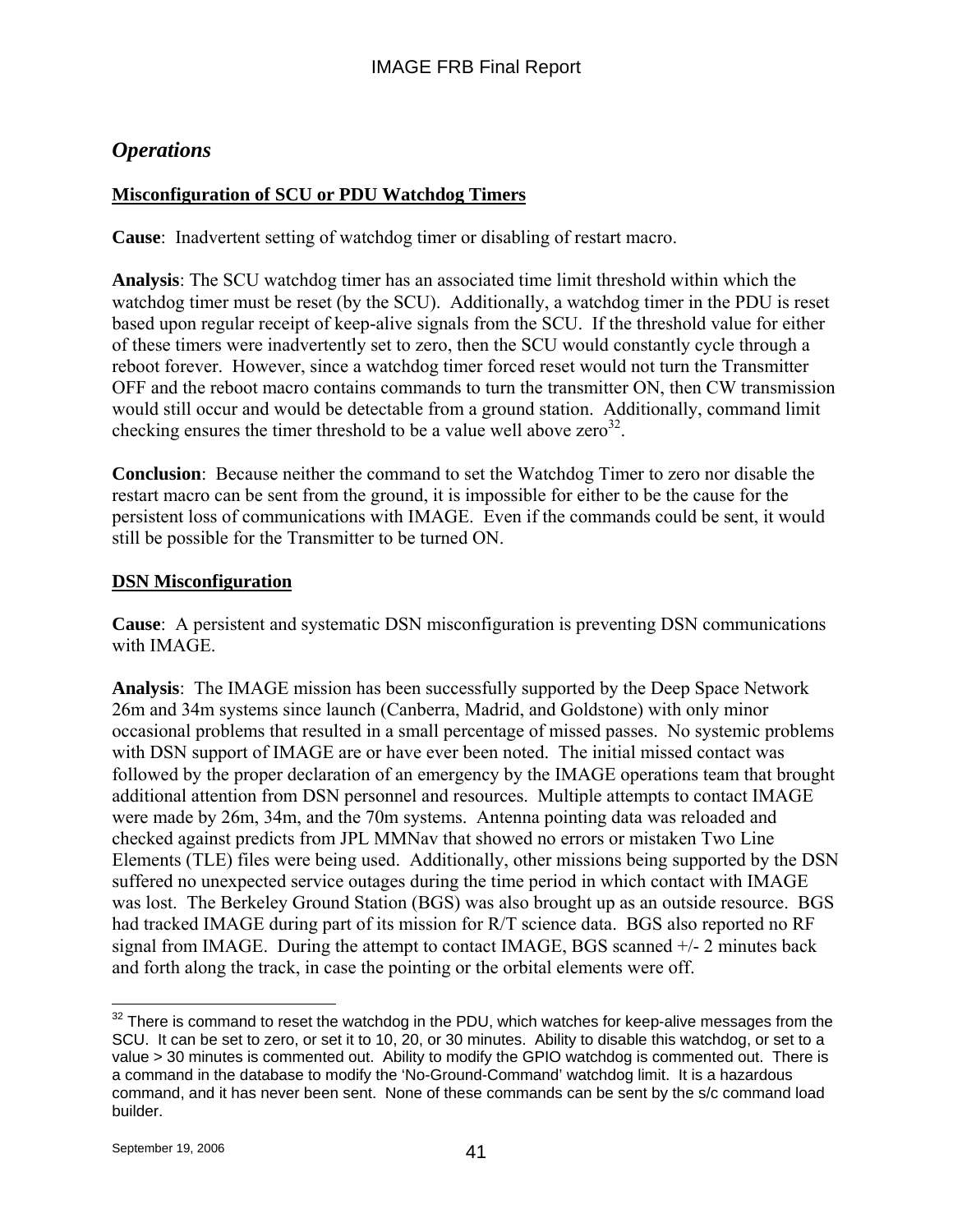## *Operations*

## **Misconfiguration of SCU or PDU Watchdog Timers**

**Cause**: Inadvertent setting of watchdog timer or disabling of restart macro.

**Analysis**: The SCU watchdog timer has an associated time limit threshold within which the watchdog timer must be reset (by the SCU). Additionally, a watchdog timer in the PDU is reset based upon regular receipt of keep-alive signals from the SCU. If the threshold value for either of these timers were inadvertently set to zero, then the SCU would constantly cycle through a reboot forever. However, since a watchdog timer forced reset would not turn the Transmitter OFF and the reboot macro contains commands to turn the transmitter ON, then CW transmission would still occur and would be detectable from a ground station. Additionally, command limit checking ensures the timer threshold to be a value well above zero<sup>32</sup>.

**Conclusion**: Because neither the command to set the Watchdog Timer to zero nor disable the restart macro can be sent from the ground, it is impossible for either to be the cause for the persistent loss of communications with IMAGE. Even if the commands could be sent, it would still be possible for the Transmitter to be turned ON.

#### **DSN Misconfiguration**

**Cause**: A persistent and systematic DSN misconfiguration is preventing DSN communications with IMAGE.

**Analysis**: The IMAGE mission has been successfully supported by the Deep Space Network 26m and 34m systems since launch (Canberra, Madrid, and Goldstone) with only minor occasional problems that resulted in a small percentage of missed passes. No systemic problems with DSN support of IMAGE are or have ever been noted. The initial missed contact was followed by the proper declaration of an emergency by the IMAGE operations team that brought additional attention from DSN personnel and resources. Multiple attempts to contact IMAGE were made by 26m, 34m, and the 70m systems. Antenna pointing data was reloaded and checked against predicts from JPL MMNav that showed no errors or mistaken Two Line Elements (TLE) files were being used. Additionally, other missions being supported by the DSN suffered no unexpected service outages during the time period in which contact with IMAGE was lost. The Berkeley Ground Station (BGS) was also brought up as an outside resource. BGS had tracked IMAGE during part of its mission for R/T science data. BGS also reported no RF signal from IMAGE. During the attempt to contact IMAGE, BGS scanned +/- 2 minutes back and forth along the track, in case the pointing or the orbital elements were off.

<sup>1</sup>  $32$  There is command to reset the watchdog in the PDU, which watches for keep-alive messages from the SCU. It can be set to zero, or set it to 10, 20, or 30 minutes. Ability to disable this watchdog, or set to a value > 30 minutes is commented out. Ability to modify the GPIO watchdog is commented out. There is a command in the database to modify the 'No-Ground-Command' watchdog limit. It is a hazardous command, and it has never been sent. None of these commands can be sent by the s/c command load builder.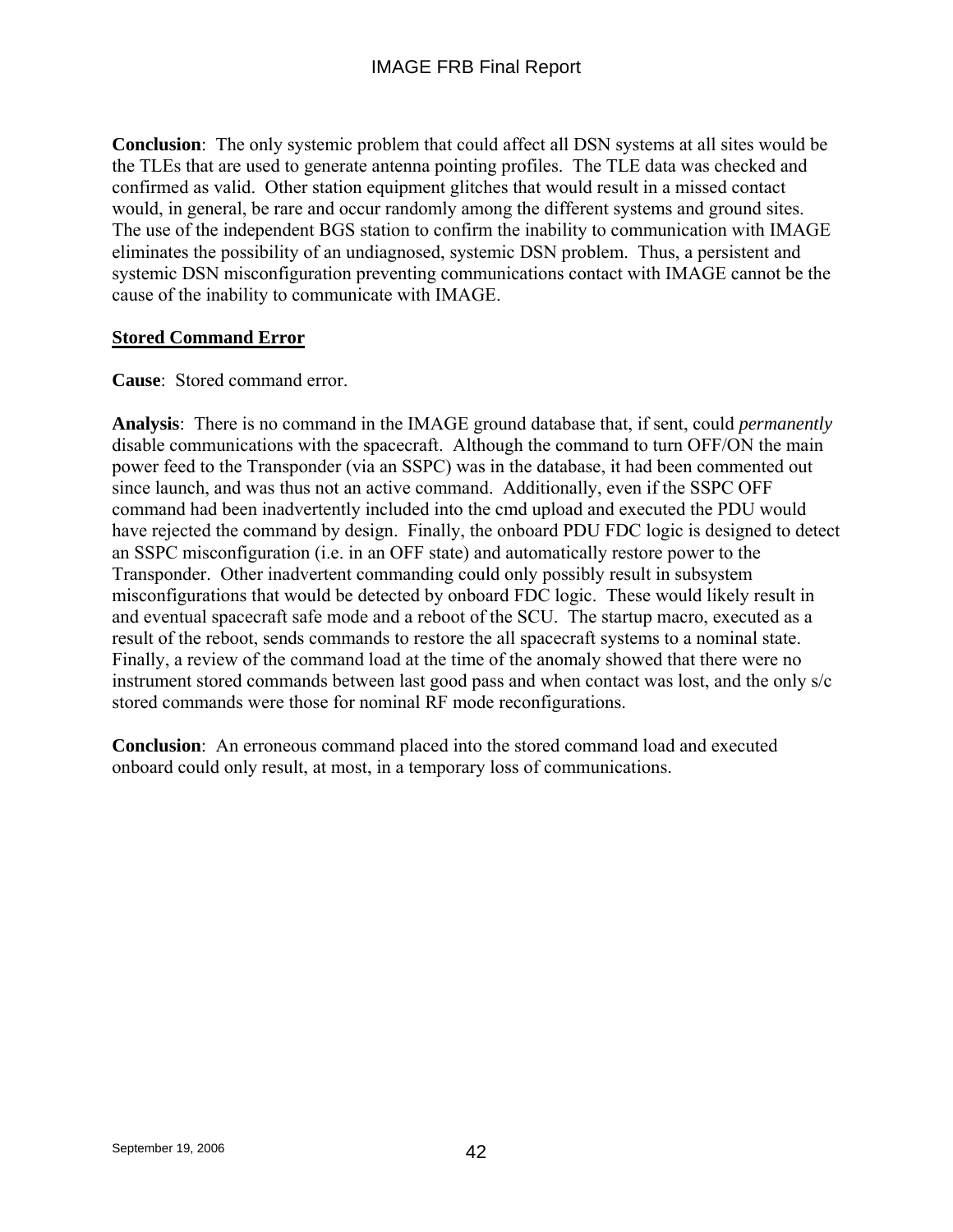**Conclusion**: The only systemic problem that could affect all DSN systems at all sites would be the TLEs that are used to generate antenna pointing profiles. The TLE data was checked and confirmed as valid. Other station equipment glitches that would result in a missed contact would, in general, be rare and occur randomly among the different systems and ground sites. The use of the independent BGS station to confirm the inability to communication with IMAGE eliminates the possibility of an undiagnosed, systemic DSN problem. Thus, a persistent and systemic DSN misconfiguration preventing communications contact with IMAGE cannot be the cause of the inability to communicate with IMAGE.

## **Stored Command Error**

### **Cause**: Stored command error.

**Analysis**: There is no command in the IMAGE ground database that, if sent, could *permanently* disable communications with the spacecraft. Although the command to turn OFF/ON the main power feed to the Transponder (via an SSPC) was in the database, it had been commented out since launch, and was thus not an active command. Additionally, even if the SSPC OFF command had been inadvertently included into the cmd upload and executed the PDU would have rejected the command by design. Finally, the onboard PDU FDC logic is designed to detect an SSPC misconfiguration (i.e. in an OFF state) and automatically restore power to the Transponder. Other inadvertent commanding could only possibly result in subsystem misconfigurations that would be detected by onboard FDC logic. These would likely result in and eventual spacecraft safe mode and a reboot of the SCU. The startup macro, executed as a result of the reboot, sends commands to restore the all spacecraft systems to a nominal state. Finally, a review of the command load at the time of the anomaly showed that there were no instrument stored commands between last good pass and when contact was lost, and the only s/c stored commands were those for nominal RF mode reconfigurations.

**Conclusion**: An erroneous command placed into the stored command load and executed onboard could only result, at most, in a temporary loss of communications.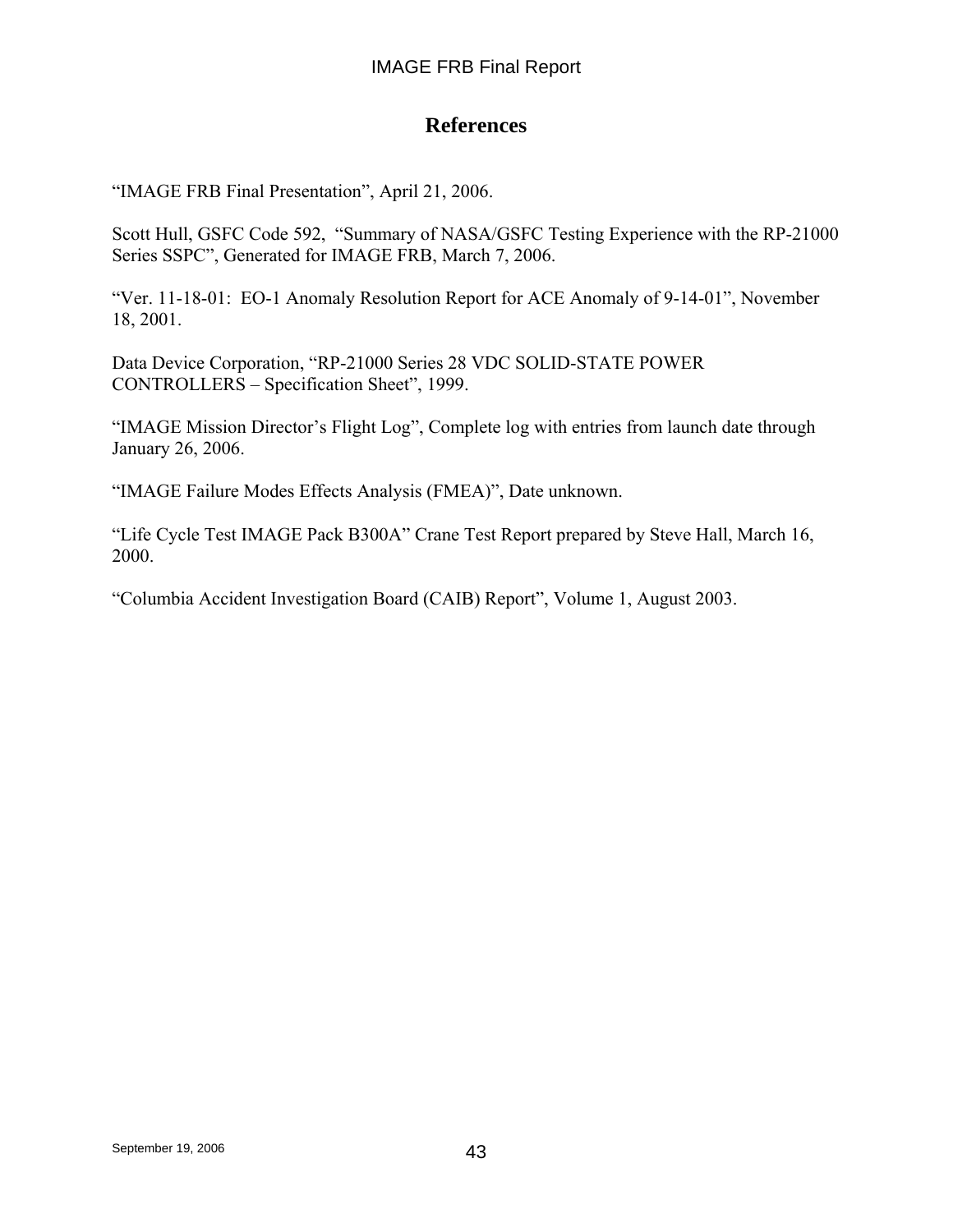## **References**

"IMAGE FRB Final Presentation", April 21, 2006.

Scott Hull, GSFC Code 592, "Summary of NASA/GSFC Testing Experience with the RP-21000 Series SSPC", Generated for IMAGE FRB, March 7, 2006.

"Ver. 11-18-01: EO-1 Anomaly Resolution Report for ACE Anomaly of 9-14-01", November 18, 2001.

Data Device Corporation, "RP-21000 Series 28 VDC SOLID-STATE POWER CONTROLLERS – Specification Sheet", 1999.

"IMAGE Mission Director's Flight Log", Complete log with entries from launch date through January 26, 2006.

"IMAGE Failure Modes Effects Analysis (FMEA)", Date unknown.

"Life Cycle Test IMAGE Pack B300A" Crane Test Report prepared by Steve Hall, March 16, 2000.

"Columbia Accident Investigation Board (CAIB) Report", Volume 1, August 2003.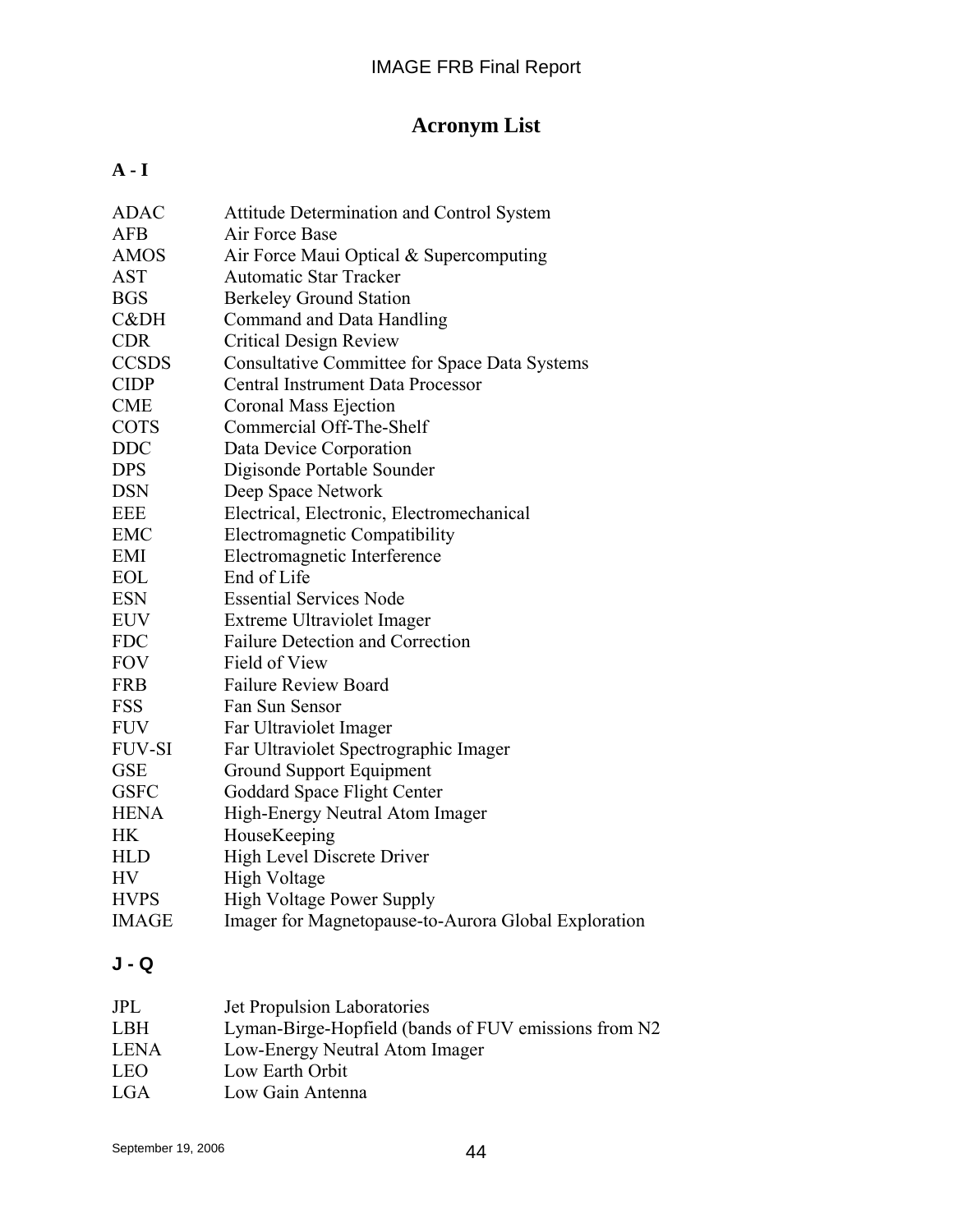# **Acronym List**

## **A - I**

| <b>ADAC</b>   | <b>Attitude Determination and Control System</b>     |
|---------------|------------------------------------------------------|
| <b>AFB</b>    | Air Force Base                                       |
| <b>AMOS</b>   | Air Force Maui Optical & Supercomputing              |
| <b>AST</b>    | <b>Automatic Star Tracker</b>                        |
| <b>BGS</b>    | <b>Berkeley Ground Station</b>                       |
| C&DH          | Command and Data Handling                            |
| <b>CDR</b>    | <b>Critical Design Review</b>                        |
| <b>CCSDS</b>  | <b>Consultative Committee for Space Data Systems</b> |
| <b>CIDP</b>   | Central Instrument Data Processor                    |
| <b>CME</b>    | Coronal Mass Ejection                                |
| <b>COTS</b>   | Commercial Off-The-Shelf                             |
| <b>DDC</b>    | Data Device Corporation                              |
| <b>DPS</b>    | Digisonde Portable Sounder                           |
| <b>DSN</b>    | Deep Space Network                                   |
| <b>EEE</b>    | Electrical, Electronic, Electromechanical            |
| <b>EMC</b>    | Electromagnetic Compatibility                        |
| EMI           | Electromagnetic Interference                         |
| <b>EOL</b>    | End of Life                                          |
| <b>ESN</b>    | <b>Essential Services Node</b>                       |
| <b>EUV</b>    | Extreme Ultraviolet Imager                           |
| <b>FDC</b>    | <b>Failure Detection and Correction</b>              |
| <b>FOV</b>    | Field of View                                        |
| <b>FRB</b>    | <b>Failure Review Board</b>                          |
| <b>FSS</b>    | Fan Sun Sensor                                       |
| <b>FUV</b>    | Far Ultraviolet Imager                               |
| <b>FUV-SI</b> | Far Ultraviolet Spectrographic Imager                |
| <b>GSE</b>    | Ground Support Equipment                             |
| <b>GSFC</b>   | Goddard Space Flight Center                          |
| <b>HENA</b>   | High-Energy Neutral Atom Imager                      |
| <b>HK</b>     | HouseKeeping                                         |
| <b>HLD</b>    | High Level Discrete Driver                           |
| <b>HV</b>     | <b>High Voltage</b>                                  |
| <b>HVPS</b>   | <b>High Voltage Power Supply</b>                     |
| <b>IMAGE</b>  | Imager for Magnetopause-to-Aurora Global Exploration |
|               |                                                      |

# **J - Q**

| <b>JPL</b>  | Jet Propulsion Laboratories                          |
|-------------|------------------------------------------------------|
| <b>LBH</b>  | Lyman-Birge-Hopfield (bands of FUV emissions from N2 |
| <b>LENA</b> | Low-Energy Neutral Atom Imager                       |
| <b>LEO</b>  | Low Earth Orbit                                      |
| LGA         | Low Gain Antenna                                     |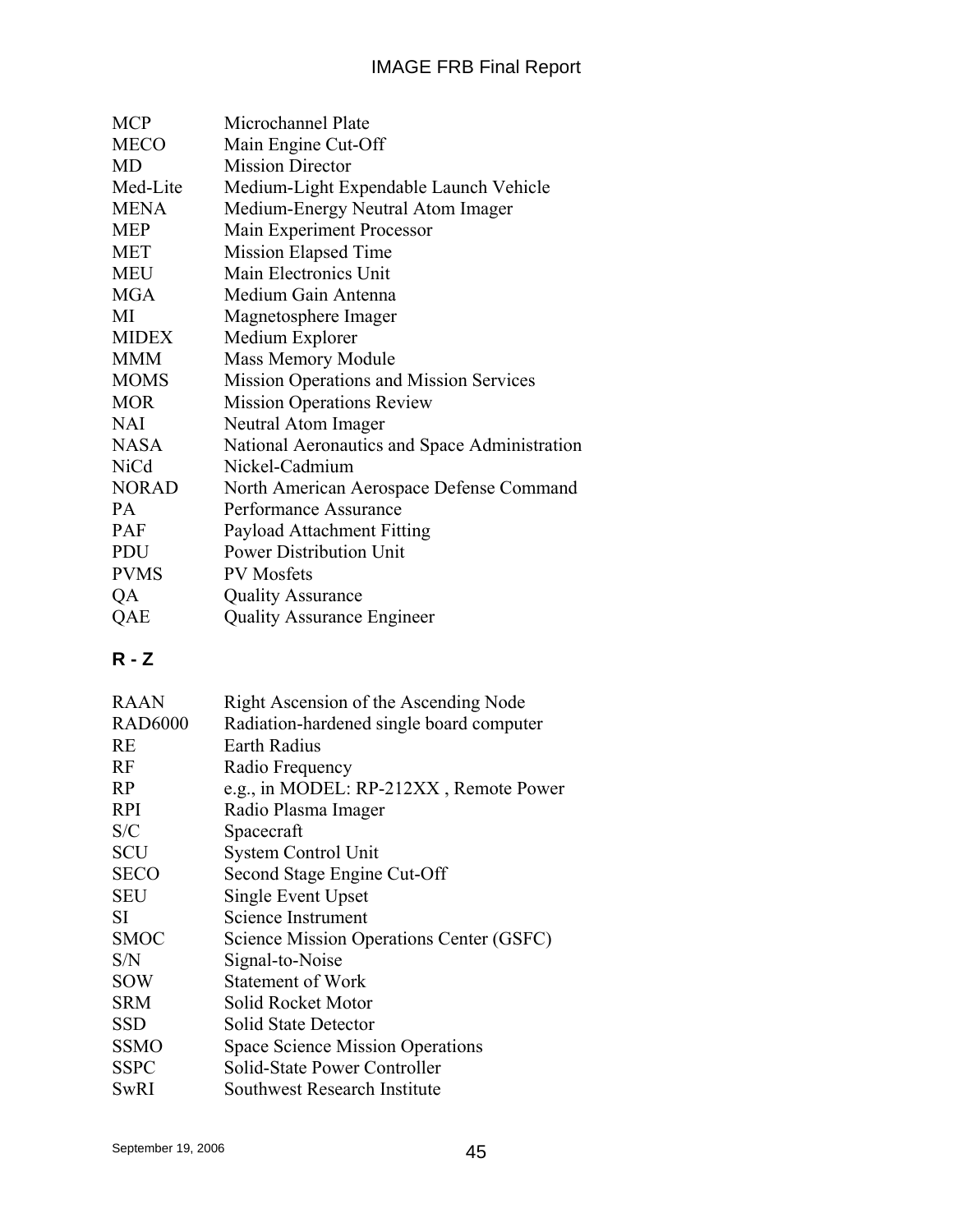| Microchannel Plate                             |
|------------------------------------------------|
| Main Engine Cut-Off                            |
| <b>Mission Director</b>                        |
| Medium-Light Expendable Launch Vehicle         |
| Medium-Energy Neutral Atom Imager              |
| Main Experiment Processor                      |
| Mission Elapsed Time                           |
| Main Electronics Unit                          |
| Medium Gain Antenna                            |
| Magnetosphere Imager                           |
| Medium Explorer                                |
| <b>Mass Memory Module</b>                      |
| <b>Mission Operations and Mission Services</b> |
| <b>Mission Operations Review</b>               |
| Neutral Atom Imager                            |
| National Aeronautics and Space Administration  |
| Nickel-Cadmium                                 |
| North American Aerospace Defense Command       |
| Performance Assurance                          |
| Payload Attachment Fitting                     |
| <b>Power Distribution Unit</b>                 |
| <b>PV</b> Mosfets                              |
| <b>Quality Assurance</b>                       |
| <b>Quality Assurance Engineer</b>              |
|                                                |

# **R - Z**

| <b>RAAN</b>    | Right Ascension of the Ascending Node    |
|----------------|------------------------------------------|
| <b>RAD6000</b> | Radiation-hardened single board computer |
| <b>RE</b>      | <b>Earth Radius</b>                      |
| <b>RF</b>      | Radio Frequency                          |
| R <sub>P</sub> | e.g., in MODEL: RP-212XX, Remote Power   |
| <b>RPI</b>     | Radio Plasma Imager                      |
| S/C            | Spacecraft                               |
| <b>SCU</b>     | System Control Unit                      |
| <b>SECO</b>    | Second Stage Engine Cut-Off              |
| <b>SEU</b>     | Single Event Upset                       |
| SІ             | Science Instrument                       |
| <b>SMOC</b>    | Science Mission Operations Center (GSFC) |
| S/N            | Signal-to-Noise                          |
| <b>SOW</b>     | <b>Statement of Work</b>                 |
| <b>SRM</b>     | Solid Rocket Motor                       |
| <b>SSD</b>     | Solid State Detector                     |
| <b>SSMO</b>    | <b>Space Science Mission Operations</b>  |
| <b>SSPC</b>    | Solid-State Power Controller             |
| <b>SwRI</b>    | Southwest Research Institute             |
|                |                                          |